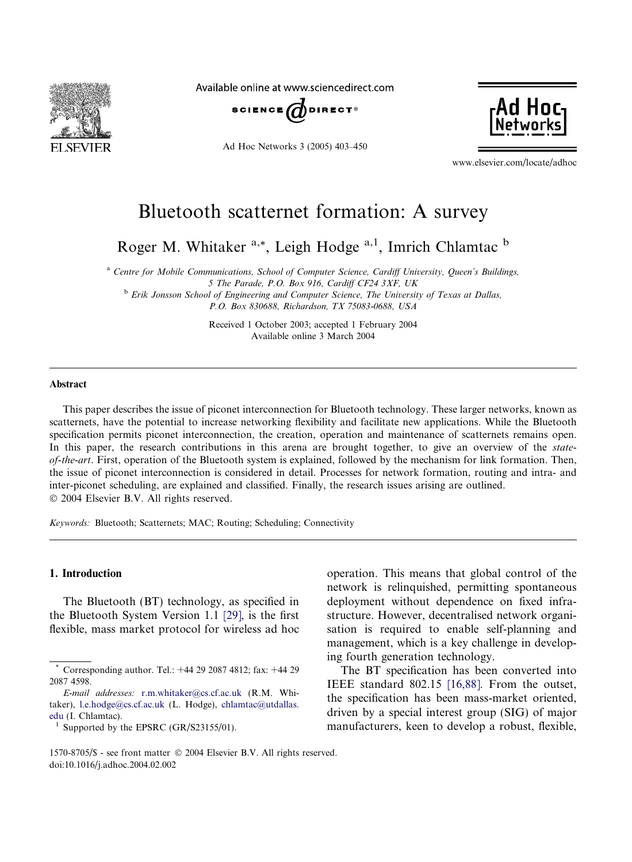

Available online at www.sciencedirect.com



Ad Hoc Networks 3 (2005) 403–450



www.elsevier.com/locate/adhoc

# Bluetooth scatternet formation: A survey

Roger M. Whitaker  $a,*$ , Leigh Hodge  $a,1$ , Imrich Chlamtac  $b$ 

a Centre for Mobile Communications, School of Computer Science, Cardiff University, Queen's Buildings, 5 The Parade, P.O. Box 916, Cardiff CF24 3XF, UK <sup>b</sup> Erik Jonsson School of Engineering and Computer Science, The University of Texas at Dallas, P.O. Box 830688, Richardson, TX 75083-0688, USA

> Received 1 October 2003; accepted 1 February 2004 Available online 3 March 2004

#### Abstract

This paper describes the issue of piconet interconnection for Bluetooth technology. These larger networks, known as scatternets, have the potential to increase networking flexibility and facilitate new applications. While the Bluetooth specification permits piconet interconnection, the creation, operation and maintenance of scatternets remains open. In this paper, the research contributions in this arena are brought together, to give an overview of the *state*of-the-art. First, operation of the Bluetooth system is explained, followed by the mechanism for link formation. Then, the issue of piconet interconnection is considered in detail. Processes for network formation, routing and intra- and inter-piconet scheduling, are explained and classified. Finally, the research issues arising are outlined. 2004 Elsevier B.V. All rights reserved.

Keywords: Bluetooth; Scatternets; MAC; Routing; Scheduling; Connectivity

#### 1. Introduction

The Bluetooth (BT) technology, as specified in the Bluetooth System Version 1.1 [\[29\],](#page-44-0) is the first flexible, mass market protocol for wireless ad hoc operation. This means that global control of the network is relinquished, permitting spontaneous deployment without dependence on fixed infrastructure. However, decentralised network organisation is required to enable self-planning and management, which is a key challenge in developing fourth generation technology.

The BT specification has been converted into IEEE standard 802.15 [\[16,88\]](#page-44-0). From the outset, the specification has been mass-market oriented, driven by a special interest group (SIG) of major manufacturers, keen to develop a robust, flexible,

Corresponding author. Tel.: +44 29 2087 4812; fax: +44 29 2087 4598.

E-mail addresses: [r.m.whitaker@cs.cf.ac.uk](mailto:r.m.whitaker@cs.cf.ac.uk) (R.M. Whitaker), [l.e.hodge@cs.cf.ac.uk](mailto:l.e.hodge@cs.cf.ac.uk) (L. Hodge), [chlamtac@utdallas.](mailto:chlamtac@utdallas. edu) [edu](mailto:chlamtac@utdallas. edu) (I. Chlamtac).<br><sup>1</sup> Supported by the EPSRC (GR/S23155/01).

<sup>1570-8705/\$ -</sup> see front matter 2004 Elsevier B.V. All rights reserved. doi:10.1016/j.adhoc.2004.02.002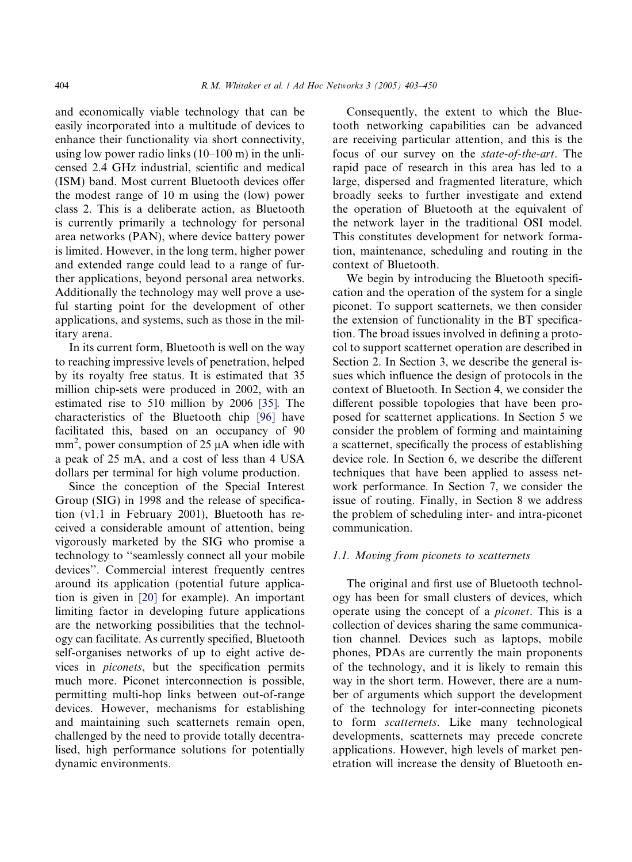and economically viable technology that can be easily incorporated into a multitude of devices to enhance their functionality via short connectivity, using low power radio links (10–100 m) in the unlicensed 2.4 GHz industrial, scientific and medical (ISM) band. Most current Bluetooth devices offer the modest range of 10 m using the (low) power class 2. This is a deliberate action, as Bluetooth is currently primarily a technology for personal area networks (PAN), where device battery power is limited. However, in the long term, higher power and extended range could lead to a range of further applications, beyond personal area networks. Additionally the technology may well prove a useful starting point for the development of other applications, and systems, such as those in the military arena.

In its current form, Bluetooth is well on the way to reaching impressive levels of penetration, helped by its royalty free status. It is estimated that 35 million chip-sets were produced in 2002, with an estimated rise to 510 million by 2006 [\[35\]](#page-45-0). The characteristics of the Bluetooth chip [\[96\]](#page-47-0) have facilitated this, based on an occupancy of 90  $mm<sup>2</sup>$ , power consumption of 25  $\mu$ A when idle with a peak of 25 mA, and a cost of less than 4 USA dollars per terminal for high volume production.

Since the conception of the Special Interest Group (SIG) in 1998 and the release of specification (v1.1 in February 2001), Bluetooth has received a considerable amount of attention, being vigorously marketed by the SIG who promise a technology to ''seamlessly connect all your mobile devices''. Commercial interest frequently centres around its application (potential future application is given in [\[20\]](#page-44-0) for example). An important limiting factor in developing future applications are the networking possibilities that the technology can facilitate. As currently specified, Bluetooth self-organises networks of up to eight active devices in piconets, but the specification permits much more. Piconet interconnection is possible, permitting multi-hop links between out-of-range devices. However, mechanisms for establishing and maintaining such scatternets remain open, challenged by the need to provide totally decentralised, high performance solutions for potentially dynamic environments.

Consequently, the extent to which the Bluetooth networking capabilities can be advanced are receiving particular attention, and this is the focus of our survey on the state-of-the-art. The rapid pace of research in this area has led to a large, dispersed and fragmented literature, which broadly seeks to further investigate and extend the operation of Bluetooth at the equivalent of the network layer in the traditional OSImodel. This constitutes development for network formation, maintenance, scheduling and routing in the context of Bluetooth.

We begin by introducing the Bluetooth specification and the operation of the system for a single piconet. To support scatternets, we then consider the extension of functionality in the BT specification. The broad issues involved in defining a protocol to support scatternet operation are described in Section 2. In Section 3, we describe the general issues which influence the design of protocols in the context of Bluetooth. In Section 4, we consider the different possible topologies that have been proposed for scatternet applications. In Section 5 we consider the problem of forming and maintaining a scatternet, specifically the process of establishing device role. In Section 6, we describe the different techniques that have been applied to assess network performance. In Section 7, we consider the issue of routing. Finally, in Section 8 we address the problem of scheduling inter- and intra-piconet communication.

## 1.1. Moving from piconets to scatternets

The original and first use of Bluetooth technology has been for small clusters of devices, which operate using the concept of a piconet. This is a collection of devices sharing the same communication channel. Devices such as laptops, mobile phones, PDAs are currently the main proponents of the technology, and it is likely to remain this way in the short term. However, there are a number of arguments which support the development of the technology for inter-connecting piconets to form scatternets. Like many technological developments, scatternets may precede concrete applications. However, high levels of market penetration will increase the density of Bluetooth en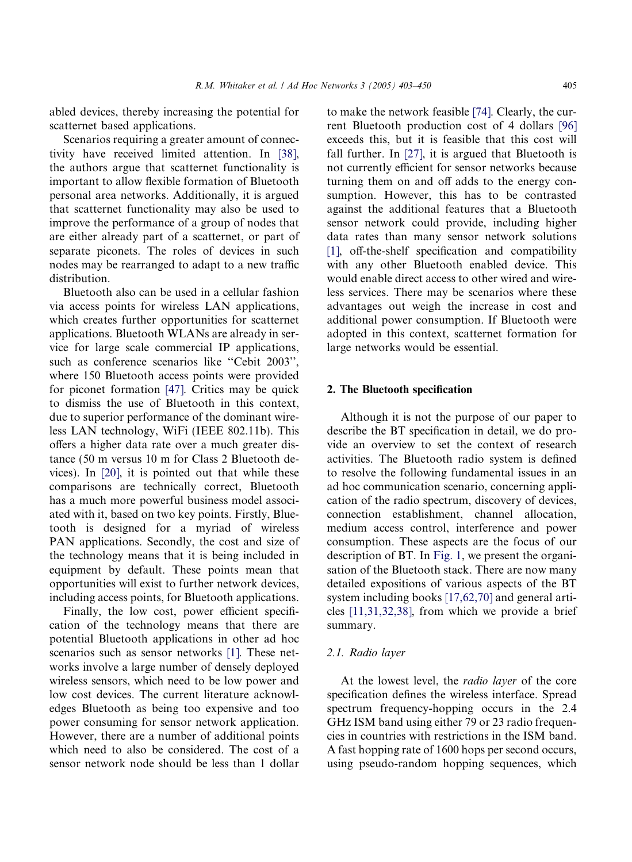abled devices, thereby increasing the potential for scatternet based applications.

Scenarios requiring a greater amount of connectivity have received limited attention. In [\[38\]](#page-45-0), the authors argue that scatternet functionality is important to allow flexible formation of Bluetooth personal area networks. Additionally, it is argued that scatternet functionality may also be used to improve the performance of a group of nodes that are either already part of a scatternet, or part of separate piconets. The roles of devices in such nodes may be rearranged to adapt to a new traffic distribution.

Bluetooth also can be used in a cellular fashion via access points for wireless LAN applications, which creates further opportunities for scatternet applications. Bluetooth WLANs are already in service for large scale commercial IP applications, such as conference scenarios like "Cebit 2003", where 150 Bluetooth access points were provided for piconet formation [\[47\].](#page-45-0) Critics may be quick to dismiss the use of Bluetooth in this context, due to superior performance of the dominant wireless LAN technology, WiFi (IEEE 802.11b). This offers a higher data rate over a much greater distance (50 m versus 10 m for Class 2 Bluetooth devices). In [\[20\],](#page-44-0) it is pointed out that while these comparisons are technically correct, Bluetooth has a much more powerful business model associated with it, based on two key points. Firstly, Bluetooth is designed for a myriad of wireless PAN applications. Secondly, the cost and size of the technology means that it is being included in equipment by default. These points mean that opportunities will exist to further network devices, including access points, for Bluetooth applications.

Finally, the low cost, power efficient specification of the technology means that there are potential Bluetooth applications in other ad hoc scenarios such as sensor networks [\[1\].](#page-43-0) These networks involve a large number of densely deployed wireless sensors, which need to be low power and low cost devices. The current literature acknowledges Bluetooth as being too expensive and too power consuming for sensor network application. However, there are a number of additional points which need to also be considered. The cost of a sensor network node should be less than 1 dollar to make the network feasible [\[74\]](#page-46-0). Clearly, the current Bluetooth production cost of 4 dollars [\[96\]](#page-47-0) exceeds this, but it is feasible that this cost will fall further. In [\[27\],](#page-44-0) it is argued that Bluetooth is not currently efficient for sensor networks because turning them on and off adds to the energy consumption. However, this has to be contrasted against the additional features that a Bluetooth sensor network could provide, including higher data rates than many sensor network solutions [\[1\]](#page-43-0), off-the-shelf specification and compatibility with any other Bluetooth enabled device. This would enable direct access to other wired and wireless services. There may be scenarios where these advantages out weigh the increase in cost and additional power consumption. If Bluetooth were adopted in this context, scatternet formation for large networks would be essential.

## 2. The Bluetooth specification

Although it is not the purpose of our paper to describe the BT specification in detail, we do provide an overview to set the context of research activities. The Bluetooth radio system is defined to resolve the following fundamental issues in an ad hoc communication scenario, concerning application of the radio spectrum, discovery of devices, connection establishment, channel allocation, medium access control, interference and power consumption. These aspects are the focus of our description of BT. In [Fig. 1,](#page-3-0) we present the organisation of the Bluetooth stack. There are now many detailed expositions of various aspects of the BT system including books [\[17,62,70\]](#page-44-0) and general articles [\[11,31,32,38\],](#page-44-0) from which we provide a brief summary.

#### 2.1. Radio layer

At the lowest level, the radio layer of the core specification defines the wireless interface. Spread spectrum frequency-hopping occurs in the 2.4 GHz ISM band using either 79 or 23 radio frequencies in countries with restrictions in the ISM band. A fast hopping rate of 1600 hops per second occurs, using pseudo-random hopping sequences, which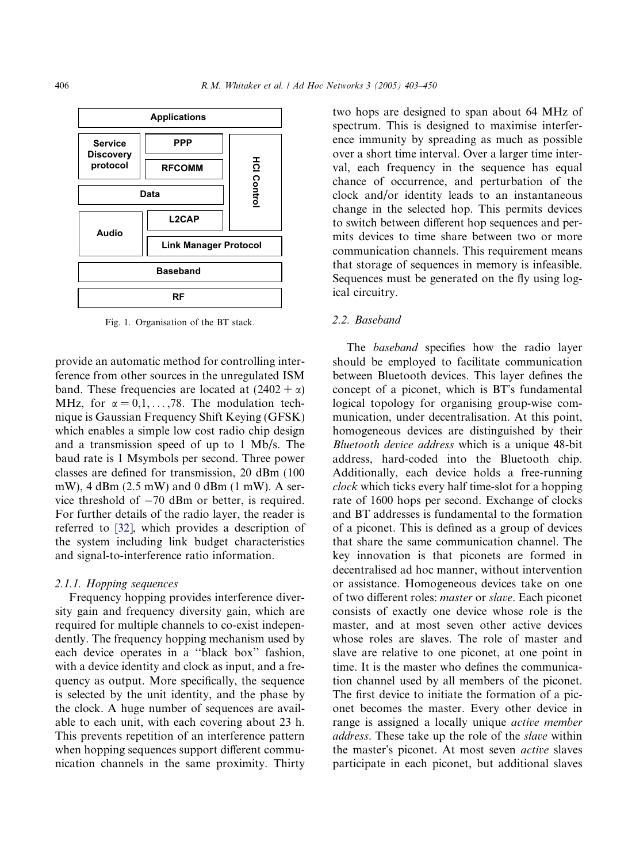<span id="page-3-0"></span>

Fig. 1. Organisation of the BT stack.

provide an automatic method for controlling interference from other sources in the unregulated ISM band. These frequencies are located at  $(2402 + \alpha)$ MHz, for  $\alpha = 0, 1, \ldots, 78$ . The modulation technique is Gaussian Frequency Shift Keying (GFSK) which enables a simple low cost radio chip design and a transmission speed of up to 1 Mb/s. The baud rate is 1 Msymbols per second. Three power classes are defined for transmission, 20 dBm (100 mW), 4 dBm (2.5 mW) and 0 dBm (1 mW). A service threshold of  $-70$  dBm or better, is required. For further details of the radio layer, the reader is referred to [\[32\]](#page-45-0), which provides a description of the system including link budget characteristics and signal-to-interference ratio information.

#### 2.1.1. Hopping sequences

Frequency hopping provides interference diversity gain and frequency diversity gain, which are required for multiple channels to co-exist independently. The frequency hopping mechanism used by each device operates in a ''black box'' fashion, with a device identity and clock as input, and a frequency as output. More specifically, the sequence is selected by the unit identity, and the phase by the clock. A huge number of sequences are available to each unit, with each covering about 23 h. This prevents repetition of an interference pattern when hopping sequences support different communication channels in the same proximity. Thirty two hops are designed to span about 64 MHz of spectrum. This is designed to maximise interference immunity by spreading as much as possible over a short time interval. Over a larger time interval, each frequency in the sequence has equal chance of occurrence, and perturbation of the clock and/or identity leads to an instantaneous change in the selected hop. This permits devices to switch between different hop sequences and permits devices to time share between two or more communication channels. This requirement means that storage of sequences in memory is infeasible. Sequences must be generated on the fly using logical circuitry.

## 2.2. Baseband

The *baseband* specifies how the radio layer should be employed to facilitate communication between Bluetooth devices. This layer defines the concept of a piconet, which is BT's fundamental logical topology for organising group-wise communication, under decentralisation. At this point, homogeneous devices are distinguished by their Bluetooth device address which is a unique 48-bit address, hard-coded into the Bluetooth chip. Additionally, each device holds a free-running clock which ticks every half time-slot for a hopping rate of 1600 hops per second. Exchange of clocks and BT addresses is fundamental to the formation of a piconet. This is defined as a group of devices that share the same communication channel. The key innovation is that piconets are formed in decentralised ad hoc manner, without intervention or assistance. Homogeneous devices take on one of two different roles: master or slave. Each piconet consists of exactly one device whose role is the master, and at most seven other active devices whose roles are slaves. The role of master and slave are relative to one piconet, at one point in time. It is the master who defines the communication channel used by all members of the piconet. The first device to initiate the formation of a piconet becomes the master. Every other device in range is assigned a locally unique active member address. These take up the role of the slave within the master's piconet. At most seven *active* slaves participate in each piconet, but additional slaves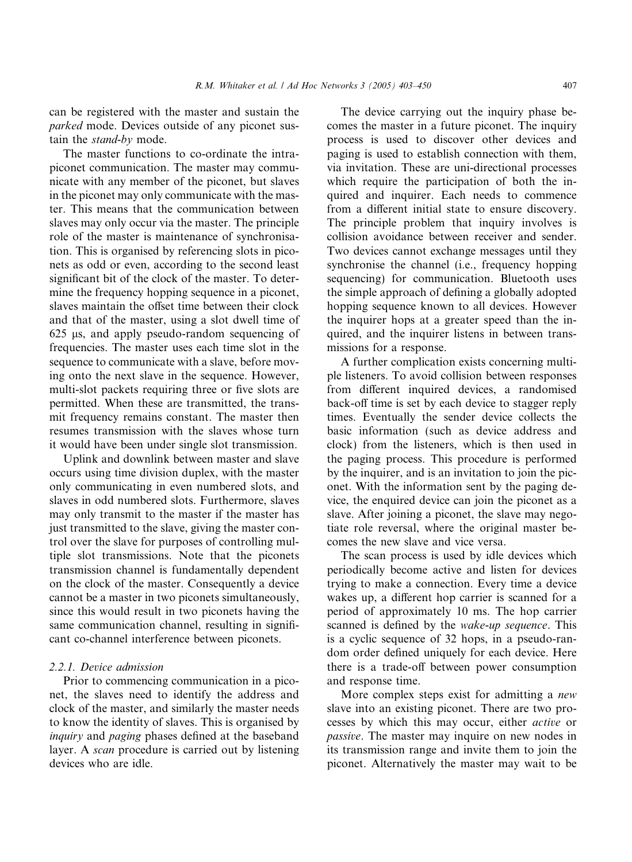can be registered with the master and sustain the parked mode. Devices outside of any piconet sustain the stand-by mode.

The master functions to co-ordinate the intrapiconet communication. The master may communicate with any member of the piconet, but slaves in the piconet may only communicate with the master. This means that the communication between slaves may only occur via the master. The principle role of the master is maintenance of synchronisation. This is organised by referencing slots in piconets as odd or even, according to the second least significant bit of the clock of the master. To determine the frequency hopping sequence in a piconet, slaves maintain the offset time between their clock and that of the master, using a slot dwell time of 625 ls, and apply pseudo-random sequencing of frequencies. The master uses each time slot in the sequence to communicate with a slave, before moving onto the next slave in the sequence. However, multi-slot packets requiring three or five slots are permitted. When these are transmitted, the transmit frequency remains constant. The master then resumes transmission with the slaves whose turn it would have been under single slot transmission.

Uplink and downlink between master and slave occurs using time division duplex, with the master only communicating in even numbered slots, and slaves in odd numbered slots. Furthermore, slaves may only transmit to the master if the master has just transmitted to the slave, giving the master control over the slave for purposes of controlling multiple slot transmissions. Note that the piconets transmission channel is fundamentally dependent on the clock of the master. Consequently a device cannot be a master in two piconets simultaneously, since this would result in two piconets having the same communication channel, resulting in significant co-channel interference between piconets.

## 2.2.1. Device admission

Prior to commencing communication in a piconet, the slaves need to identify the address and clock of the master, and similarly the master needs to know the identity of slaves. This is organised by inquiry and paging phases defined at the baseband layer. A scan procedure is carried out by listening devices who are idle.

The device carrying out the inquiry phase becomes the master in a future piconet. The inquiry process is used to discover other devices and paging is used to establish connection with them, via invitation. These are uni-directional processes which require the participation of both the inquired and inquirer. Each needs to commence from a different initial state to ensure discovery. The principle problem that inquiry involves is collision avoidance between receiver and sender. Two devices cannot exchange messages until they synchronise the channel (i.e., frequency hopping sequencing) for communication. Bluetooth uses the simple approach of defining a globally adopted hopping sequence known to all devices. However the inquirer hops at a greater speed than the inquired, and the inquirer listens in between transmissions for a response.

A further complication exists concerning multiple listeners. To avoid collision between responses from different inquired devices, a randomised back-off time is set by each device to stagger reply times. Eventually the sender device collects the basic information (such as device address and clock) from the listeners, which is then used in the paging process. This procedure is performed by the inquirer, and is an invitation to join the piconet. With the information sent by the paging device, the enquired device can join the piconet as a slave. After joining a piconet, the slave may negotiate role reversal, where the original master becomes the new slave and vice versa.

The scan process is used by idle devices which periodically become active and listen for devices trying to make a connection. Every time a device wakes up, a different hop carrier is scanned for a period of approximately 10 ms. The hop carrier scanned is defined by the wake-up sequence. This is a cyclic sequence of 32 hops, in a pseudo-random order defined uniquely for each device. Here there is a trade-off between power consumption and response time.

More complex steps exist for admitting a new slave into an existing piconet. There are two processes by which this may occur, either active or passive. The master may inquire on new nodes in its transmission range and invite them to join the piconet. Alternatively the master may wait to be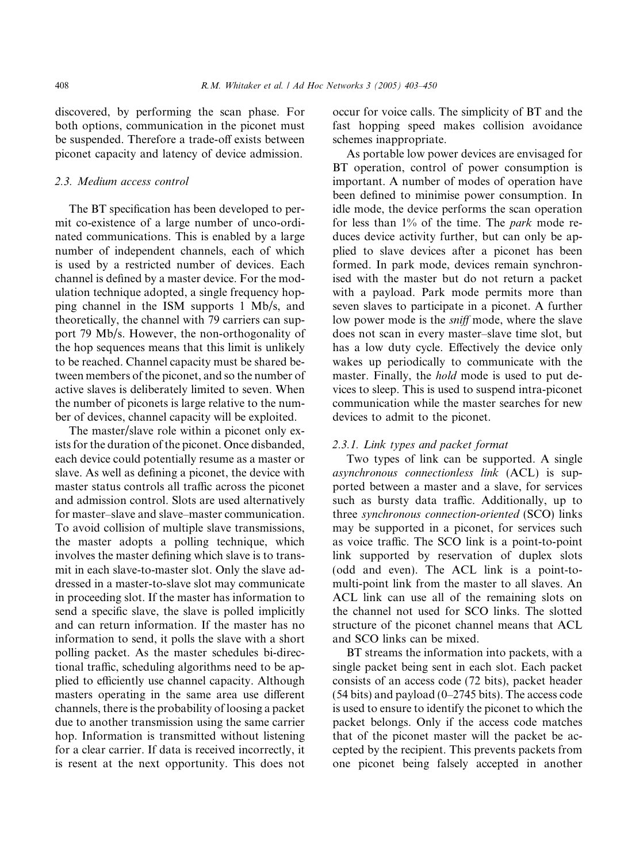discovered, by performing the scan phase. For both options, communication in the piconet must be suspended. Therefore a trade-off exists between piconet capacity and latency of device admission.

## 2.3. Medium access control

The BT specification has been developed to permit co-existence of a large number of unco-ordinated communications. This is enabled by a large number of independent channels, each of which is used by a restricted number of devices. Each channel is defined by a master device. For the modulation technique adopted, a single frequency hopping channel in the ISM supports 1 Mb/s, and theoretically, the channel with 79 carriers can support 79 Mb/s. However, the non-orthogonality of the hop sequences means that this limit is unlikely to be reached. Channel capacity must be shared between members of the piconet, and so the number of active slaves is deliberately limited to seven. When the number of piconets is large relative to the number of devices, channel capacity will be exploited.

The master/slave role within a piconet only exists for the duration of the piconet. Once disbanded, each device could potentially resume as a master or slave. As well as defining a piconet, the device with master status controls all traffic across the piconet and admission control. Slots are used alternatively for master–slave and slave–master communication. To avoid collision of multiple slave transmissions, the master adopts a polling technique, which involves the master defining which slave is to transmit in each slave-to-master slot. Only the slave addressed in a master-to-slave slot may communicate in proceeding slot. If the master has information to send a specific slave, the slave is polled implicitly and can return information. If the master has no information to send, it polls the slave with a short polling packet. As the master schedules bi-directional traffic, scheduling algorithms need to be applied to efficiently use channel capacity. Although masters operating in the same area use different channels, there is the probability of loosing a packet due to another transmission using the same carrier hop. Information is transmitted without listening for a clear carrier. If data is received incorrectly, it is resent at the next opportunity. This does not occur for voice calls. The simplicity of BT and the fast hopping speed makes collision avoidance schemes inappropriate.

As portable low power devices are envisaged for BT operation, control of power consumption is important. A number of modes of operation have been defined to minimise power consumption. In idle mode, the device performs the scan operation for less than 1% of the time. The park mode reduces device activity further, but can only be applied to slave devices after a piconet has been formed. In park mode, devices remain synchronised with the master but do not return a packet with a payload. Park mode permits more than seven slaves to participate in a piconet. A further low power mode is the *sniff* mode, where the slave does not scan in every master–slave time slot, but has a low duty cycle. Effectively the device only wakes up periodically to communicate with the master. Finally, the *hold* mode is used to put devices to sleep. This is used to suspend intra-piconet communication while the master searches for new devices to admit to the piconet.

## 2.3.1. Link types and packet format

Two types of link can be supported. A single asynchronous connectionless link (ACL) is supported between a master and a slave, for services such as bursty data traffic. Additionally, up to three synchronous connection-oriented (SCO) links may be supported in a piconet, for services such as voice traffic. The SCO link is a point-to-point link supported by reservation of duplex slots (odd and even). The ACL link is a point-tomulti-point link from the master to all slaves. An ACL link can use all of the remaining slots on the channel not used for SCO links. The slotted structure of the piconet channel means that ACL and SCO links can be mixed.

BT streams the information into packets, with a single packet being sent in each slot. Each packet consists of an access code (72 bits), packet header  $(54 \text{ bits})$  and payload  $(0-2745 \text{ bits})$ . The access code is used to ensure to identify the piconet to which the packet belongs. Only if the access code matches that of the piconet master will the packet be accepted by the recipient. This prevents packets from one piconet being falsely accepted in another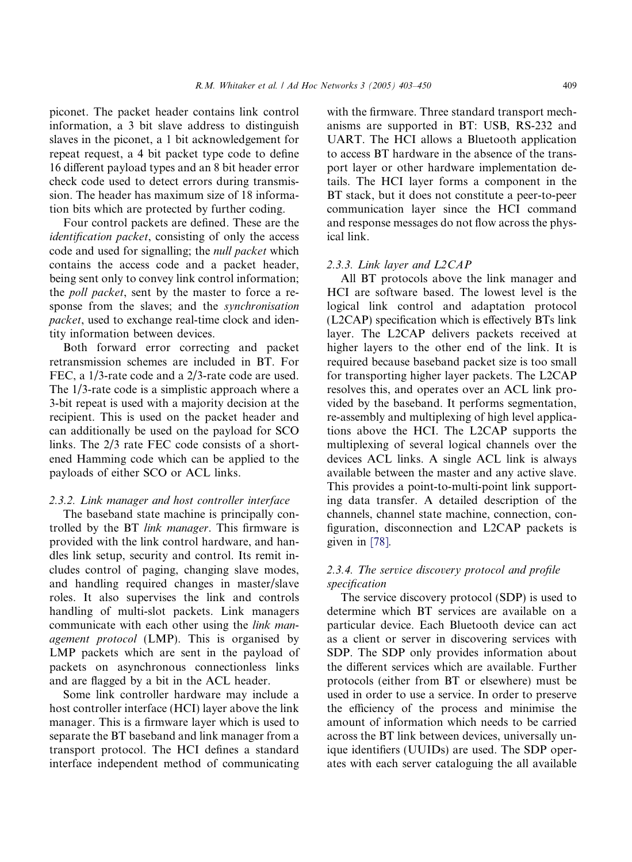piconet. The packet header contains link control information, a 3 bit slave address to distinguish slaves in the piconet, a 1 bit acknowledgement for repeat request, a 4 bit packet type code to define 16 different payload types and an 8 bit header error check code used to detect errors during transmission. The header has maximum size of 18 information bits which are protected by further coding.

Four control packets are defined. These are the identification packet, consisting of only the access code and used for signalling; the null packet which contains the access code and a packet header, being sent only to convey link control information; the poll packet, sent by the master to force a response from the slaves; and the synchronisation packet, used to exchange real-time clock and identity information between devices.

Both forward error correcting and packet retransmission schemes are included in BT. For FEC, a 1/3-rate code and a 2/3-rate code are used. The 1/3-rate code is a simplistic approach where a 3-bit repeat is used with a majority decision at the recipient. This is used on the packet header and can additionally be used on the payload for SCO links. The 2/3 rate FEC code consists of a shortened Hamming code which can be applied to the payloads of either SCO or ACL links.

# 2.3.2. Link manager and host controller interface

The baseband state machine is principally controlled by the BT link manager. This firmware is provided with the link control hardware, and handles link setup, security and control. Its remit includes control of paging, changing slave modes, and handling required changes in master/slave roles. It also supervises the link and controls handling of multi-slot packets. Link managers communicate with each other using the *link man*agement protocol (LMP). This is organised by LMP packets which are sent in the payload of packets on asynchronous connectionless links and are flagged by a bit in the ACL header.

Some link controller hardware may include a host controller interface (HCI) layer above the link manager. This is a firmware layer which is used to separate the BT baseband and link manager from a transport protocol. The HCI defines a standard interface independent method of communicating with the firmware. Three standard transport mechanisms are supported in BT: USB, RS-232 and UART. The HCI allows a Bluetooth application to access BT hardware in the absence of the transport layer or other hardware implementation details. The HCIlayer forms a component in the BT stack, but it does not constitute a peer-to-peer communication layer since the HCI command and response messages do not flow across the physical link.

## 2.3.3. Link layer and L2CAP

All BT protocols above the link manager and HCIare software based. The lowest level is the logical link control and adaptation protocol (L2CAP) specification which is effectively BTs link layer. The L2CAP delivers packets received at higher layers to the other end of the link. It is required because baseband packet size is too small for transporting higher layer packets. The L2CAP resolves this, and operates over an ACL link provided by the baseband. It performs segmentation, re-assembly and multiplexing of high level applications above the HCI. The L2CAP supports the multiplexing of several logical channels over the devices ACL links. A single ACL link is always available between the master and any active slave. This provides a point-to-multi-point link supporting data transfer. A detailed description of the channels, channel state machine, connection, configuration, disconnection and L2CAP packets is given in [\[78\]](#page-46-0).

# 2.3.4. The service discovery protocol and profile specification

The service discovery protocol (SDP) is used to determine which BT services are available on a particular device. Each Bluetooth device can act as a client or server in discovering services with SDP. The SDP only provides information about the different services which are available. Further protocols (either from BT or elsewhere) must be used in order to use a service. In order to preserve the efficiency of the process and minimise the amount of information which needs to be carried across the BT link between devices, universally unique identifiers (UUIDs) are used. The SDP operates with each server cataloguing the all available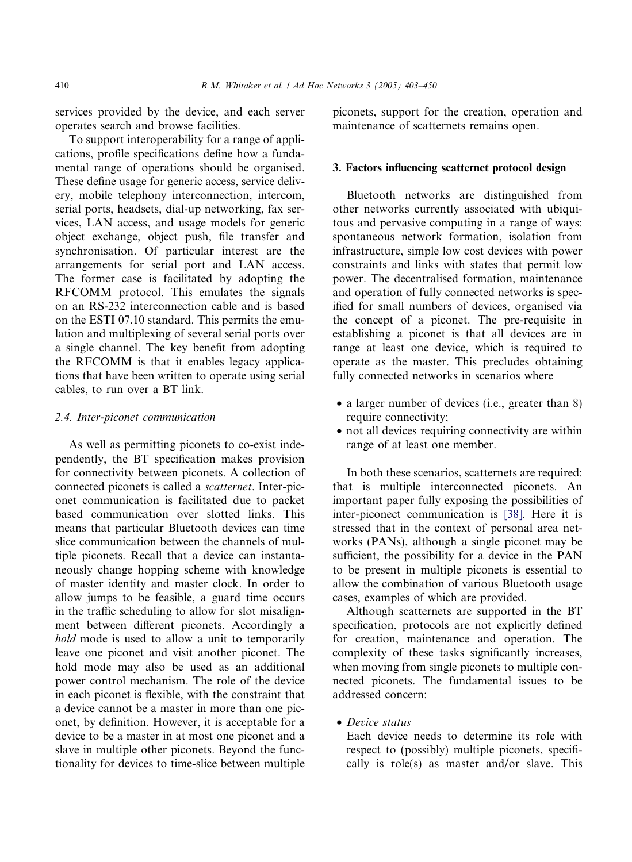services provided by the device, and each server operates search and browse facilities.

To support interoperability for a range of applications, profile specifications define how a fundamental range of operations should be organised. These define usage for generic access, service delivery, mobile telephony interconnection, intercom, serial ports, headsets, dial-up networking, fax services, LAN access, and usage models for generic object exchange, object push, file transfer and synchronisation. Of particular interest are the arrangements for serial port and LAN access. The former case is facilitated by adopting the RFCOMM protocol. This emulates the signals on an RS-232 interconnection cable and is based on the ESTI07.10 standard. This permits the emulation and multiplexing of several serial ports over a single channel. The key benefit from adopting the RFCOMM is that it enables legacy applications that have been written to operate using serial cables, to run over a BT link.

## 2.4. Inter-piconet communication

As well as permitting piconets to co-exist independently, the BT specification makes provision for connectivity between piconets. A collection of connected piconets is called a scatternet. Inter-piconet communication is facilitated due to packet based communication over slotted links. This means that particular Bluetooth devices can time slice communication between the channels of multiple piconets. Recall that a device can instantaneously change hopping scheme with knowledge of master identity and master clock. In order to allow jumps to be feasible, a guard time occurs in the traffic scheduling to allow for slot misalignment between different piconets. Accordingly a hold mode is used to allow a unit to temporarily leave one piconet and visit another piconet. The hold mode may also be used as an additional power control mechanism. The role of the device in each piconet is flexible, with the constraint that a device cannot be a master in more than one piconet, by definition. However, it is acceptable for a device to be a master in at most one piconet and a slave in multiple other piconets. Beyond the functionality for devices to time-slice between multiple piconets, support for the creation, operation and maintenance of scatternets remains open.

## 3. Factors influencing scatternet protocol design

Bluetooth networks are distinguished from other networks currently associated with ubiquitous and pervasive computing in a range of ways: spontaneous network formation, isolation from infrastructure, simple low cost devices with power constraints and links with states that permit low power. The decentralised formation, maintenance and operation of fully connected networks is specified for small numbers of devices, organised via the concept of a piconet. The pre-requisite in establishing a piconet is that all devices are in range at least one device, which is required to operate as the master. This precludes obtaining fully connected networks in scenarios where

- a larger number of devices (i.e., greater than 8) require connectivity;
- not all devices requiring connectivity are within range of at least one member.

In both these scenarios, scatternets are required: that is multiple interconnected piconets. An important paper fully exposing the possibilities of inter-piconect communication is [\[38\].](#page-45-0) Here it is stressed that in the context of personal area networks (PANs), although a single piconet may be sufficient, the possibility for a device in the PAN to be present in multiple piconets is essential to allow the combination of various Bluetooth usage cases, examples of which are provided.

Although scatternets are supported in the BT specification, protocols are not explicitly defined for creation, maintenance and operation. The complexity of these tasks significantly increases, when moving from single piconets to multiple connected piconets. The fundamental issues to be addressed concern:

#### • Device status

Each device needs to determine its role with respect to (possibly) multiple piconets, specifically is role(s) as master and/or slave. This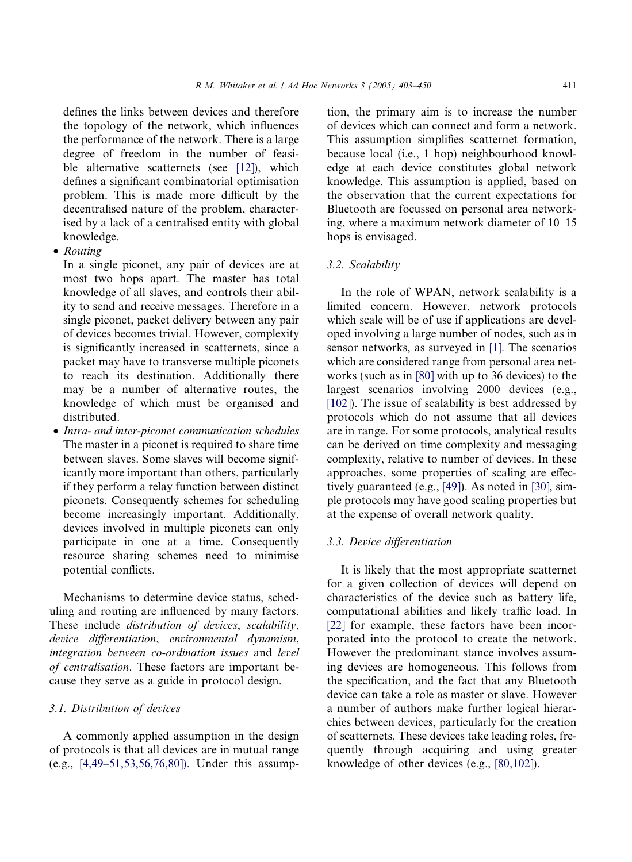defines the links between devices and therefore the topology of the network, which influences the performance of the network. There is a large degree of freedom in the number of feasi-ble alternative scatternets (see [\[12\]\)](#page-44-0), which defines a significant combinatorial optimisation problem. This is made more difficult by the decentralised nature of the problem, characterised by a lack of a centralised entity with global knowledge.

• Routing

In a single piconet, any pair of devices are at most two hops apart. The master has total knowledge of all slaves, and controls their ability to send and receive messages. Therefore in a single piconet, packet delivery between any pair of devices becomes trivial. However, complexity is significantly increased in scatternets, since a packet may have to transverse multiple piconets to reach its destination. Additionally there may be a number of alternative routes, the knowledge of which must be organised and distributed.

• Intra- and inter-piconet communication schedules The master in a piconet is required to share time between slaves. Some slaves will become significantly more important than others, particularly if they perform a relay function between distinct piconets. Consequently schemes for scheduling become increasingly important. Additionally, devices involved in multiple piconets can only participate in one at a time. Consequently resource sharing schemes need to minimise potential conflicts.

Mechanisms to determine device status, scheduling and routing are influenced by many factors. These include *distribution* of devices, scalability, device differentiation, environmental dynamism, integration between co-ordination issues and level of centralisation. These factors are important because they serve as a guide in protocol design.

## 3.1. Distribution of devices

A commonly applied assumption in the design of protocols is that all devices are in mutual range (e.g., [\[4,49–51,53,56,76,80\]\).](#page-44-0) Under this assumption, the primary aim is to increase the number of devices which can connect and form a network. This assumption simplifies scatternet formation, because local (i.e., 1 hop) neighbourhood knowledge at each device constitutes global network knowledge. This assumption is applied, based on the observation that the current expectations for Bluetooth are focussed on personal area networking, where a maximum network diameter of 10–15 hops is envisaged.

# 3.2. Scalability

In the role of WPAN, network scalability is a limited concern. However, network protocols which scale will be of use if applications are developed involving a large number of nodes, such as in sensor networks, as surveyed in [\[1\].](#page-43-0) The scenarios which are considered range from personal area networks (such as in [\[80\]](#page-46-0) with up to 36 devices) to the largest scenarios involving 2000 devices (e.g., [\[102\]](#page-47-0)). The issue of scalability is best addressed by protocols which do not assume that all devices are in range. For some protocols, analytical results can be derived on time complexity and messaging complexity, relative to number of devices. In these approaches, some properties of scaling are effectively guaranteed (e.g., [\[49\]\)](#page-45-0). As noted in [\[30\]](#page-44-0), simple protocols may have good scaling properties but at the expense of overall network quality.

## 3.3. Device differentiation

It is likely that the most appropriate scatternet for a given collection of devices will depend on characteristics of the device such as battery life, computational abilities and likely traffic load. In [\[22\]](#page-44-0) for example, these factors have been incorporated into the protocol to create the network. However the predominant stance involves assuming devices are homogeneous. This follows from the specification, and the fact that any Bluetooth device can take a role as master or slave. However a number of authors make further logical hierarchies between devices, particularly for the creation of scatternets. These devices take leading roles, frequently through acquiring and using greater knowledge of other devices (e.g., [\[80,102\]](#page-46-0)).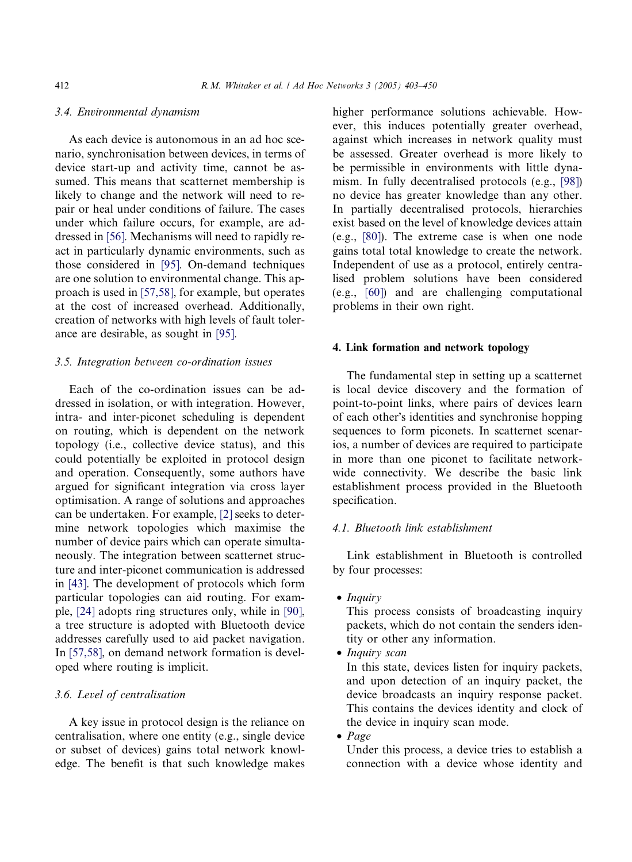## 3.4. Environmental dynamism

As each device is autonomous in an ad hoc scenario, synchronisation between devices, in terms of device start-up and activity time, cannot be assumed. This means that scatternet membership is likely to change and the network will need to repair or heal under conditions of failure. The cases under which failure occurs, for example, are addressed in [\[56\].](#page-45-0) Mechanisms will need to rapidly react in particularly dynamic environments, such as those considered in [\[95\]](#page-47-0). On-demand techniques are one solution to environmental change. This approach is used in [\[57,58\]](#page-45-0), for example, but operates at the cost of increased overhead. Additionally, creation of networks with high levels of fault tolerance are desirable, as sought in [\[95\]](#page-47-0).

## 3.5. Integration between co-ordination issues

Each of the co-ordination issues can be addressed in isolation, or with integration. However, intra- and inter-piconet scheduling is dependent on routing, which is dependent on the network topology (i.e., collective device status), and this could potentially be exploited in protocol design and operation. Consequently, some authors have argued for significant integration via cross layer optimisation. A range of solutions and approaches can be undertaken. For example, [\[2\]](#page-44-0) seeks to determine network topologies which maximise the number of device pairs which can operate simultaneously. The integration between scatternet structure and inter-piconet communication is addressed in [\[43\]](#page-45-0). The development of protocols which form particular topologies can aid routing. For example, [\[24\]](#page-44-0) adopts ring structures only, while in [\[90\],](#page-46-0) a tree structure is adopted with Bluetooth device addresses carefully used to aid packet navigation. In [\[57,58\],](#page-45-0) on demand network formation is developed where routing is implicit.

## 3.6. Level of centralisation

A key issue in protocol design is the reliance on centralisation, where one entity (e.g., single device or subset of devices) gains total network knowledge. The benefit is that such knowledge makes higher performance solutions achievable. However, this induces potentially greater overhead, against which increases in network quality must be assessed. Greater overhead is more likely to be permissible in environments with little dynamism. In fully decentralised protocols (e.g., [\[98\]](#page-47-0)) no device has greater knowledge than any other. In partially decentralised protocols, hierarchies exist based on the level of knowledge devices attain (e.g., [\[80\]\)](#page-46-0). The extreme case is when one node gains total total knowledge to create the network. Independent of use as a protocol, entirely centralised problem solutions have been considered (e.g., [\[60\]\)](#page-45-0) and are challenging computational problems in their own right.

## 4. Link formation and network topology

The fundamental step in setting up a scatternet is local device discovery and the formation of point-to-point links, where pairs of devices learn of each other's identities and synchronise hopping sequences to form piconets. In scatternet scenarios, a number of devices are required to participate in more than one piconet to facilitate networkwide connectivity. We describe the basic link establishment process provided in the Bluetooth specification.

## 4.1. Bluetooth link establishment

Link establishment in Bluetooth is controlled by four processes:

• Inquiry

This process consists of broadcasting inquiry packets, which do not contain the senders identity or other any information.

• Inquiry scan

In this state, devices listen for inquiry packets, and upon detection of an inquiry packet, the device broadcasts an inquiry response packet. This contains the devices identity and clock of the device in inquiry scan mode.

• Page

Under this process, a device tries to establish a connection with a device whose identity and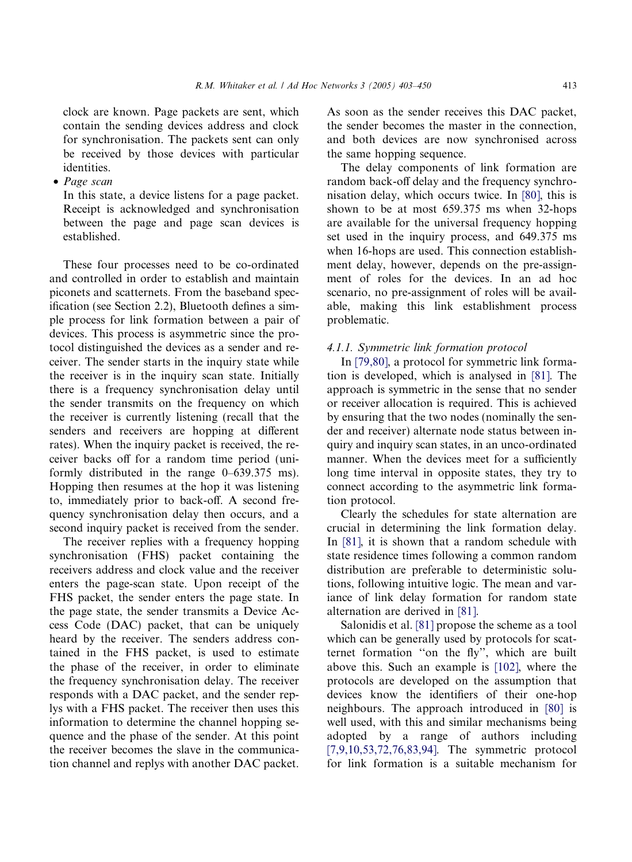clock are known. Page packets are sent, which contain the sending devices address and clock for synchronisation. The packets sent can only be received by those devices with particular identities.

• Page scan

In this state, a device listens for a page packet. Receipt is acknowledged and synchronisation between the page and page scan devices is established.

These four processes need to be co-ordinated and controlled in order to establish and maintain piconets and scatternets. From the baseband specification (see Section 2.2), Bluetooth defines a simple process for link formation between a pair of devices. This process is asymmetric since the protocol distinguished the devices as a sender and receiver. The sender starts in the inquiry state while the receiver is in the inquiry scan state. Initially there is a frequency synchronisation delay until the sender transmits on the frequency on which the receiver is currently listening (recall that the senders and receivers are hopping at different rates). When the inquiry packet is received, the receiver backs off for a random time period (uniformly distributed in the range 0–639.375 ms). Hopping then resumes at the hop it was listening to, immediately prior to back-off. A second frequency synchronisation delay then occurs, and a second inquiry packet is received from the sender.

The receiver replies with a frequency hopping synchronisation (FHS) packet containing the receivers address and clock value and the receiver enters the page-scan state. Upon receipt of the FHS packet, the sender enters the page state. In the page state, the sender transmits a Device Access Code (DAC) packet, that can be uniquely heard by the receiver. The senders address contained in the FHS packet, is used to estimate the phase of the receiver, in order to eliminate the frequency synchronisation delay. The receiver responds with a DAC packet, and the sender replys with a FHS packet. The receiver then uses this information to determine the channel hopping sequence and the phase of the sender. At this point the receiver becomes the slave in the communication channel and replys with another DAC packet.

As soon as the sender receives this DAC packet, the sender becomes the master in the connection, and both devices are now synchronised across the same hopping sequence.

The delay components of link formation are random back-off delay and the frequency synchronisation delay, which occurs twice. In [\[80\],](#page-46-0) this is shown to be at most 659.375 ms when 32-hops are available for the universal frequency hopping set used in the inquiry process, and 649.375 ms when 16-hops are used. This connection establishment delay, however, depends on the pre-assignment of roles for the devices. In an ad hoc scenario, no pre-assignment of roles will be available, making this link establishment process problematic.

#### 4.1.1. Symmetric link formation protocol

In [\[79,80\],](#page-46-0) a protocol for symmetric link formation is developed, which is analysed in [\[81\]](#page-46-0). The approach is symmetric in the sense that no sender or receiver allocation is required. This is achieved by ensuring that the two nodes (nominally the sender and receiver) alternate node status between inquiry and inquiry scan states, in an unco-ordinated manner. When the devices meet for a sufficiently long time interval in opposite states, they try to connect according to the asymmetric link formation protocol.

Clearly the schedules for state alternation are crucial in determining the link formation delay. In [\[81\]](#page-46-0), it is shown that a random schedule with state residence times following a common random distribution are preferable to deterministic solutions, following intuitive logic. The mean and variance of link delay formation for random state alternation are derived in [\[81\].](#page-46-0)

Salonidis et al. [\[81\]](#page-46-0) propose the scheme as a tool which can be generally used by protocols for scatternet formation ''on the fly'', which are built above this. Such an example is [\[102\]](#page-47-0), where the protocols are developed on the assumption that devices know the identifiers of their one-hop neighbours. The approach introduced in [\[80\]](#page-46-0) is well used, with this and similar mechanisms being adopted by a range of authors including [\[7,9,10,53,72,76,83,94\].](#page-44-0) The symmetric protocol for link formation is a suitable mechanism for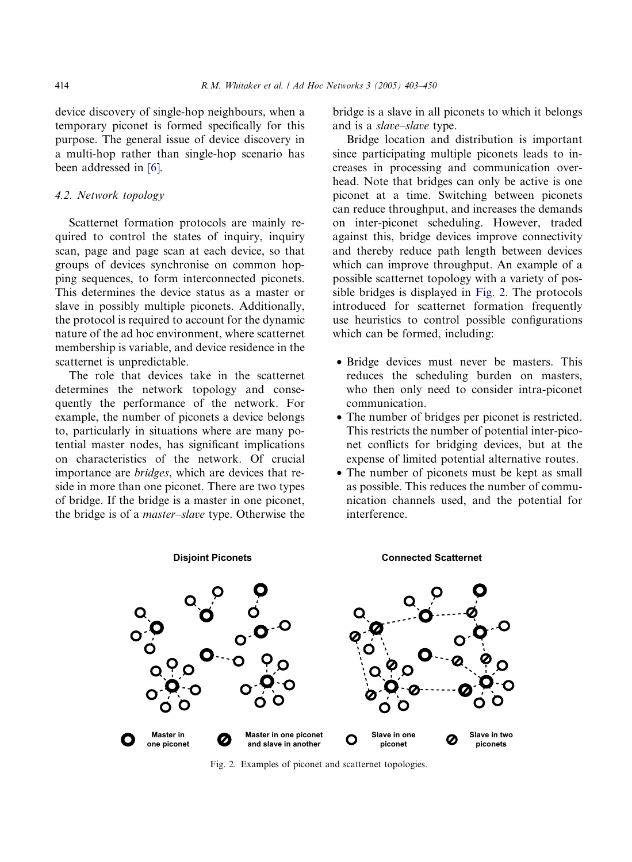device discovery of single-hop neighbours, when a temporary piconet is formed specifically for this purpose. The general issue of device discovery in a multi-hop rather than single-hop scenario has been addressed in [\[6\].](#page-44-0)

## 4.2. Network topology

Scatternet formation protocols are mainly required to control the states of inquiry, inquiry scan, page and page scan at each device, so that groups of devices synchronise on common hopping sequences, to form interconnected piconets. This determines the device status as a master or slave in possibly multiple piconets. Additionally, the protocol is required to account for the dynamic nature of the ad hoc environment, where scatternet membership is variable, and device residence in the scatternet is unpredictable.

The role that devices take in the scatternet determines the network topology and consequently the performance of the network. For example, the number of piconets a device belongs to, particularly in situations where are many potential master nodes, has significant implications on characteristics of the network. Of crucial importance are bridges, which are devices that reside in more than one piconet. There are two types of bridge. If the bridge is a master in one piconet, the bridge is of a master–slave type. Otherwise the bridge is a slave in all piconets to which it belongs and is a slave–slave type.

Bridge location and distribution is important since participating multiple piconets leads to increases in processing and communication overhead. Note that bridges can only be active is one piconet at a time. Switching between piconets can reduce throughput, and increases the demands on inter-piconet scheduling. However, traded against this, bridge devices improve connectivity and thereby reduce path length between devices which can improve throughput. An example of a possible scatternet topology with a variety of possible bridges is displayed in Fig. 2. The protocols introduced for scatternet formation frequently use heuristics to control possible configurations which can be formed, including:

- Bridge devices must never be masters. This reduces the scheduling burden on masters, who then only need to consider intra-piconet communication.
- The number of bridges per piconet is restricted. This restricts the number of potential inter-piconet conflicts for bridging devices, but at the expense of limited potential alternative routes.
- The number of piconets must be kept as small as possible. This reduces the number of communication channels used, and the potential for interference.



**Disjoint Piconets Connected Scatternet**

Fig. 2. Examples of piconet and scatternet topologies.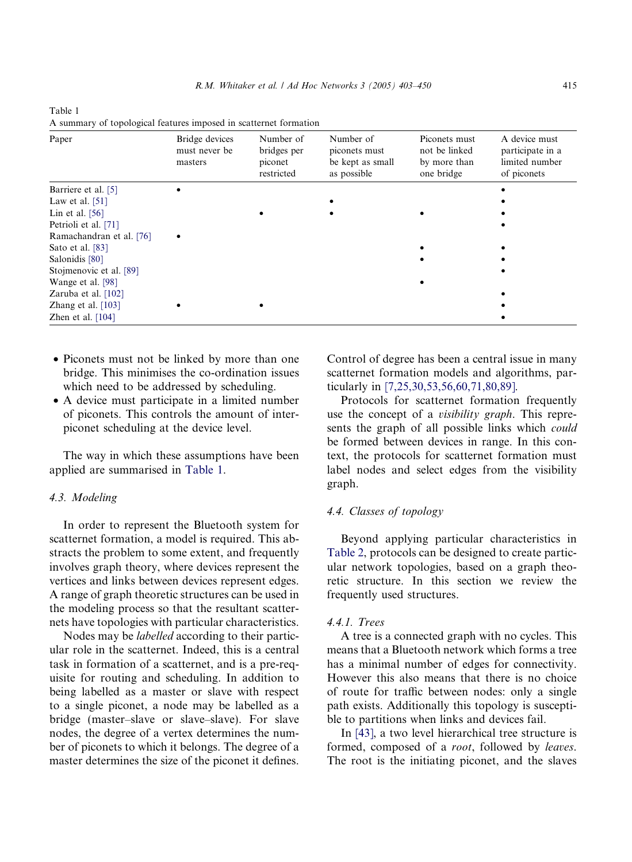| <i>i</i> commany or topological reatures imposed in seatternet formation |                                            |                                                   |                                                               |                                                              |                                                                    |
|--------------------------------------------------------------------------|--------------------------------------------|---------------------------------------------------|---------------------------------------------------------------|--------------------------------------------------------------|--------------------------------------------------------------------|
| Paper                                                                    | Bridge devices<br>must never be<br>masters | Number of<br>bridges per<br>piconet<br>restricted | Number of<br>piconets must<br>be kept as small<br>as possible | Piconets must<br>not be linked<br>by more than<br>one bridge | A device must<br>participate in a<br>limited number<br>of piconets |
| Barriere et al. [5]                                                      |                                            |                                                   |                                                               |                                                              |                                                                    |
| Law et al. $[51]$                                                        |                                            |                                                   |                                                               |                                                              |                                                                    |
| Lin et al. $[56]$                                                        |                                            |                                                   |                                                               |                                                              |                                                                    |
| Petrioli et al. [71]                                                     |                                            |                                                   |                                                               |                                                              |                                                                    |
| Ramachandran et al. [76]                                                 |                                            |                                                   |                                                               |                                                              |                                                                    |
| Sato et al. [83]                                                         |                                            |                                                   |                                                               |                                                              |                                                                    |
| Salonidis [80]                                                           |                                            |                                                   |                                                               |                                                              |                                                                    |
| Stojmenovic et al. [89]                                                  |                                            |                                                   |                                                               |                                                              |                                                                    |
| Wange et al. [98]                                                        |                                            |                                                   |                                                               |                                                              |                                                                    |
| Zaruba et al. $[102]$                                                    |                                            |                                                   |                                                               |                                                              |                                                                    |
| Zhang et al. $[103]$                                                     |                                            |                                                   |                                                               |                                                              |                                                                    |
| Zhen et al. $[104]$                                                      |                                            |                                                   |                                                               |                                                              |                                                                    |

Table 1 A summary of topological features imposed in scatternet formation

- Piconets must not be linked by more than one bridge. This minimises the co-ordination issues which need to be addressed by scheduling.
- A device must participate in a limited number of piconets. This controls the amount of interpiconet scheduling at the device level.

The way in which these assumptions have been applied are summarised in Table 1.

#### 4.3. Modeling

In order to represent the Bluetooth system for scatternet formation, a model is required. This abstracts the problem to some extent, and frequently involves graph theory, where devices represent the vertices and links between devices represent edges. A range of graph theoretic structures can be used in the modeling process so that the resultant scatternets have topologies with particular characteristics.

Nodes may be labelled according to their particular role in the scatternet. Indeed, this is a central task in formation of a scatternet, and is a pre-requisite for routing and scheduling. In addition to being labelled as a master or slave with respect to a single piconet, a node may be labelled as a bridge (master–slave or slave–slave). For slave nodes, the degree of a vertex determines the number of piconets to which it belongs. The degree of a master determines the size of the piconet it defines.

Control of degree has been a central issue in many scatternet formation models and algorithms, particularly in [\[7,25,30,53,56,60,71,80,89\].](#page-44-0)

Protocols for scatternet formation frequently use the concept of a visibility graph. This represents the graph of all possible links which could be formed between devices in range. In this context, the protocols for scatternet formation must label nodes and select edges from the visibility graph.

#### 4.4. Classes of topology

Beyond applying particular characteristics in [Table 2](#page-13-0), protocols can be designed to create particular network topologies, based on a graph theoretic structure. In this section we review the frequently used structures.

#### 4.4.1. Trees

A tree is a connected graph with no cycles. This means that a Bluetooth network which forms a tree has a minimal number of edges for connectivity. However this also means that there is no choice of route for traffic between nodes: only a single path exists. Additionally this topology is susceptible to partitions when links and devices fail.

In [\[43\],](#page-45-0) a two level hierarchical tree structure is formed, composed of a root, followed by leaves. The root is the initiating piconet, and the slaves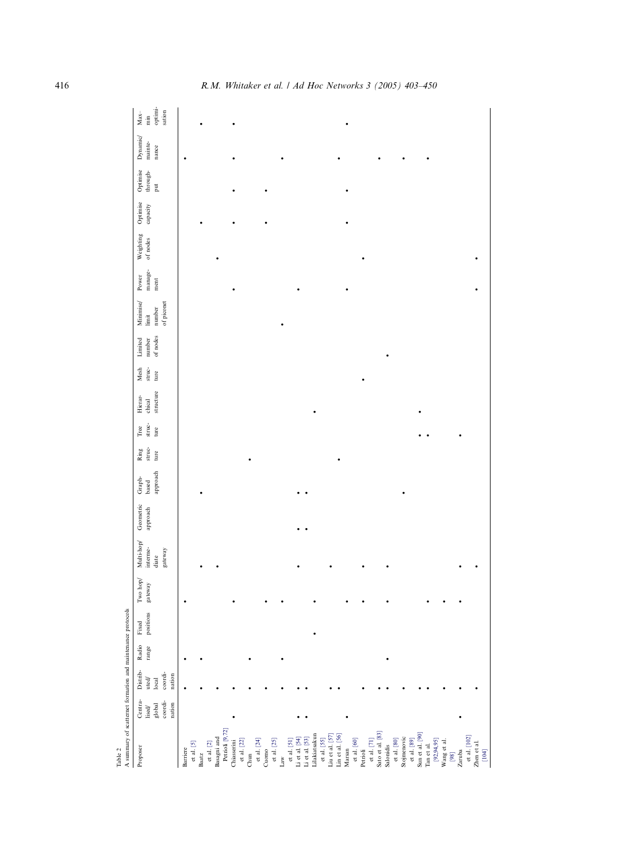<span id="page-13-0"></span>

| A summary of scatternet formation and maintenance protocols<br>Table 2 |                                                                                                                                                                                                                                                                                                                                                                                                                                                                                                                                                                                                             |                                                                                                                                        |                         |                    |                     |                                            |                       |                             |                                                |                        |                                |                        |                               |                                           |                          |                       |                      |                                      |                              |                                                 |
|------------------------------------------------------------------------|-------------------------------------------------------------------------------------------------------------------------------------------------------------------------------------------------------------------------------------------------------------------------------------------------------------------------------------------------------------------------------------------------------------------------------------------------------------------------------------------------------------------------------------------------------------------------------------------------------------|----------------------------------------------------------------------------------------------------------------------------------------|-------------------------|--------------------|---------------------|--------------------------------------------|-----------------------|-----------------------------|------------------------------------------------|------------------------|--------------------------------|------------------------|-------------------------------|-------------------------------------------|--------------------------|-----------------------|----------------------|--------------------------------------|------------------------------|-------------------------------------------------|
| Proposer                                                               | $\begin{array}{l} \mathrm{Centr} \mathrm{a}\text{-}\vspace{0.1cm}\\ \mathrm{fixed/}\vspace{0.1cm}\\ \mathrm{global}\vspace{0.1cm}\\ \mathrm{coordinate}\vspace{0.1cm}\\ \mathrm{coordinate}\vspace{0.1cm}\\ \mathrm{coordinate}\vspace{0.1cm}\\ \mathrm{coordinate}\vspace{0.1cm}\\ \mathrm{coordinate}\vspace{0.1cm}\\ \mathrm{coordinate}\vspace{0.1cm}\\ \mathrm{coordinate}\vspace{0.1cm}\\ \mathrm{coordinate}\vspace{0.1cm}\\ \mathrm{Product}\vspace{0.1cm}\\ \mathrm{Product}\vspace{0.1cm}\\ \mathrm{Product}\vspace{0.1cm}\\ \mathrm{Product}\vspace{0.1cm}\\ \mathrm{Product}\vspace{$<br>nation | Distrib-<br>$\mathop{\mathrm{coord}}\nolimits$<br>nation<br>$\ensuremath{\mathsf{ued}}\xspace$<br>$\ensuremath{\mathsf{local}}\xspace$ | Radio<br>$\text{range}$ | positions<br>Fixed | Two hop/<br>gateway | Multi-hop/<br>interme-<br>gateway<br>diate | Geometric<br>approach | approach<br>Graph-<br>based | struc-<br>$\mathop{\rm Ring}\nolimits$<br>ture | struc-<br>Tree<br>ture | structure<br>Hierar-<br>chical | struc-<br>Mesh<br>ture | of nodes<br>number<br>Limited | of piconet<br>Minimise<br>number<br>limit | manage-<br>Power<br>ment | Weighting<br>of nodes | Optimise<br>capacity | Optimise<br>through-<br>$_{\rm{pt}}$ | Dynamic/<br>mainte-<br>nance | $optimi-$<br>sation<br>$Max-$<br>$\frac{1}{10}$ |
| Barriere                                                               |                                                                                                                                                                                                                                                                                                                                                                                                                                                                                                                                                                                                             |                                                                                                                                        |                         |                    |                     |                                            |                       |                             |                                                |                        |                                |                        |                               |                                           |                          |                       |                      |                                      |                              |                                                 |
| $\it{et~al.}\, [5]$                                                    |                                                                                                                                                                                                                                                                                                                                                                                                                                                                                                                                                                                                             |                                                                                                                                        |                         |                    |                     |                                            |                       |                             |                                                |                        |                                |                        |                               |                                           |                          |                       |                      |                                      |                              |                                                 |
| et al. $\left[2\right]$<br>Baatz                                       |                                                                                                                                                                                                                                                                                                                                                                                                                                                                                                                                                                                                             |                                                                                                                                        |                         |                    |                     |                                            |                       |                             |                                                |                        |                                |                        |                               |                                           |                          |                       |                      |                                      |                              |                                                 |
| Basagni and $\mbox{Pertroll}$ [9,72]                                   |                                                                                                                                                                                                                                                                                                                                                                                                                                                                                                                                                                                                             |                                                                                                                                        |                         |                    |                     |                                            |                       |                             |                                                |                        |                                |                        |                               |                                           |                          |                       |                      |                                      |                              |                                                 |
|                                                                        |                                                                                                                                                                                                                                                                                                                                                                                                                                                                                                                                                                                                             |                                                                                                                                        |                         |                    |                     |                                            |                       |                             |                                                |                        |                                |                        |                               |                                           |                          |                       |                      |                                      |                              |                                                 |
| et al. [22]<br>Chiasserini                                             |                                                                                                                                                                                                                                                                                                                                                                                                                                                                                                                                                                                                             |                                                                                                                                        |                         |                    |                     |                                            |                       |                             |                                                |                        |                                |                        |                               |                                           |                          |                       |                      |                                      |                              |                                                 |
| $_{\rm Chun}$                                                          |                                                                                                                                                                                                                                                                                                                                                                                                                                                                                                                                                                                                             |                                                                                                                                        |                         |                    |                     |                                            |                       |                             |                                                |                        |                                |                        |                               |                                           |                          |                       |                      |                                      |                              |                                                 |
| et al. $[24]$ Cuomo                                                    |                                                                                                                                                                                                                                                                                                                                                                                                                                                                                                                                                                                                             |                                                                                                                                        |                         |                    |                     |                                            |                       |                             |                                                |                        |                                |                        |                               |                                           |                          |                       |                      |                                      |                              |                                                 |
|                                                                        |                                                                                                                                                                                                                                                                                                                                                                                                                                                                                                                                                                                                             |                                                                                                                                        |                         |                    |                     |                                            |                       |                             |                                                |                        |                                |                        |                               |                                           |                          |                       |                      |                                      |                              |                                                 |
| et al. [25] $$\mbox{\sc{Law}}$$                                        |                                                                                                                                                                                                                                                                                                                                                                                                                                                                                                                                                                                                             |                                                                                                                                        |                         |                    |                     |                                            |                       |                             |                                                |                        |                                |                        |                               |                                           |                          |                       |                      |                                      |                              |                                                 |
|                                                                        |                                                                                                                                                                                                                                                                                                                                                                                                                                                                                                                                                                                                             |                                                                                                                                        |                         |                    |                     |                                            |                       |                             |                                                |                        |                                |                        |                               |                                           |                          |                       |                      |                                      |                              |                                                 |
|                                                                        |                                                                                                                                                                                                                                                                                                                                                                                                                                                                                                                                                                                                             |                                                                                                                                        |                         |                    |                     |                                            |                       |                             |                                                |                        |                                |                        |                               |                                           |                          |                       |                      |                                      |                              |                                                 |
| et al. [51]<br>Li et al. [54]<br>Li et al. [53]                        |                                                                                                                                                                                                                                                                                                                                                                                                                                                                                                                                                                                                             |                                                                                                                                        |                         |                    |                     |                                            |                       |                             |                                                |                        |                                |                        |                               |                                           |                          |                       |                      |                                      |                              |                                                 |
|                                                                        |                                                                                                                                                                                                                                                                                                                                                                                                                                                                                                                                                                                                             |                                                                                                                                        |                         |                    |                     |                                            |                       |                             |                                                |                        |                                |                        |                               |                                           |                          |                       |                      |                                      |                              |                                                 |
| Lilakiatsakun                                                          |                                                                                                                                                                                                                                                                                                                                                                                                                                                                                                                                                                                                             |                                                                                                                                        |                         |                    |                     |                                            |                       |                             |                                                |                        |                                |                        |                               |                                           |                          |                       |                      |                                      |                              |                                                 |
| $\mathop{\rm Lin}\nolimits$ et al. $[57]$<br>${\it et\ al.}\ [55]$     |                                                                                                                                                                                                                                                                                                                                                                                                                                                                                                                                                                                                             |                                                                                                                                        |                         |                    |                     |                                            |                       |                             |                                                |                        |                                |                        |                               |                                           |                          |                       |                      |                                      |                              |                                                 |
|                                                                        |                                                                                                                                                                                                                                                                                                                                                                                                                                                                                                                                                                                                             |                                                                                                                                        |                         |                    |                     |                                            |                       |                             |                                                |                        |                                |                        |                               |                                           |                          |                       |                      |                                      |                              |                                                 |
| $\mathop{\rm Lin}\nolimits$ et al. [56] Marsan                         |                                                                                                                                                                                                                                                                                                                                                                                                                                                                                                                                                                                                             |                                                                                                                                        |                         |                    |                     |                                            |                       |                             |                                                |                        |                                |                        |                               |                                           |                          |                       |                      |                                      |                              |                                                 |
| et al. [60]<br>Petrioli                                                |                                                                                                                                                                                                                                                                                                                                                                                                                                                                                                                                                                                                             |                                                                                                                                        |                         |                    |                     |                                            |                       |                             |                                                |                        |                                |                        |                               |                                           |                          |                       |                      |                                      |                              |                                                 |
|                                                                        |                                                                                                                                                                                                                                                                                                                                                                                                                                                                                                                                                                                                             |                                                                                                                                        |                         |                    |                     |                                            |                       |                             |                                                |                        |                                |                        |                               |                                           |                          |                       |                      |                                      |                              |                                                 |
| ${\it et\ al.\ [71]}$                                                  |                                                                                                                                                                                                                                                                                                                                                                                                                                                                                                                                                                                                             |                                                                                                                                        |                         |                    |                     |                                            |                       |                             |                                                |                        |                                |                        |                               |                                           |                          |                       |                      |                                      |                              |                                                 |
| Sato et al. [83]<br>Salonidis                                          |                                                                                                                                                                                                                                                                                                                                                                                                                                                                                                                                                                                                             |                                                                                                                                        |                         |                    |                     |                                            |                       |                             |                                                |                        |                                |                        |                               |                                           |                          |                       |                      |                                      |                              |                                                 |
|                                                                        |                                                                                                                                                                                                                                                                                                                                                                                                                                                                                                                                                                                                             |                                                                                                                                        |                         |                    |                     |                                            |                       |                             |                                                |                        |                                |                        |                               |                                           |                          |                       |                      |                                      |                              |                                                 |
| Stojmenovic<br>${\it et\ al.\ } [80]$                                  |                                                                                                                                                                                                                                                                                                                                                                                                                                                                                                                                                                                                             |                                                                                                                                        |                         |                    |                     |                                            |                       |                             |                                                |                        |                                |                        |                               |                                           |                          |                       |                      |                                      |                              |                                                 |
| ${\it et\ al.\ }$ [89]                                                 |                                                                                                                                                                                                                                                                                                                                                                                                                                                                                                                                                                                                             |                                                                                                                                        |                         |                    |                     |                                            |                       |                             |                                                |                        |                                |                        |                               |                                           |                          |                       |                      |                                      |                              |                                                 |
| Sun et al. [90]                                                        |                                                                                                                                                                                                                                                                                                                                                                                                                                                                                                                                                                                                             |                                                                                                                                        |                         |                    |                     |                                            |                       |                             |                                                |                        |                                |                        |                               |                                           |                          |                       |                      |                                      |                              |                                                 |
| Tan et al.                                                             |                                                                                                                                                                                                                                                                                                                                                                                                                                                                                                                                                                                                             |                                                                                                                                        |                         |                    |                     |                                            |                       |                             |                                                |                        |                                |                        |                               |                                           |                          |                       |                      |                                      |                              |                                                 |
|                                                                        |                                                                                                                                                                                                                                                                                                                                                                                                                                                                                                                                                                                                             |                                                                                                                                        |                         |                    |                     |                                            |                       |                             |                                                |                        |                                |                        |                               |                                           |                          |                       |                      |                                      |                              |                                                 |
|                                                                        |                                                                                                                                                                                                                                                                                                                                                                                                                                                                                                                                                                                                             |                                                                                                                                        |                         |                    |                     |                                            |                       |                             |                                                |                        |                                |                        |                               |                                           |                          |                       |                      |                                      |                              |                                                 |
| $[92,94,95] \label{eq:3}$ Wang et al. $[98] \label{eq:3}$ Zaruba       |                                                                                                                                                                                                                                                                                                                                                                                                                                                                                                                                                                                                             |                                                                                                                                        |                         |                    |                     |                                            |                       |                             |                                                |                        |                                |                        |                               |                                           |                          |                       |                      |                                      |                              |                                                 |
|                                                                        |                                                                                                                                                                                                                                                                                                                                                                                                                                                                                                                                                                                                             |                                                                                                                                        |                         |                    |                     |                                            |                       |                             |                                                |                        |                                |                        |                               |                                           |                          |                       |                      |                                      |                              |                                                 |
| et al. [102]                                                           |                                                                                                                                                                                                                                                                                                                                                                                                                                                                                                                                                                                                             |                                                                                                                                        |                         |                    |                     |                                            |                       |                             |                                                |                        |                                |                        |                               |                                           |                          |                       |                      |                                      |                              |                                                 |
| Zhen et al.<br>[104]                                                   |                                                                                                                                                                                                                                                                                                                                                                                                                                                                                                                                                                                                             |                                                                                                                                        |                         |                    |                     |                                            |                       |                             |                                                |                        |                                |                        |                               |                                           |                          |                       |                      |                                      |                              |                                                 |
|                                                                        |                                                                                                                                                                                                                                                                                                                                                                                                                                                                                                                                                                                                             |                                                                                                                                        |                         |                    |                     |                                            |                       |                             |                                                |                        |                                |                        |                               |                                           |                          |                       |                      |                                      |                              |                                                 |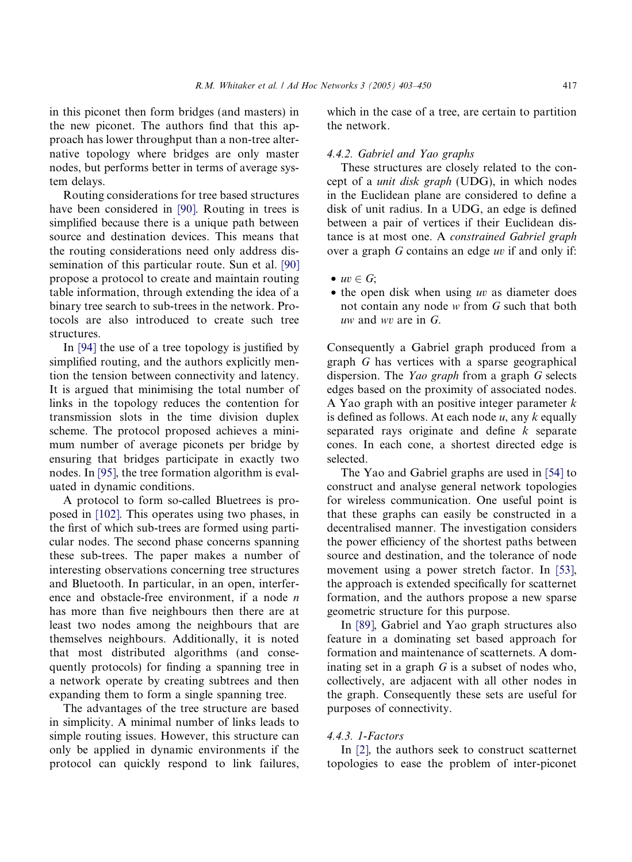in this piconet then form bridges (and masters) in the new piconet. The authors find that this approach has lower throughput than a non-tree alternative topology where bridges are only master nodes, but performs better in terms of average system delays.

Routing considerations for tree based structures have been considered in [\[90\]](#page-46-0). Routing in trees is simplified because there is a unique path between source and destination devices. This means that the routing considerations need only address dissemination of this particular route. Sun et al. [\[90\]](#page-46-0) propose a protocol to create and maintain routing table information, through extending the idea of a binary tree search to sub-trees in the network. Protocols are also introduced to create such tree structures.

In [\[94\]](#page-46-0) the use of a tree topology is justified by simplified routing, and the authors explicitly mention the tension between connectivity and latency. It is argued that minimising the total number of links in the topology reduces the contention for transmission slots in the time division duplex scheme. The protocol proposed achieves a minimum number of average piconets per bridge by ensuring that bridges participate in exactly two nodes. In [\[95\],](#page-47-0) the tree formation algorithm is evaluated in dynamic conditions.

A protocol to form so-called Bluetrees is proposed in [\[102\].](#page-47-0) This operates using two phases, in the first of which sub-trees are formed using particular nodes. The second phase concerns spanning these sub-trees. The paper makes a number of interesting observations concerning tree structures and Bluetooth. In particular, in an open, interference and obstacle-free environment, if a node  $n$ has more than five neighbours then there are at least two nodes among the neighbours that are themselves neighbours. Additionally, it is noted that most distributed algorithms (and consequently protocols) for finding a spanning tree in a network operate by creating subtrees and then expanding them to form a single spanning tree.

The advantages of the tree structure are based in simplicity. A minimal number of links leads to simple routing issues. However, this structure can only be applied in dynamic environments if the protocol can quickly respond to link failures,

which in the case of a tree, are certain to partition the network.

# 4.4.2. Gabriel and Yao graphs

These structures are closely related to the concept of a unit disk graph (UDG), in which nodes in the Euclidean plane are considered to define a disk of unit radius. In a UDG, an edge is defined between a pair of vertices if their Euclidean distance is at most one. A constrained Gabriel graph over a graph G contains an edge uv if and only if:

- $uv \in G$ ;
- $\bullet$  the open disk when using uv as diameter does not contain any node w from G such that both uw and wv are in  $G$ .

Consequently a Gabriel graph produced from a graph G has vertices with a sparse geographical dispersion. The *Yao graph* from a graph G selects edges based on the proximity of associated nodes. A Yao graph with an positive integer parameter  $k$ is defined as follows. At each node  $u$ , any  $k$  equally separated rays originate and define  $k$  separate cones. In each cone, a shortest directed edge is selected.

The Yao and Gabriel graphs are used in [\[54\]](#page-45-0) to construct and analyse general network topologies for wireless communication. One useful point is that these graphs can easily be constructed in a decentralised manner. The investigation considers the power efficiency of the shortest paths between source and destination, and the tolerance of node movement using a power stretch factor. In [\[53\]](#page-45-0), the approach is extended specifically for scatternet formation, and the authors propose a new sparse geometric structure for this purpose.

In [\[89\],](#page-46-0) Gabriel and Yao graph structures also feature in a dominating set based approach for formation and maintenance of scatternets. A dominating set in a graph  $G$  is a subset of nodes who, collectively, are adjacent with all other nodes in the graph. Consequently these sets are useful for purposes of connectivity.

## 4.4.3. 1-Factors

In [\[2\]](#page-44-0), the authors seek to construct scatternet topologies to ease the problem of inter-piconet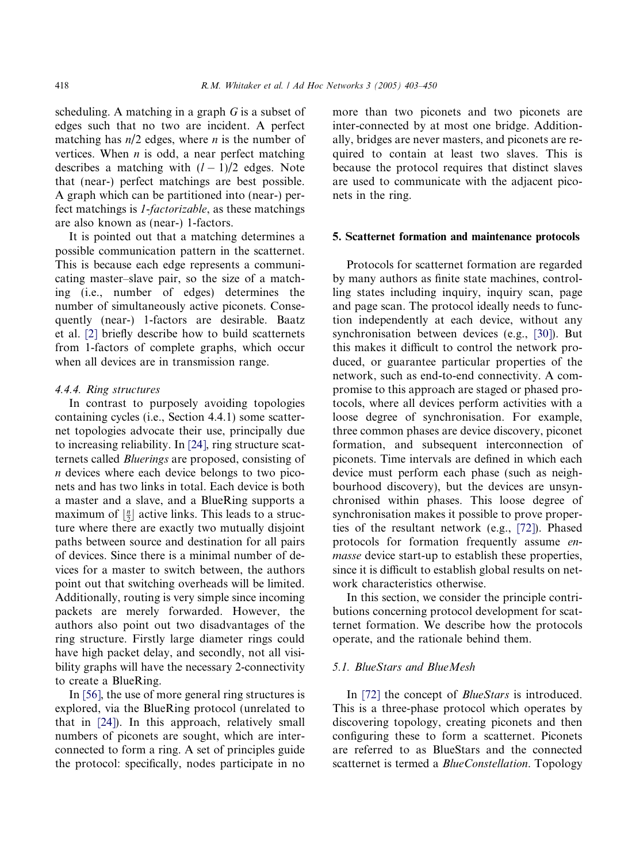scheduling. A matching in a graph G is a subset of edges such that no two are incident. A perfect matching has  $n/2$  edges, where *n* is the number of vertices. When  $n$  is odd, a near perfect matching describes a matching with  $(l - 1)/2$  edges. Note that (near-) perfect matchings are best possible. A graph which can be partitioned into (near-) perfect matchings is 1-factorizable, as these matchings are also known as (near-) 1-factors.

It is pointed out that a matching determines a possible communication pattern in the scatternet. This is because each edge represents a communicating master–slave pair, so the size of a matching (i.e., number of edges) determines the number of simultaneously active piconets. Consequently (near-) 1-factors are desirable. Baatz et al. [\[2\]](#page-44-0) briefly describe how to build scatternets from 1-factors of complete graphs, which occur when all devices are in transmission range.

#### 4.4.4. Ring structures

In contrast to purposely avoiding topologies containing cycles (i.e., Section 4.4.1) some scatternet topologies advocate their use, principally due to increasing reliability. In [\[24\]](#page-44-0), ring structure scatternets called Bluerings are proposed, consisting of n devices where each device belongs to two piconets and has two links in total. Each device is both a master and a slave, and a BlueRing supports a maximum of  $\lfloor \frac{n}{2} \rfloor$  active links. This leads to a structure where there are exactly two mutually disjoint paths between source and destination for all pairs of devices. Since there is a minimal number of devices for a master to switch between, the authors point out that switching overheads will be limited. Additionally, routing is very simple since incoming packets are merely forwarded. However, the authors also point out two disadvantages of the ring structure. Firstly large diameter rings could have high packet delay, and secondly, not all visibility graphs will have the necessary 2-connectivity to create a BlueRing.

In [\[56\],](#page-45-0) the use of more general ring structures is explored, via the BlueRing protocol (unrelated to that in [\[24\]](#page-44-0)). In this approach, relatively small numbers of piconets are sought, which are interconnected to form a ring. A set of principles guide the protocol: specifically, nodes participate in no more than two piconets and two piconets are inter-connected by at most one bridge. Additionally, bridges are never masters, and piconets are required to contain at least two slaves. This is because the protocol requires that distinct slaves are used to communicate with the adjacent piconets in the ring.

#### 5. Scatternet formation and maintenance protocols

Protocols for scatternet formation are regarded by many authors as finite state machines, controlling states including inquiry, inquiry scan, page and page scan. The protocol ideally needs to function independently at each device, without any synchronisation between devices (e.g., [\[30\]](#page-44-0)). But this makes it difficult to control the network produced, or guarantee particular properties of the network, such as end-to-end connectivity. A compromise to this approach are staged or phased protocols, where all devices perform activities with a loose degree of synchronisation. For example, three common phases are device discovery, piconet formation, and subsequent interconnection of piconets. Time intervals are defined in which each device must perform each phase (such as neighbourhood discovery), but the devices are unsynchronised within phases. This loose degree of synchronisation makes it possible to prove properties of the resultant network (e.g., [\[72\]\)](#page-46-0). Phased protocols for formation frequently assume enmasse device start-up to establish these properties, since it is difficult to establish global results on network characteristics otherwise.

In this section, we consider the principle contributions concerning protocol development for scatternet formation. We describe how the protocols operate, and the rationale behind them.

## 5.1. BlueStars and BlueMesh

In [\[72\]](#page-46-0) the concept of *BlueStars* is introduced. This is a three-phase protocol which operates by discovering topology, creating piconets and then configuring these to form a scatternet. Piconets are referred to as BlueStars and the connected scatternet is termed a *BlueConstellation*. Topology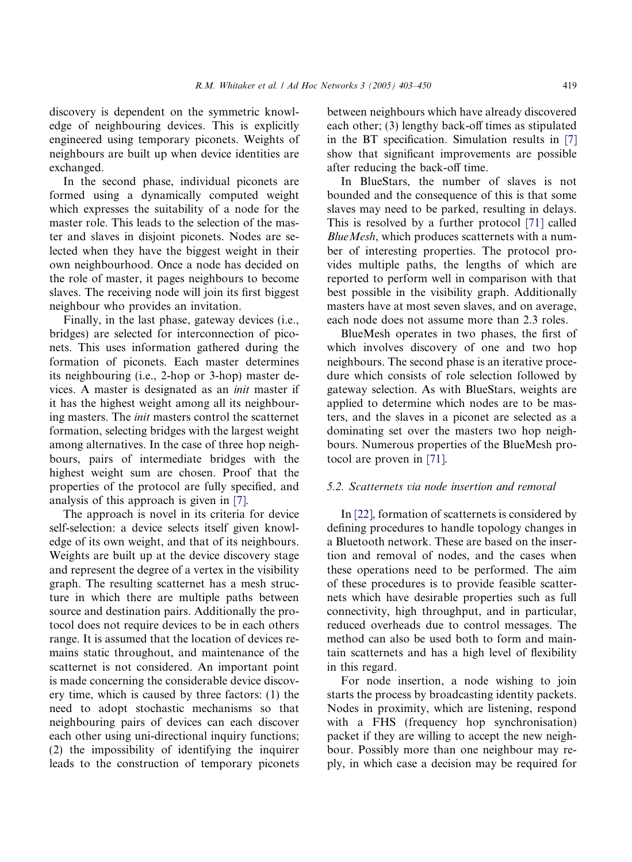discovery is dependent on the symmetric knowledge of neighbouring devices. This is explicitly engineered using temporary piconets. Weights of neighbours are built up when device identities are exchanged.

In the second phase, individual piconets are formed using a dynamically computed weight which expresses the suitability of a node for the master role. This leads to the selection of the master and slaves in disjoint piconets. Nodes are selected when they have the biggest weight in their own neighbourhood. Once a node has decided on the role of master, it pages neighbours to become slaves. The receiving node will join its first biggest neighbour who provides an invitation.

Finally, in the last phase, gateway devices (i.e., bridges) are selected for interconnection of piconets. This uses information gathered during the formation of piconets. Each master determines its neighbouring (i.e., 2-hop or 3-hop) master devices. A master is designated as an init master if it has the highest weight among all its neighbouring masters. The init masters control the scatternet formation, selecting bridges with the largest weight among alternatives. In the case of three hop neighbours, pairs of intermediate bridges with the highest weight sum are chosen. Proof that the properties of the protocol are fully specified, and analysis of this approach is given in [\[7\].](#page-44-0)

The approach is novel in its criteria for device self-selection: a device selects itself given knowledge of its own weight, and that of its neighbours. Weights are built up at the device discovery stage and represent the degree of a vertex in the visibility graph. The resulting scatternet has a mesh structure in which there are multiple paths between source and destination pairs. Additionally the protocol does not require devices to be in each others range. It is assumed that the location of devices remains static throughout, and maintenance of the scatternet is not considered. An important point is made concerning the considerable device discovery time, which is caused by three factors: (1) the need to adopt stochastic mechanisms so that neighbouring pairs of devices can each discover each other using uni-directional inquiry functions; (2) the impossibility of identifying the inquirer leads to the construction of temporary piconets

between neighbours which have already discovered each other; (3) lengthy back-off times as stipulated in the BT specification. Simulation results in [\[7\]](#page-44-0) show that significant improvements are possible after reducing the back-off time.

In BlueStars, the number of slaves is not bounded and the consequence of this is that some slaves may need to be parked, resulting in delays. This is resolved by a further protocol [\[71\]](#page-46-0) called BlueMesh, which produces scatternets with a number of interesting properties. The protocol provides multiple paths, the lengths of which are reported to perform well in comparison with that best possible in the visibility graph. Additionally masters have at most seven slaves, and on average, each node does not assume more than 2.3 roles.

BlueMesh operates in two phases, the first of which involves discovery of one and two hop neighbours. The second phase is an iterative procedure which consists of role selection followed by gateway selection. As with BlueStars, weights are applied to determine which nodes are to be masters, and the slaves in a piconet are selected as a dominating set over the masters two hop neighbours. Numerous properties of the BlueMesh protocol are proven in [\[71\].](#page-46-0)

## 5.2. Scatternets via node insertion and removal

In [\[22\],](#page-44-0) formation of scatternets is considered by defining procedures to handle topology changes in a Bluetooth network. These are based on the insertion and removal of nodes, and the cases when these operations need to be performed. The aim of these procedures is to provide feasible scatternets which have desirable properties such as full connectivity, high throughput, and in particular, reduced overheads due to control messages. The method can also be used both to form and maintain scatternets and has a high level of flexibility in this regard.

For node insertion, a node wishing to join starts the process by broadcasting identity packets. Nodes in proximity, which are listening, respond with a FHS (frequency hop synchronisation) packet if they are willing to accept the new neighbour. Possibly more than one neighbour may reply, in which case a decision may be required for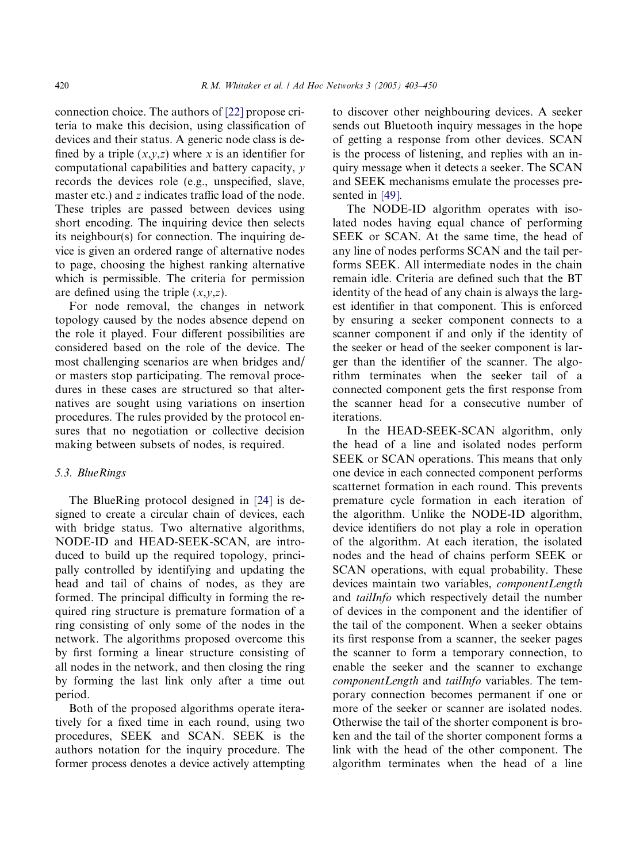connection choice. The authors of [\[22\]](#page-44-0) propose criteria to make this decision, using classification of devices and their status. A generic node class is defined by a triple  $(x,y,z)$  where x is an identifier for computational capabilities and battery capacity, y records the devices role (e.g., unspecified, slave, master etc.) and z indicates traffic load of the node. These triples are passed between devices using short encoding. The inquiring device then selects its neighbour(s) for connection. The inquiring device is given an ordered range of alternative nodes to page, choosing the highest ranking alternative which is permissible. The criteria for permission are defined using the triple  $(x,y,z)$ .

For node removal, the changes in network topology caused by the nodes absence depend on the role it played. Four different possibilities are considered based on the role of the device. The most challenging scenarios are when bridges and/ or masters stop participating. The removal procedures in these cases are structured so that alternatives are sought using variations on insertion procedures. The rules provided by the protocol ensures that no negotiation or collective decision making between subsets of nodes, is required.

## 5.3. BlueRings

The BlueRing protocol designed in [\[24\]](#page-44-0) is designed to create a circular chain of devices, each with bridge status. Two alternative algorithms, NODE-ID and HEAD-SEEK-SCAN, are introduced to build up the required topology, principally controlled by identifying and updating the head and tail of chains of nodes, as they are formed. The principal difficulty in forming the required ring structure is premature formation of a ring consisting of only some of the nodes in the network. The algorithms proposed overcome this by first forming a linear structure consisting of all nodes in the network, and then closing the ring by forming the last link only after a time out period.

Both of the proposed algorithms operate iteratively for a fixed time in each round, using two procedures, SEEK and SCAN. SEEK is the authors notation for the inquiry procedure. The former process denotes a device actively attempting to discover other neighbouring devices. A seeker sends out Bluetooth inquiry messages in the hope of getting a response from other devices. SCAN is the process of listening, and replies with an inquiry message when it detects a seeker. The SCAN and SEEK mechanisms emulate the processes presented in [\[49\].](#page-45-0)

The NODE-ID algorithm operates with isolated nodes having equal chance of performing SEEK or SCAN. At the same time, the head of any line of nodes performs SCAN and the tail performs SEEK. All intermediate nodes in the chain remain idle. Criteria are defined such that the BT identity of the head of any chain is always the largest identifier in that component. This is enforced by ensuring a seeker component connects to a scanner component if and only if the identity of the seeker or head of the seeker component is larger than the identifier of the scanner. The algorithm terminates when the seeker tail of a connected component gets the first response from the scanner head for a consecutive number of iterations.

In the HEAD-SEEK-SCAN algorithm, only the head of a line and isolated nodes perform SEEK or SCAN operations. This means that only one device in each connected component performs scatternet formation in each round. This prevents premature cycle formation in each iteration of the algorithm. Unlike the NODE-ID algorithm, device identifiers do not play a role in operation of the algorithm. At each iteration, the isolated nodes and the head of chains perform SEEK or SCAN operations, with equal probability. These devices maintain two variables, componentLength and tailInfo which respectively detail the number of devices in the component and the identifier of the tail of the component. When a seeker obtains its first response from a scanner, the seeker pages the scanner to form a temporary connection, to enable the seeker and the scanner to exchange componentLength and tailInfo variables. The temporary connection becomes permanent if one or more of the seeker or scanner are isolated nodes. Otherwise the tail of the shorter component is broken and the tail of the shorter component forms a link with the head of the other component. The algorithm terminates when the head of a line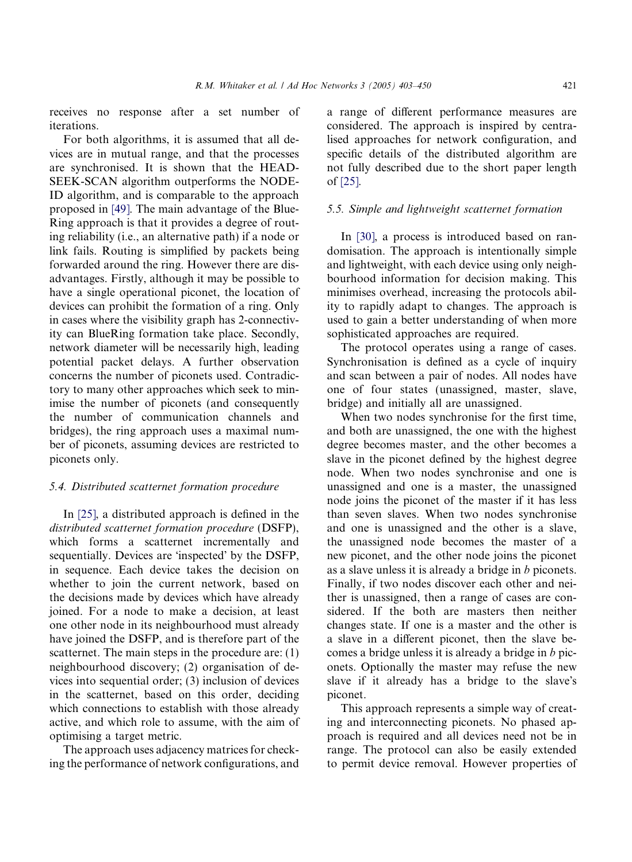receives no response after a set number of iterations.

For both algorithms, it is assumed that all devices are in mutual range, and that the processes are synchronised. It is shown that the HEAD-SEEK-SCAN algorithm outperforms the NODE-ID algorithm, and is comparable to the approach proposed in [\[49\].](#page-45-0) The main advantage of the Blue-Ring approach is that it provides a degree of routing reliability (i.e., an alternative path) if a node or link fails. Routing is simplified by packets being forwarded around the ring. However there are disadvantages. Firstly, although it may be possible to have a single operational piconet, the location of devices can prohibit the formation of a ring. Only in cases where the visibility graph has 2-connectivity can BlueRing formation take place. Secondly, network diameter will be necessarily high, leading potential packet delays. A further observation concerns the number of piconets used. Contradictory to many other approaches which seek to minimise the number of piconets (and consequently the number of communication channels and bridges), the ring approach uses a maximal number of piconets, assuming devices are restricted to piconets only.

## 5.4. Distributed scatternet formation procedure

In [\[25\]](#page-44-0), a distributed approach is defined in the distributed scatternet formation procedure (DSFP), which forms a scatternet incrementally and sequentially. Devices are 'inspected' by the DSFP, in sequence. Each device takes the decision on whether to join the current network, based on the decisions made by devices which have already joined. For a node to make a decision, at least one other node in its neighbourhood must already have joined the DSFP, and is therefore part of the scatternet. The main steps in the procedure are: (1) neighbourhood discovery; (2) organisation of devices into sequential order; (3) inclusion of devices in the scatternet, based on this order, deciding which connections to establish with those already active, and which role to assume, with the aim of optimising a target metric.

The approach uses adjacency matrices for checking the performance of network configurations, and a range of different performance measures are considered. The approach is inspired by centralised approaches for network configuration, and specific details of the distributed algorithm are not fully described due to the short paper length of [\[25\].](#page-44-0)

#### 5.5. Simple and lightweight scatternet formation

In [\[30\],](#page-44-0) a process is introduced based on randomisation. The approach is intentionally simple and lightweight, with each device using only neighbourhood information for decision making. This minimises overhead, increasing the protocols ability to rapidly adapt to changes. The approach is used to gain a better understanding of when more sophisticated approaches are required.

The protocol operates using a range of cases. Synchronisation is defined as a cycle of inquiry and scan between a pair of nodes. All nodes have one of four states (unassigned, master, slave, bridge) and initially all are unassigned.

When two nodes synchronise for the first time, and both are unassigned, the one with the highest degree becomes master, and the other becomes a slave in the piconet defined by the highest degree node. When two nodes synchronise and one is unassigned and one is a master, the unassigned node joins the piconet of the master if it has less than seven slaves. When two nodes synchronise and one is unassigned and the other is a slave, the unassigned node becomes the master of a new piconet, and the other node joins the piconet as a slave unless it is already a bridge in b piconets. Finally, if two nodes discover each other and neither is unassigned, then a range of cases are considered. If the both are masters then neither changes state. If one is a master and the other is a slave in a different piconet, then the slave becomes a bridge unless it is already a bridge in b piconets. Optionally the master may refuse the new slave if it already has a bridge to the slave's piconet.

This approach represents a simple way of creating and interconnecting piconets. No phased approach is required and all devices need not be in range. The protocol can also be easily extended to permit device removal. However properties of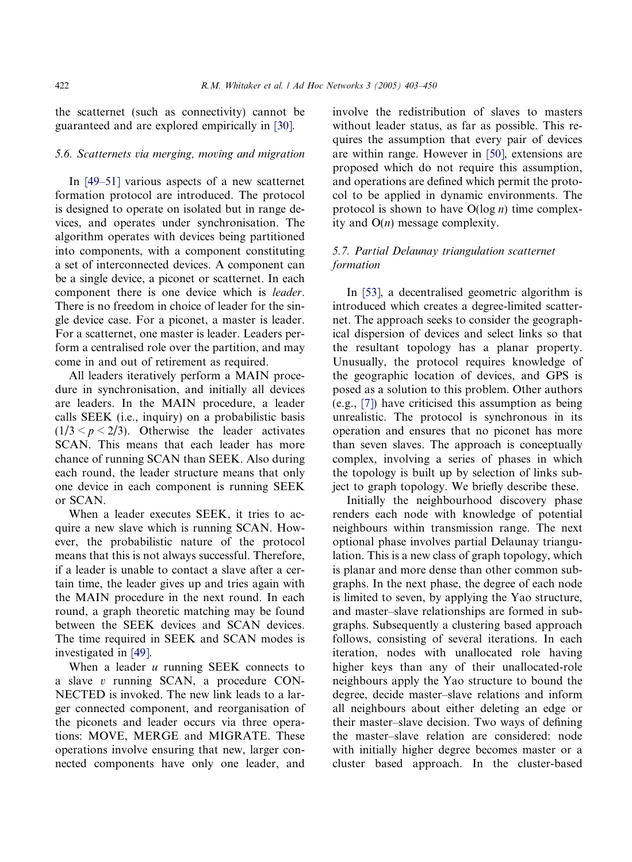the scatternet (such as connectivity) cannot be guaranteed and are explored empirically in [\[30\]](#page-44-0).

## 5.6. Scatternets via merging, moving and migration

In [\[49–51\]](#page-45-0) various aspects of a new scatternet formation protocol are introduced. The protocol is designed to operate on isolated but in range devices, and operates under synchronisation. The algorithm operates with devices being partitioned into components, with a component constituting a set of interconnected devices. A component can be a single device, a piconet or scatternet. In each component there is one device which is leader. There is no freedom in choice of leader for the single device case. For a piconet, a master is leader. For a scatternet, one master is leader. Leaders perform a centralised role over the partition, and may come in and out of retirement as required.

All leaders iteratively perform a MAIN procedure in synchronisation, and initially all devices are leaders. In the MAIN procedure, a leader calls SEEK (i.e., inquiry) on a probabilistic basis  $(1/3 < p < 2/3)$ . Otherwise the leader activates SCAN. This means that each leader has more chance of running SCAN than SEEK. Also during each round, the leader structure means that only one device in each component is running SEEK or SCAN.

When a leader executes SEEK, it tries to acquire a new slave which is running SCAN. However, the probabilistic nature of the protocol means that this is not always successful. Therefore, if a leader is unable to contact a slave after a certain time, the leader gives up and tries again with the MAIN procedure in the next round. In each round, a graph theoretic matching may be found between the SEEK devices and SCAN devices. The time required in SEEK and SCAN modes is investigated in [\[49\]](#page-45-0).

When a leader  $u$  running SEEK connects to a slave v running SCAN, a procedure CON-NECTED is invoked. The new link leads to a larger connected component, and reorganisation of the piconets and leader occurs via three operations: MOVE, MERGE and MIGRATE. These operations involve ensuring that new, larger connected components have only one leader, and involve the redistribution of slaves to masters without leader status, as far as possible. This requires the assumption that every pair of devices are within range. However in [\[50\]](#page-45-0), extensions are proposed which do not require this assumption, and operations are defined which permit the protocol to be applied in dynamic environments. The protocol is shown to have  $O(\log n)$  time complexity and  $O(n)$  message complexity.

# 5.7. Partial Delaunay triangulation scatternet formation

In [\[53\]](#page-45-0), a decentralised geometric algorithm is introduced which creates a degree-limited scatternet. The approach seeks to consider the geographical dispersion of devices and select links so that the resultant topology has a planar property. Unusually, the protocol requires knowledge of the geographic location of devices, and GPS is posed as a solution to this problem. Other authors (e.g., [\[7\]\)](#page-44-0) have criticised this assumption as being unrealistic. The protocol is synchronous in its operation and ensures that no piconet has more than seven slaves. The approach is conceptually complex, involving a series of phases in which the topology is built up by selection of links subject to graph topology. We briefly describe these.

Initially the neighbourhood discovery phase renders each node with knowledge of potential neighbours within transmission range. The next optional phase involves partial Delaunay triangulation. This is a new class of graph topology, which is planar and more dense than other common subgraphs. In the next phase, the degree of each node is limited to seven, by applying the Yao structure, and master–slave relationships are formed in subgraphs. Subsequently a clustering based approach follows, consisting of several iterations. In each iteration, nodes with unallocated role having higher keys than any of their unallocated-role neighbours apply the Yao structure to bound the degree, decide master–slave relations and inform all neighbours about either deleting an edge or their master–slave decision. Two ways of defining the master–slave relation are considered: node with initially higher degree becomes master or a cluster based approach. In the cluster-based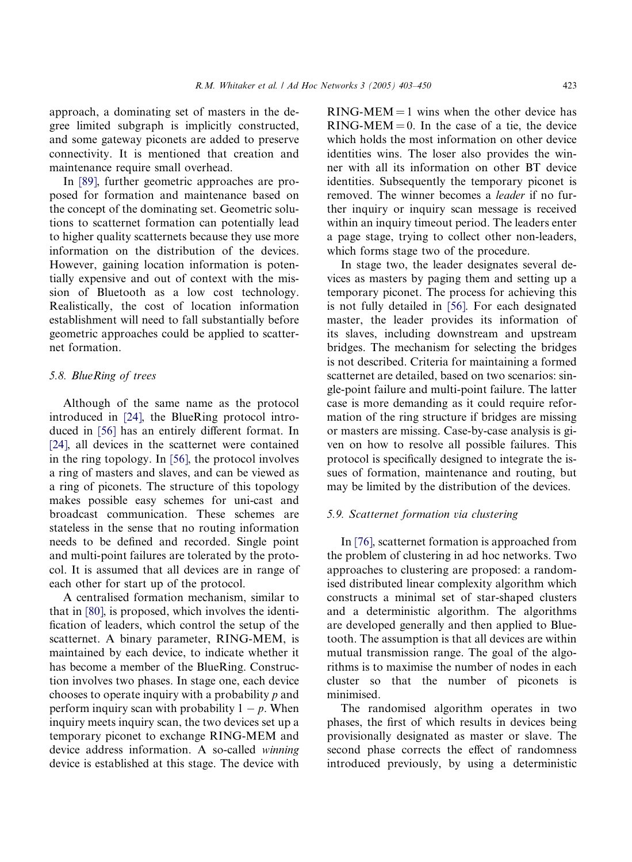approach, a dominating set of masters in the degree limited subgraph is implicitly constructed, and some gateway piconets are added to preserve connectivity. It is mentioned that creation and maintenance require small overhead.

In [\[89\]](#page-46-0), further geometric approaches are proposed for formation and maintenance based on the concept of the dominating set. Geometric solutions to scatternet formation can potentially lead to higher quality scatternets because they use more information on the distribution of the devices. However, gaining location information is potentially expensive and out of context with the mission of Bluetooth as a low cost technology. Realistically, the cost of location information establishment will need to fall substantially before geometric approaches could be applied to scatternet formation.

## 5.8. BlueRing of trees

Although of the same name as the protocol introduced in [\[24\],](#page-44-0) the BlueRing protocol introduced in [\[56\]](#page-45-0) has an entirely different format. In [\[24\],](#page-44-0) all devices in the scatternet were contained in the ring topology. In [\[56\],](#page-45-0) the protocol involves a ring of masters and slaves, and can be viewed as a ring of piconets. The structure of this topology makes possible easy schemes for uni-cast and broadcast communication. These schemes are stateless in the sense that no routing information needs to be defined and recorded. Single point and multi-point failures are tolerated by the protocol. It is assumed that all devices are in range of each other for start up of the protocol.

A centralised formation mechanism, similar to that in [\[80\],](#page-46-0) is proposed, which involves the identification of leaders, which control the setup of the scatternet. A binary parameter, RING-MEM, is maintained by each device, to indicate whether it has become a member of the BlueRing. Construction involves two phases. In stage one, each device chooses to operate inquiry with a probability p and perform inquiry scan with probability  $1 - p$ . When inquiry meets inquiry scan, the two devices set up a temporary piconet to exchange RING-MEM and device address information. A so-called winning device is established at this stage. The device with

 $RING-MEM = 1$  wins when the other device has RING-MEM  $= 0$ . In the case of a tie, the device which holds the most information on other device identities wins. The loser also provides the winner with all its information on other BT device identities. Subsequently the temporary piconet is removed. The winner becomes a leader if no further inquiry or inquiry scan message is received within an inquiry timeout period. The leaders enter a page stage, trying to collect other non-leaders, which forms stage two of the procedure.

In stage two, the leader designates several devices as masters by paging them and setting up a temporary piconet. The process for achieving this is not fully detailed in [\[56\].](#page-45-0) For each designated master, the leader provides its information of its slaves, including downstream and upstream bridges. The mechanism for selecting the bridges is not described. Criteria for maintaining a formed scatternet are detailed, based on two scenarios: single-point failure and multi-point failure. The latter case is more demanding as it could require reformation of the ring structure if bridges are missing or masters are missing. Case-by-case analysis is given on how to resolve all possible failures. This protocol is specifically designed to integrate the issues of formation, maintenance and routing, but may be limited by the distribution of the devices.

## 5.9. Scatternet formation via clustering

In [\[76\],](#page-46-0) scatternet formation is approached from the problem of clustering in ad hoc networks. Two approaches to clustering are proposed: a randomised distributed linear complexity algorithm which constructs a minimal set of star-shaped clusters and a deterministic algorithm. The algorithms are developed generally and then applied to Bluetooth. The assumption is that all devices are within mutual transmission range. The goal of the algorithms is to maximise the number of nodes in each cluster so that the number of piconets is minimised.

The randomised algorithm operates in two phases, the first of which results in devices being provisionally designated as master or slave. The second phase corrects the effect of randomness introduced previously, by using a deterministic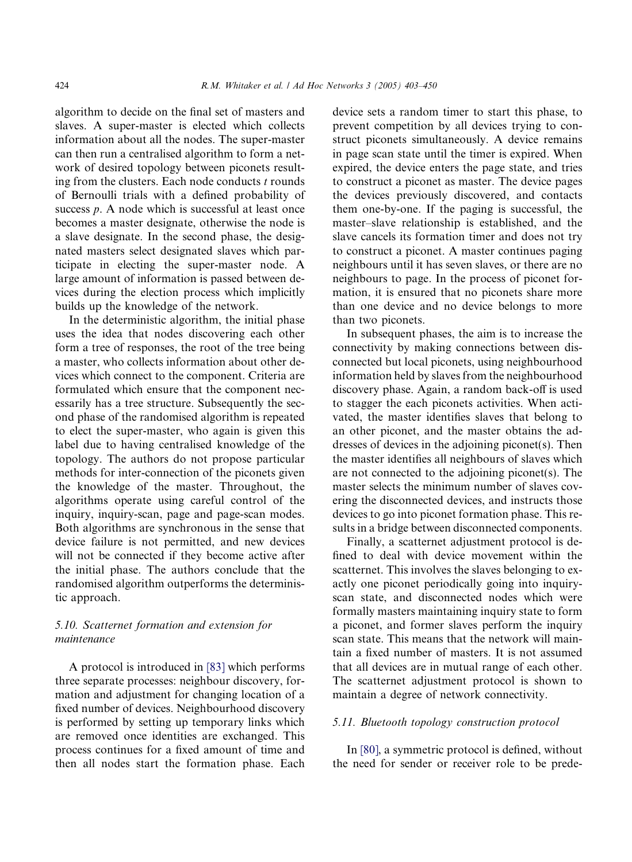algorithm to decide on the final set of masters and slaves. A super-master is elected which collects information about all the nodes. The super-master can then run a centralised algorithm to form a network of desired topology between piconets resulting from the clusters. Each node conducts  $t$  rounds of Bernoulli trials with a defined probability of success  $p$ . A node which is successful at least once becomes a master designate, otherwise the node is a slave designate. In the second phase, the designated masters select designated slaves which participate in electing the super-master node. A large amount of information is passed between devices during the election process which implicitly builds up the knowledge of the network.

In the deterministic algorithm, the initial phase uses the idea that nodes discovering each other form a tree of responses, the root of the tree being a master, who collects information about other devices which connect to the component. Criteria are formulated which ensure that the component necessarily has a tree structure. Subsequently the second phase of the randomised algorithm is repeated to elect the super-master, who again is given this label due to having centralised knowledge of the topology. The authors do not propose particular methods for inter-connection of the piconets given the knowledge of the master. Throughout, the algorithms operate using careful control of the inquiry, inquiry-scan, page and page-scan modes. Both algorithms are synchronous in the sense that device failure is not permitted, and new devices will not be connected if they become active after the initial phase. The authors conclude that the randomised algorithm outperforms the deterministic approach.

# 5.10. Scatternet formation and extension for maintenance

A protocol is introduced in [\[83\]](#page-46-0) which performs three separate processes: neighbour discovery, formation and adjustment for changing location of a fixed number of devices. Neighbourhood discovery is performed by setting up temporary links which are removed once identities are exchanged. This process continues for a fixed amount of time and then all nodes start the formation phase. Each device sets a random timer to start this phase, to prevent competition by all devices trying to construct piconets simultaneously. A device remains in page scan state until the timer is expired. When expired, the device enters the page state, and tries to construct a piconet as master. The device pages the devices previously discovered, and contacts them one-by-one. If the paging is successful, the master–slave relationship is established, and the slave cancels its formation timer and does not try to construct a piconet. A master continues paging neighbours until it has seven slaves, or there are no neighbours to page. In the process of piconet formation, it is ensured that no piconets share more than one device and no device belongs to more than two piconets.

In subsequent phases, the aim is to increase the connectivity by making connections between disconnected but local piconets, using neighbourhood information held by slaves from the neighbourhood discovery phase. Again, a random back-off is used to stagger the each piconets activities. When activated, the master identifies slaves that belong to an other piconet, and the master obtains the addresses of devices in the adjoining piconet(s). Then the master identifies all neighbours of slaves which are not connected to the adjoining piconet(s). The master selects the minimum number of slaves covering the disconnected devices, and instructs those devices to go into piconet formation phase. This results in a bridge between disconnected components.

Finally, a scatternet adjustment protocol is defined to deal with device movement within the scatternet. This involves the slaves belonging to exactly one piconet periodically going into inquiryscan state, and disconnected nodes which were formally masters maintaining inquiry state to form a piconet, and former slaves perform the inquiry scan state. This means that the network will maintain a fixed number of masters. It is not assumed that all devices are in mutual range of each other. The scatternet adjustment protocol is shown to maintain a degree of network connectivity.

#### 5.11. Bluetooth topology construction protocol

In [\[80\],](#page-46-0) a symmetric protocol is defined, without the need for sender or receiver role to be prede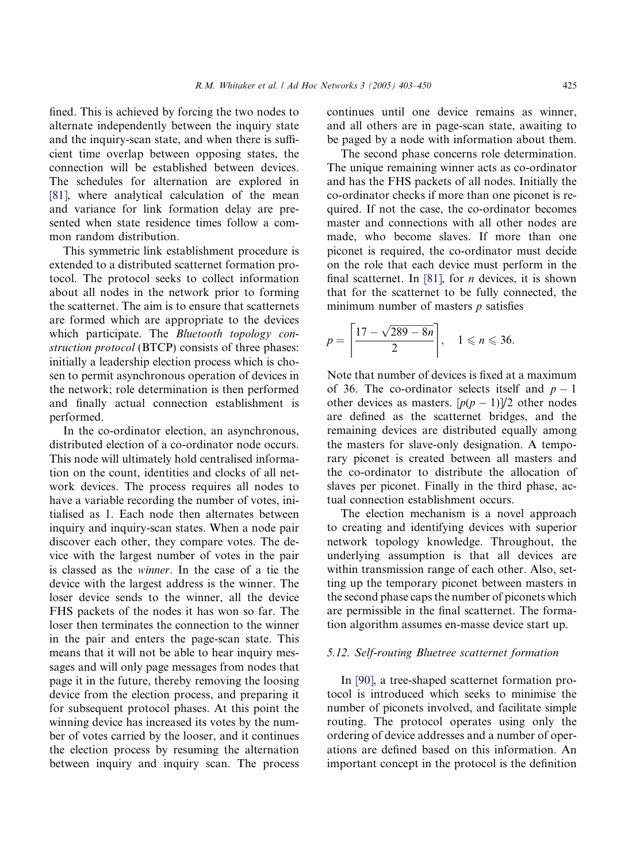fined. This is achieved by forcing the two nodes to alternate independently between the inquiry state and the inquiry-scan state, and when there is sufficient time overlap between opposing states, the connection will be established between devices. The schedules for alternation are explored in [\[81\],](#page-46-0) where analytical calculation of the mean and variance for link formation delay are presented when state residence times follow a common random distribution.

This symmetric link establishment procedure is extended to a distributed scatternet formation protocol. The protocol seeks to collect information about all nodes in the network prior to forming the scatternet. The aim is to ensure that scatternets are formed which are appropriate to the devices which participate. The Bluetooth topology construction protocol (BTCP) consists of three phases: initially a leadership election process which is chosen to permit asynchronous operation of devices in the network; role determination is then performed and finally actual connection establishment is performed.

In the co-ordinator election, an asynchronous, distributed election of a co-ordinator node occurs. This node will ultimately hold centralised information on the count, identities and clocks of all network devices. The process requires all nodes to have a variable recording the number of votes, initialised as 1. Each node then alternates between inquiry and inquiry-scan states. When a node pair discover each other, they compare votes. The device with the largest number of votes in the pair is classed as the winner. In the case of a tie the device with the largest address is the winner. The loser device sends to the winner, all the device FHS packets of the nodes it has won so far. The loser then terminates the connection to the winner in the pair and enters the page-scan state. This means that it will not be able to hear inquiry messages and will only page messages from nodes that page it in the future, thereby removing the loosing device from the election process, and preparing it for subsequent protocol phases. At this point the winning device has increased its votes by the number of votes carried by the looser, and it continues the election process by resuming the alternation between inquiry and inquiry scan. The process

continues until one device remains as winner, and all others are in page-scan state, awaiting to be paged by a node with information about them.

The second phase concerns role determination. The unique remaining winner acts as co-ordinator and has the FHS packets of all nodes. Initially the co-ordinator checks if more than one piconet is required. If not the case, the co-ordinator becomes master and connections with all other nodes are made, who become slaves. If more than one piconet is required, the co-ordinator must decide on the role that each device must perform in the final scatternet. In [\[81\],](#page-46-0) for *n* devices, it is shown that for the scatternet to be fully connected, the minimum number of masters  $p$  satisfies

$$
p=\left\lceil \frac{17-\sqrt{289-8n}}{2}\right\rceil, \quad 1\leqslant n\leqslant 36.
$$

Note that number of devices is fixed at a maximum of 36. The co-ordinator selects itself and  $p - 1$ other devices as masters.  $[p(p-1)]/2$  other nodes are defined as the scatternet bridges, and the remaining devices are distributed equally among the masters for slave-only designation. A temporary piconet is created between all masters and the co-ordinator to distribute the allocation of slaves per piconet. Finally in the third phase, actual connection establishment occurs.

The election mechanism is a novel approach to creating and identifying devices with superior network topology knowledge. Throughout, the underlying assumption is that all devices are within transmission range of each other. Also, setting up the temporary piconet between masters in the second phase caps the number of piconets which are permissible in the final scatternet. The formation algorithm assumes en-masse device start up.

## 5.12. Self-routing Bluetree scatternet formation

In [\[90\],](#page-46-0) a tree-shaped scatternet formation protocol is introduced which seeks to minimise the number of piconets involved, and facilitate simple routing. The protocol operates using only the ordering of device addresses and a number of operations are defined based on this information. An important concept in the protocol is the definition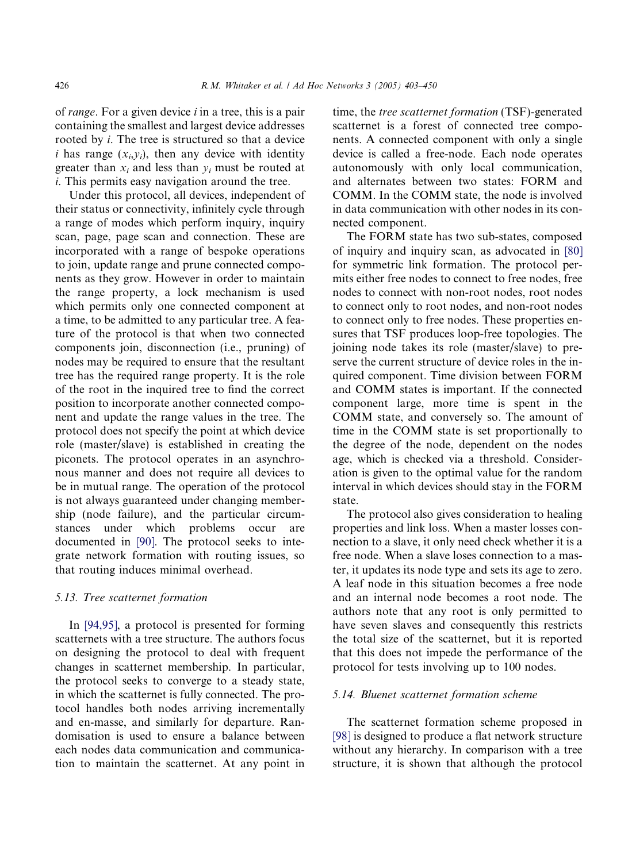of *range*. For a given device  $i$  in a tree, this is a pair containing the smallest and largest device addresses rooted by i. The tree is structured so that a device i has range  $(x_i, y_i)$ , then any device with identity greater than  $x_i$  and less than  $y_i$  must be routed at i. This permits easy navigation around the tree.

Under this protocol, all devices, independent of their status or connectivity, infinitely cycle through a range of modes which perform inquiry, inquiry scan, page, page scan and connection. These are incorporated with a range of bespoke operations to join, update range and prune connected components as they grow. However in order to maintain the range property, a lock mechanism is used which permits only one connected component at a time, to be admitted to any particular tree. A feature of the protocol is that when two connected components join, disconnection (i.e., pruning) of nodes may be required to ensure that the resultant tree has the required range property. It is the role of the root in the inquired tree to find the correct position to incorporate another connected component and update the range values in the tree. The protocol does not specify the point at which device role (master/slave) is established in creating the piconets. The protocol operates in an asynchronous manner and does not require all devices to be in mutual range. The operation of the protocol is not always guaranteed under changing membership (node failure), and the particular circumstances under which problems occur documented in [\[90\].](#page-46-0) The protocol seeks to integrate network formation with routing issues, so that routing induces minimal overhead.

#### 5.13. Tree scatternet formation

In [\[94,95\],](#page-46-0) a protocol is presented for forming scatternets with a tree structure. The authors focus on designing the protocol to deal with frequent changes in scatternet membership. In particular, the protocol seeks to converge to a steady state, in which the scatternet is fully connected. The protocol handles both nodes arriving incrementally and en-masse, and similarly for departure. Randomisation is used to ensure a balance between each nodes data communication and communication to maintain the scatternet. At any point in time, the tree scatternet formation (TSF)-generated scatternet is a forest of connected tree components. A connected component with only a single device is called a free-node. Each node operates autonomously with only local communication, and alternates between two states: FORM and COMM. In the COMM state, the node is involved in data communication with other nodes in its connected component.

The FORM state has two sub-states, composed of inquiry and inquiry scan, as advocated in [\[80\]](#page-46-0) for symmetric link formation. The protocol permits either free nodes to connect to free nodes, free nodes to connect with non-root nodes, root nodes to connect only to root nodes, and non-root nodes to connect only to free nodes. These properties ensures that TSF produces loop-free topologies. The joining node takes its role (master/slave) to preserve the current structure of device roles in the inquired component. Time division between FORM and COMM states is important. If the connected component large, more time is spent in the COMM state, and conversely so. The amount of time in the COMM state is set proportionally to the degree of the node, dependent on the nodes age, which is checked via a threshold. Consideration is given to the optimal value for the random interval in which devices should stay in the FORM state.

The protocol also gives consideration to healing properties and link loss. When a master losses connection to a slave, it only need check whether it is a free node. When a slave loses connection to a master, it updates its node type and sets its age to zero. A leaf node in this situation becomes a free node and an internal node becomes a root node. The authors note that any root is only permitted to have seven slaves and consequently this restricts the total size of the scatternet, but it is reported that this does not impede the performance of the protocol for tests involving up to 100 nodes.

#### 5.14. Bluenet scatternet formation scheme

The scatternet formation scheme proposed in [\[98\]](#page-47-0) is designed to produce a flat network structure without any hierarchy. In comparison with a tree structure, it is shown that although the protocol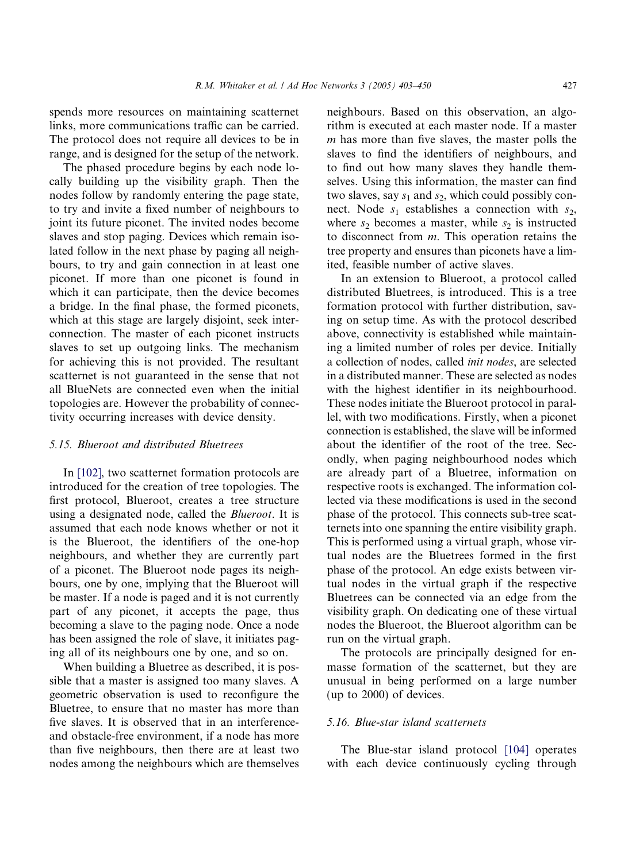spends more resources on maintaining scatternet links, more communications traffic can be carried. The protocol does not require all devices to be in range, and is designed for the setup of the network.

The phased procedure begins by each node locally building up the visibility graph. Then the nodes follow by randomly entering the page state, to try and invite a fixed number of neighbours to joint its future piconet. The invited nodes become slaves and stop paging. Devices which remain isolated follow in the next phase by paging all neighbours, to try and gain connection in at least one piconet. If more than one piconet is found in which it can participate, then the device becomes a bridge. In the final phase, the formed piconets, which at this stage are largely disjoint, seek interconnection. The master of each piconet instructs slaves to set up outgoing links. The mechanism for achieving this is not provided. The resultant scatternet is not guaranteed in the sense that not all BlueNets are connected even when the initial topologies are. However the probability of connectivity occurring increases with device density.

## 5.15. Blueroot and distributed Bluetrees

In [\[102\]](#page-47-0), two scatternet formation protocols are introduced for the creation of tree topologies. The first protocol, Blueroot, creates a tree structure using a designated node, called the *Blueroot*. It is assumed that each node knows whether or not it is the Blueroot, the identifiers of the one-hop neighbours, and whether they are currently part of a piconet. The Blueroot node pages its neighbours, one by one, implying that the Blueroot will be master. If a node is paged and it is not currently part of any piconet, it accepts the page, thus becoming a slave to the paging node. Once a node has been assigned the role of slave, it initiates paging all of its neighbours one by one, and so on.

When building a Bluetree as described, it is possible that a master is assigned too many slaves. A geometric observation is used to reconfigure the Bluetree, to ensure that no master has more than five slaves. It is observed that in an interferenceand obstacle-free environment, if a node has more than five neighbours, then there are at least two nodes among the neighbours which are themselves

neighbours. Based on this observation, an algorithm is executed at each master node. If a master  *has more than five slaves, the master polls the* slaves to find the identifiers of neighbours, and to find out how many slaves they handle themselves. Using this information, the master can find two slaves, say  $s_1$  and  $s_2$ , which could possibly connect. Node  $s_1$  establishes a connection with  $s_2$ , where  $s_2$  becomes a master, while  $s_2$  is instructed to disconnect from m. This operation retains the tree property and ensures than piconets have a limited, feasible number of active slaves.

In an extension to Blueroot, a protocol called distributed Bluetrees, is introduced. This is a tree formation protocol with further distribution, saving on setup time. As with the protocol described above, connectivity is established while maintaining a limited number of roles per device. Initially a collection of nodes, called init nodes, are selected in a distributed manner. These are selected as nodes with the highest identifier in its neighbourhood. These nodes initiate the Blueroot protocol in parallel, with two modifications. Firstly, when a piconet connection is established, the slave will be informed about the identifier of the root of the tree. Secondly, when paging neighbourhood nodes which are already part of a Bluetree, information on respective roots is exchanged. The information collected via these modifications is used in the second phase of the protocol. This connects sub-tree scatternets into one spanning the entire visibility graph. This is performed using a virtual graph, whose virtual nodes are the Bluetrees formed in the first phase of the protocol. An edge exists between virtual nodes in the virtual graph if the respective Bluetrees can be connected via an edge from the visibility graph. On dedicating one of these virtual nodes the Blueroot, the Blueroot algorithm can be run on the virtual graph.

The protocols are principally designed for enmasse formation of the scatternet, but they are unusual in being performed on a large number (up to 2000) of devices.

## 5.16. Blue-star island scatternets

The Blue-star island protocol [\[104\]](#page-47-0) operates with each device continuously cycling through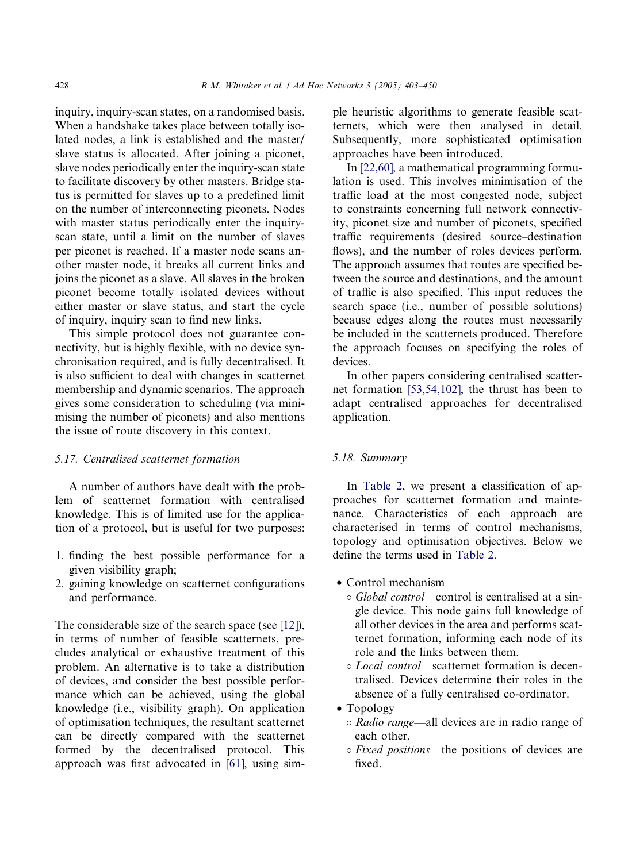inquiry, inquiry-scan states, on a randomised basis. When a handshake takes place between totally isolated nodes, a link is established and the master/ slave status is allocated. After joining a piconet, slave nodes periodically enter the inquiry-scan state to facilitate discovery by other masters. Bridge status is permitted for slaves up to a predefined limit on the number of interconnecting piconets. Nodes with master status periodically enter the inquiryscan state, until a limit on the number of slaves per piconet is reached. If a master node scans another master node, it breaks all current links and joins the piconet as a slave. All slaves in the broken piconet become totally isolated devices without either master or slave status, and start the cycle of inquiry, inquiry scan to find new links.

This simple protocol does not guarantee connectivity, but is highly flexible, with no device synchronisation required, and is fully decentralised. It is also sufficient to deal with changes in scatternet membership and dynamic scenarios. The approach gives some consideration to scheduling (via minimising the number of piconets) and also mentions the issue of route discovery in this context.

#### 5.17. Centralised scatternet formation

A number of authors have dealt with the problem of scatternet formation with centralised knowledge. This is of limited use for the application of a protocol, but is useful for two purposes:

- 1. finding the best possible performance for a given visibility graph;
- 2. gaining knowledge on scatternet configurations and performance.

The considerable size of the search space (see [\[12\]\)](#page-44-0), in terms of number of feasible scatternets, precludes analytical or exhaustive treatment of this problem. An alternative is to take a distribution of devices, and consider the best possible performance which can be achieved, using the global knowledge (i.e., visibility graph). On application of optimisation techniques, the resultant scatternet can be directly compared with the scatternet formed by the decentralised protocol. This approach was first advocated in [\[61\]](#page-45-0), using simple heuristic algorithms to generate feasible scatternets, which were then analysed in detail. Subsequently, more sophisticated optimisation approaches have been introduced.

In [\[22,60\]](#page-44-0), a mathematical programming formulation is used. This involves minimisation of the traffic load at the most congested node, subject to constraints concerning full network connectivity, piconet size and number of piconets, specified traffic requirements (desired source–destination flows), and the number of roles devices perform. The approach assumes that routes are specified between the source and destinations, and the amount of traffic is also specified. This input reduces the search space (i.e., number of possible solutions) because edges along the routes must necessarily be included in the scatternets produced. Therefore the approach focuses on specifying the roles of devices.

In other papers considering centralised scatternet formation [\[53,54,102\],](#page-45-0) the thrust has been to adapt centralised approaches for decentralised application.

## 5.18. Summary

In [Table 2](#page-13-0), we present a classification of approaches for scatternet formation and maintenance. Characteristics of each approach are characterised in terms of control mechanisms, topology and optimisation objectives. Below we define the terms used in [Table 2](#page-13-0).

- Control mechanism
	- $\circ$  Global control—control is centralised at a single device. This node gains full knowledge of all other devices in the area and performs scatternet formation, informing each node of its role and the links between them.
	- Local control––scatternet formation is decentralised. Devices determine their roles in the absence of a fully centralised co-ordinator.
- Topology
	- Radio range––all devices are in radio range of each other.
	- Fixed positions––the positions of devices are fixed.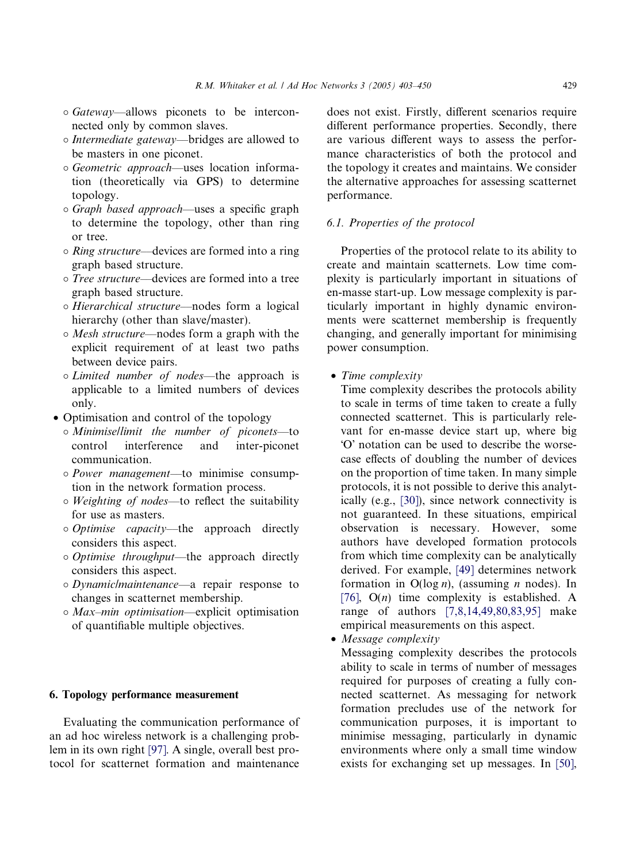- Gateway––allows piconets to be interconnected only by common slaves.
- Intermediate gateway––bridges are allowed to be masters in one piconet.
- o Geometric approach—uses location information (theoretically via GPS) to determine topology.
- $\circ$  Graph based approach—uses a specific graph to determine the topology, other than ring or tree.
- Ring structure––devices are formed into a ring graph based structure.
- Tree structure––devices are formed into a tree graph based structure.
- Hierarchical structure––nodes form a logical hierarchy (other than slave/master).
- Mesh structure––nodes form a graph with the explicit requirement of at least two paths between device pairs.
- Limited number of nodes––the approach is applicable to a limited numbers of devices only.
- Optimisation and control of the topology
	- $\circ$  Minimisellimit the number of piconets-to control interference and inter-piconet communication.
	- Power management––to minimise consumption in the network formation process.
	- $\circ$  *Weighting of nodes*—to reflect the suitability for use as masters.
	- Optimise capacity––the approach directly considers this aspect.
	- $\circ$  *Optimise throughput*—the approach directly considers this aspect.
	- Dynamic/maintenance––a repair response to changes in scatternet membership.
	- $\circ$  *Max–min optimisation—explicit optimisation* of quantifiable multiple objectives.

## 6. Topology performance measurement

Evaluating the communication performance of an ad hoc wireless network is a challenging problem in its own right [\[97\].](#page-47-0) A single, overall best protocol for scatternet formation and maintenance

does not exist. Firstly, different scenarios require different performance properties. Secondly, there are various different ways to assess the performance characteristics of both the protocol and the topology it creates and maintains. We consider the alternative approaches for assessing scatternet performance.

#### 6.1. Properties of the protocol

Properties of the protocol relate to its ability to create and maintain scatternets. Low time complexity is particularly important in situations of en-masse start-up. Low message complexity is particularly important in highly dynamic environments were scatternet membership is frequently changing, and generally important for minimising power consumption.

#### • Time complexity

Time complexity describes the protocols ability to scale in terms of time taken to create a fully connected scatternet. This is particularly relevant for en-masse device start up, where big -O notation can be used to describe the worsecase effects of doubling the number of devices on the proportion of time taken. In many simple protocols, it is not possible to derive this analytically (e.g., [\[30\]](#page-44-0)), since network connectivity is not guaranteed. In these situations, empirical observation is necessary. However, some authors have developed formation protocols from which time complexity can be analytically derived. For example, [\[49\]](#page-45-0) determines network formation in  $O(log n)$ , (assuming *n* nodes). In [\[76\],](#page-46-0)  $O(n)$  time complexity is established. A range of authors [\[7,8,14,49,80,83,95\]](#page-44-0) make empirical measurements on this aspect.

• Message complexity

Messaging complexity describes the protocols ability to scale in terms of number of messages required for purposes of creating a fully connected scatternet. As messaging for network formation precludes use of the network for communication purposes, it is important to minimise messaging, particularly in dynamic environments where only a small time window exists for exchanging set up messages. In [\[50\]](#page-45-0),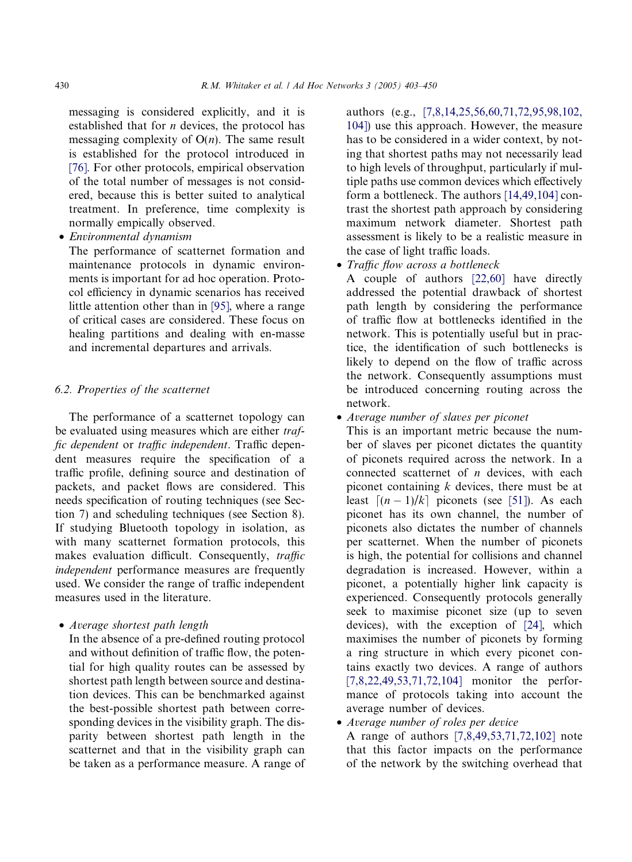messaging is considered explicitly, and it is established that for n devices, the protocol has messaging complexity of  $O(n)$ . The same result is established for the protocol introduced in [\[76\].](#page-46-0) For other protocols, empirical observation of the total number of messages is not considered, because this is better suited to analytical treatment. In preference, time complexity is normally empically observed.

• Environmental dynamism

The performance of scatternet formation and maintenance protocols in dynamic environments is important for ad hoc operation. Protocol efficiency in dynamic scenarios has received little attention other than in [\[95\]](#page-47-0), where a range of critical cases are considered. These focus on healing partitions and dealing with en-masse and incremental departures and arrivals.

## 6.2. Properties of the scatternet

The performance of a scatternet topology can be evaluated using measures which are either traffic dependent or traffic independent. Traffic dependent measures require the specification of a traffic profile, defining source and destination of packets, and packet flows are considered. This needs specification of routing techniques (see Section 7) and scheduling techniques (see Section 8). If studying Bluetooth topology in isolation, as with many scatternet formation protocols, this makes evaluation difficult. Consequently, traffic independent performance measures are frequently used. We consider the range of traffic independent measures used in the literature.

• Average shortest path length

In the absence of a pre-defined routing protocol and without definition of traffic flow, the potential for high quality routes can be assessed by shortest path length between source and destination devices. This can be benchmarked against the best-possible shortest path between corresponding devices in the visibility graph. The disparity between shortest path length in the scatternet and that in the visibility graph can be taken as a performance measure. A range of authors (e.g., [\[7,8,14,25,56,60,71,72,95,98,102,](#page-44-0) [104\]](#page-44-0)) use this approach. However, the measure has to be considered in a wider context, by noting that shortest paths may not necessarily lead to high levels of throughput, particularly if multiple paths use common devices which effectively form a bottleneck. The authors [\[14,49,104\]](#page-44-0) contrast the shortest path approach by considering maximum network diameter. Shortest path assessment is likely to be a realistic measure in the case of light traffic loads.

• Traffic flow across a bottleneck

A couple of authors [\[22,60\]](#page-44-0) have directly addressed the potential drawback of shortest path length by considering the performance of traffic flow at bottlenecks identified in the network. This is potentially useful but in practice, the identification of such bottlenecks is likely to depend on the flow of traffic across the network. Consequently assumptions must be introduced concerning routing across the network.

• Average number of slaves per piconet

This is an important metric because the number of slaves per piconet dictates the quantity of piconets required across the network. In a connected scatternet of  $n$  devices, with each piconet containing  $k$  devices, there must be at least  $\lceil (n - 1)/k \rceil$  piconets (see [\[51\]\)](#page-45-0). As each piconet has its own channel, the number of piconets also dictates the number of channels per scatternet. When the number of piconets is high, the potential for collisions and channel degradation is increased. However, within a piconet, a potentially higher link capacity is experienced. Consequently protocols generally seek to maximise piconet size (up to seven devices), with the exception of [\[24\],](#page-44-0) which maximises the number of piconets by forming a ring structure in which every piconet contains exactly two devices. A range of authors [\[7,8,22,49,53,71,72,104\]](#page-44-0) monitor the performance of protocols taking into account the average number of devices.

• Average number of roles per device

A range of authors [\[7,8,49,53,71,72,102\]](#page-44-0) note that this factor impacts on the performance of the network by the switching overhead that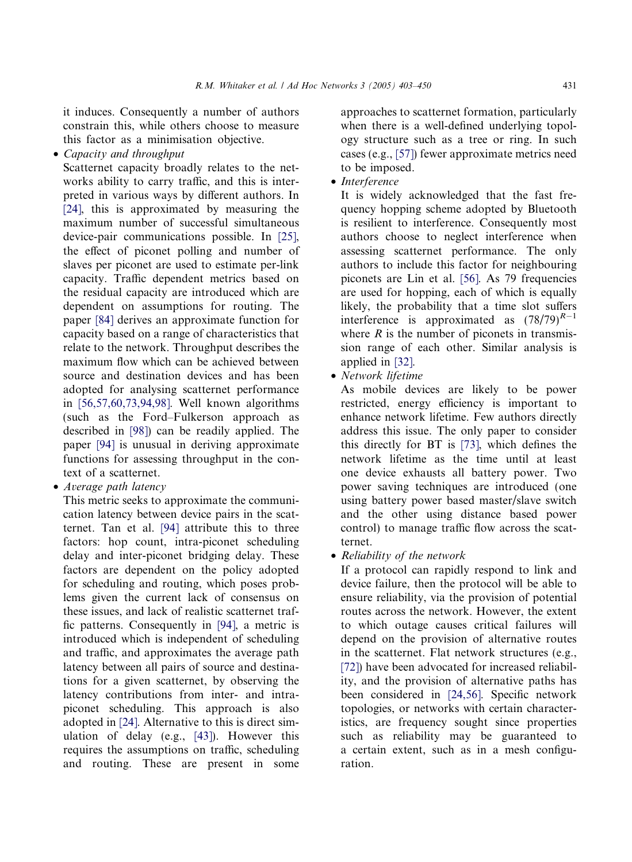it induces. Consequently a number of authors constrain this, while others choose to measure this factor as a minimisation objective.

• Capacity and throughput

Scatternet capacity broadly relates to the networks ability to carry traffic, and this is interpreted in various ways by different authors. In [\[24\],](#page-44-0) this is approximated by measuring the maximum number of successful simultaneous device-pair communications possible. In [\[25\]](#page-44-0), the effect of piconet polling and number of slaves per piconet are used to estimate per-link capacity. Traffic dependent metrics based on the residual capacity are introduced which are dependent on assumptions for routing. The paper [\[84\]](#page-46-0) derives an approximate function for capacity based on a range of characteristics that relate to the network. Throughput describes the maximum flow which can be achieved between source and destination devices and has been adopted for analysing scatternet performance in [\[56,57,60,73,94,98\]](#page-45-0). Well known algorithms (such as the Ford–Fulkerson approach as described in [\[98\]](#page-47-0)) can be readily applied. The paper [\[94\]](#page-46-0) is unusual in deriving approximate functions for assessing throughput in the context of a scatternet.

• Average path latency

This metric seeks to approximate the communication latency between device pairs in the scatternet. Tan et al. [\[94\]](#page-46-0) attribute this to three factors: hop count, intra-piconet scheduling delay and inter-piconet bridging delay. These factors are dependent on the policy adopted for scheduling and routing, which poses problems given the current lack of consensus on these issues, and lack of realistic scatternet traffic patterns. Consequently in [\[94\],](#page-46-0) a metric is introduced which is independent of scheduling and traffic, and approximates the average path latency between all pairs of source and destinations for a given scatternet, by observing the latency contributions from inter- and intrapiconet scheduling. This approach is also adopted in [\[24\]](#page-44-0). Alternative to this is direct simulation of delay (e.g., [\[43\]\)](#page-45-0). However this requires the assumptions on traffic, scheduling and routing. These are present in some approaches to scatternet formation, particularly when there is a well-defined underlying topology structure such as a tree or ring. In such cases (e.g., [\[57\]](#page-45-0)) fewer approximate metrics need to be imposed.

• Interference

It is widely acknowledged that the fast frequency hopping scheme adopted by Bluetooth is resilient to interference. Consequently most authors choose to neglect interference when assessing scatternet performance. The only authors to include this factor for neighbouring piconets are Lin et al. [\[56\].](#page-45-0) As 79 frequencies are used for hopping, each of which is equally likely, the probability that a time slot suffers interference is approximated as  $(78/79)^{R-1}$ where  $R$  is the number of piconets in transmission range of each other. Similar analysis is applied in [\[32\]](#page-45-0).

• Network lifetime

As mobile devices are likely to be power restricted, energy efficiency is important to enhance network lifetime. Few authors directly address this issue. The only paper to consider this directly for BT is [\[73\]](#page-46-0), which defines the network lifetime as the time until at least one device exhausts all battery power. Two power saving techniques are introduced (one using battery power based master/slave switch and the other using distance based power control) to manage traffic flow across the scatternet.

• Reliability of the network

If a protocol can rapidly respond to link and device failure, then the protocol will be able to ensure reliability, via the provision of potential routes across the network. However, the extent to which outage causes critical failures will depend on the provision of alternative routes in the scatternet. Flat network structures (e.g., [\[72\]\)](#page-46-0) have been advocated for increased reliability, and the provision of alternative paths has been considered in [\[24,56\].](#page-44-0) Specific network topologies, or networks with certain characteristics, are frequency sought since properties such as reliability may be guaranteed to a certain extent, such as in a mesh configuration.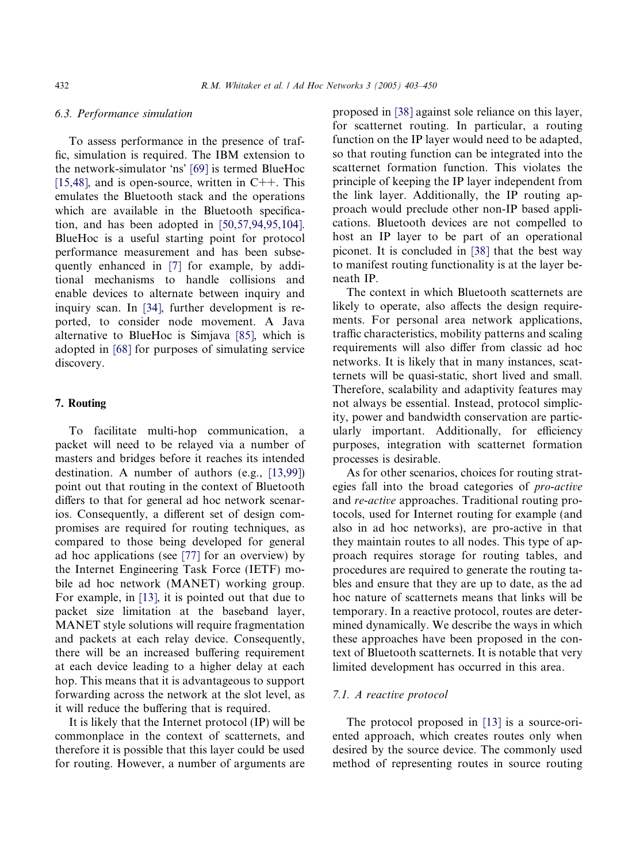#### 6.3. Performance simulation

To assess performance in the presence of traffic, simulation is required. The IBM extension to the network-simulator 'ns' [\[69\]](#page-46-0) is termed BlueHoc [\[15,48\],](#page-44-0) and is open-source, written in  $C++$ . This emulates the Bluetooth stack and the operations which are available in the Bluetooth specification, and has been adopted in [\[50,57,94,95,104\].](#page-45-0) BlueHoc is a useful starting point for protocol performance measurement and has been subsequently enhanced in [\[7\]](#page-44-0) for example, by additional mechanisms to handle collisions and enable devices to alternate between inquiry and inquiry scan. In [\[34\],](#page-45-0) further development is reported, to consider node movement. A Java alternative to BlueHoc is Simjava [\[85\],](#page-46-0) which is adopted in [\[68\]](#page-46-0) for purposes of simulating service discovery.

## 7. Routing

To facilitate multi-hop communication, a packet will need to be relayed via a number of masters and bridges before it reaches its intended destination. A number of authors (e.g., [\[13,99\]](#page-44-0)) point out that routing in the context of Bluetooth differs to that for general ad hoc network scenarios. Consequently, a different set of design compromises are required for routing techniques, as compared to those being developed for general ad hoc applications (see [\[77\]](#page-46-0) for an overview) by the Internet Engineering Task Force (IETF) mobile ad hoc network (MANET) working group. For example, in [\[13\]](#page-44-0), it is pointed out that due to packet size limitation at the baseband layer, MANET style solutions will require fragmentation and packets at each relay device. Consequently, there will be an increased buffering requirement at each device leading to a higher delay at each hop. This means that it is advantageous to support forwarding across the network at the slot level, as it will reduce the buffering that is required.

It is likely that the Internet protocol (IP) will be commonplace in the context of scatternets, and therefore it is possible that this layer could be used for routing. However, a number of arguments are proposed in [\[38\]](#page-45-0) against sole reliance on this layer, for scatternet routing. In particular, a routing function on the IP layer would need to be adapted, so that routing function can be integrated into the scatternet formation function. This violates the principle of keeping the IP layer independent from the link layer. Additionally, the IP routing approach would preclude other non-IP based applications. Bluetooth devices are not compelled to host an IP layer to be part of an operational piconet. It is concluded in [\[38\]](#page-45-0) that the best way to manifest routing functionality is at the layer beneath IP.

The context in which Bluetooth scatternets are likely to operate, also affects the design requirements. For personal area network applications, traffic characteristics, mobility patterns and scaling requirements will also differ from classic ad hoc networks. It is likely that in many instances, scatternets will be quasi-static, short lived and small. Therefore, scalability and adaptivity features may not always be essential. Instead, protocol simplicity, power and bandwidth conservation are particularly important. Additionally, for efficiency purposes, integration with scatternet formation processes is desirable.

As for other scenarios, choices for routing strategies fall into the broad categories of pro-active and re-active approaches. Traditional routing protocols, used for Internet routing for example (and also in ad hoc networks), are pro-active in that they maintain routes to all nodes. This type of approach requires storage for routing tables, and procedures are required to generate the routing tables and ensure that they are up to date, as the ad hoc nature of scatternets means that links will be temporary. In a reactive protocol, routes are determined dynamically. We describe the ways in which these approaches have been proposed in the context of Bluetooth scatternets. It is notable that very limited development has occurred in this area.

## 7.1. A reactive protocol

The protocol proposed in [\[13\]](#page-44-0) is a source-oriented approach, which creates routes only when desired by the source device. The commonly used method of representing routes in source routing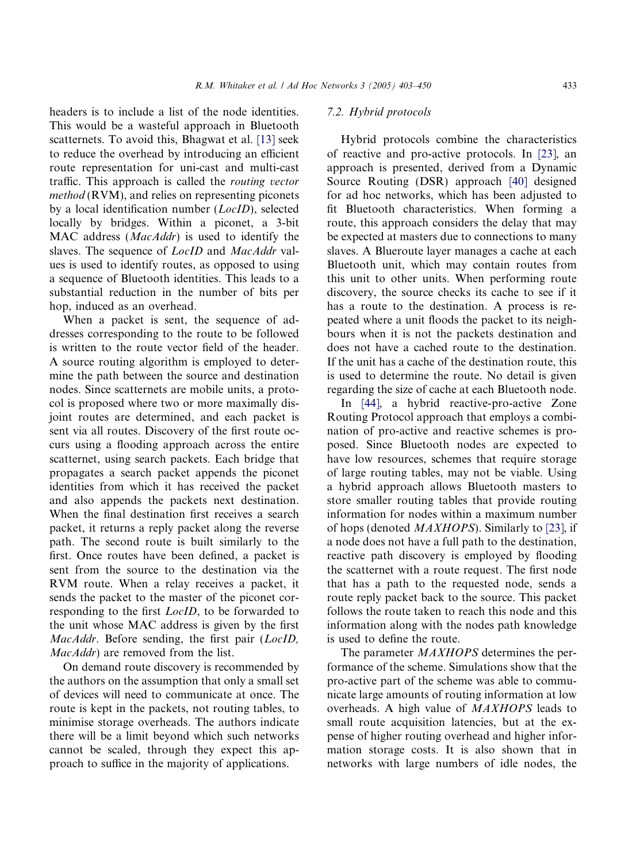headers is to include a list of the node identities. This would be a wasteful approach in Bluetooth scatternets. To avoid this, Bhagwat et al. [\[13\]](#page-44-0) seek to reduce the overhead by introducing an efficient route representation for uni-cast and multi-cast traffic. This approach is called the routing vector method (RVM), and relies on representing piconets by a local identification number (LocID), selected locally by bridges. Within a piconet, a 3-bit MAC address (MacAddr) is used to identify the slaves. The sequence of *LocID* and *MacAddr* values is used to identify routes, as opposed to using a sequence of Bluetooth identities. This leads to a substantial reduction in the number of bits per hop, induced as an overhead.

When a packet is sent, the sequence of addresses corresponding to the route to be followed is written to the route vector field of the header. A source routing algorithm is employed to determine the path between the source and destination nodes. Since scatternets are mobile units, a protocol is proposed where two or more maximally disjoint routes are determined, and each packet is sent via all routes. Discovery of the first route occurs using a flooding approach across the entire scatternet, using search packets. Each bridge that propagates a search packet appends the piconet identities from which it has received the packet and also appends the packets next destination. When the final destination first receives a search packet, it returns a reply packet along the reverse path. The second route is built similarly to the first. Once routes have been defined, a packet is sent from the source to the destination via the RVM route. When a relay receives a packet, it sends the packet to the master of the piconet corresponding to the first LocID, to be forwarded to the unit whose MAC address is given by the first MacAddr. Before sending, the first pair (LocID, MacAddr) are removed from the list.

On demand route discovery is recommended by the authors on the assumption that only a small set of devices will need to communicate at once. The route is kept in the packets, not routing tables, to minimise storage overheads. The authors indicate there will be a limit beyond which such networks cannot be scaled, through they expect this approach to suffice in the majority of applications.

## 7.2. Hybrid protocols

Hybrid protocols combine the characteristics of reactive and pro-active protocols. In [\[23\],](#page-44-0) an approach is presented, derived from a Dynamic Source Routing (DSR) approach [\[40\]](#page-45-0) designed for ad hoc networks, which has been adjusted to fit Bluetooth characteristics. When forming a route, this approach considers the delay that may be expected at masters due to connections to many slaves. A Blueroute layer manages a cache at each Bluetooth unit, which may contain routes from this unit to other units. When performing route discovery, the source checks its cache to see if it has a route to the destination. A process is repeated where a unit floods the packet to its neighbours when it is not the packets destination and does not have a cached route to the destination. If the unit has a cache of the destination route, this is used to determine the route. No detail is given regarding the size of cache at each Bluetooth node.

In [\[44\],](#page-45-0) a hybrid reactive-pro-active Zone Routing Protocol approach that employs a combination of pro-active and reactive schemes is proposed. Since Bluetooth nodes are expected to have low resources, schemes that require storage of large routing tables, may not be viable. Using a hybrid approach allows Bluetooth masters to store smaller routing tables that provide routing information for nodes within a maximum number of hops (denoted MAXHOPS). Similarly to [\[23\]](#page-44-0), if a node does not have a full path to the destination, reactive path discovery is employed by flooding the scatternet with a route request. The first node that has a path to the requested node, sends a route reply packet back to the source. This packet follows the route taken to reach this node and this information along with the nodes path knowledge is used to define the route.

The parameter MAXHOPS determines the performance of the scheme. Simulations show that the pro-active part of the scheme was able to communicate large amounts of routing information at low overheads. A high value of MAXHOPS leads to small route acquisition latencies, but at the expense of higher routing overhead and higher information storage costs. It is also shown that in networks with large numbers of idle nodes, the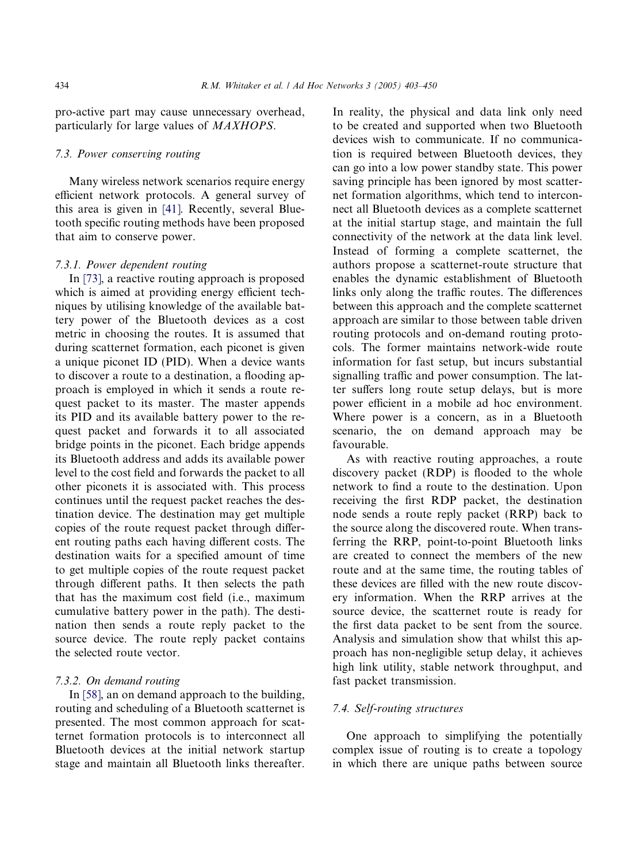pro-active part may cause unnecessary overhead, particularly for large values of MAXHOPS.

## 7.3. Power conserving routing

Many wireless network scenarios require energy efficient network protocols. A general survey of this area is given in [\[41\]](#page-45-0). Recently, several Bluetooth specific routing methods have been proposed that aim to conserve power.

# 7.3.1. Power dependent routing

In [\[73\]](#page-46-0), a reactive routing approach is proposed which is aimed at providing energy efficient techniques by utilising knowledge of the available battery power of the Bluetooth devices as a cost metric in choosing the routes. It is assumed that during scatternet formation, each piconet is given a unique piconet ID (PID). When a device wants to discover a route to a destination, a flooding approach is employed in which it sends a route request packet to its master. The master appends its PID and its available battery power to the request packet and forwards it to all associated bridge points in the piconet. Each bridge appends its Bluetooth address and adds its available power level to the cost field and forwards the packet to all other piconets it is associated with. This process continues until the request packet reaches the destination device. The destination may get multiple copies of the route request packet through different routing paths each having different costs. The destination waits for a specified amount of time to get multiple copies of the route request packet through different paths. It then selects the path that has the maximum cost field (i.e., maximum cumulative battery power in the path). The destination then sends a route reply packet to the source device. The route reply packet contains the selected route vector.

## 7.3.2. On demand routing

In [\[58\],](#page-45-0) an on demand approach to the building, routing and scheduling of a Bluetooth scatternet is presented. The most common approach for scatternet formation protocols is to interconnect all Bluetooth devices at the initial network startup stage and maintain all Bluetooth links thereafter. In reality, the physical and data link only need to be created and supported when two Bluetooth devices wish to communicate. If no communication is required between Bluetooth devices, they can go into a low power standby state. This power saving principle has been ignored by most scatternet formation algorithms, which tend to interconnect all Bluetooth devices as a complete scatternet at the initial startup stage, and maintain the full connectivity of the network at the data link level. Instead of forming a complete scatternet, the authors propose a scatternet-route structure that enables the dynamic establishment of Bluetooth links only along the traffic routes. The differences between this approach and the complete scatternet approach are similar to those between table driven routing protocols and on-demand routing protocols. The former maintains network-wide route information for fast setup, but incurs substantial signalling traffic and power consumption. The latter suffers long route setup delays, but is more power efficient in a mobile ad hoc environment. Where power is a concern, as in a Bluetooth scenario, the on demand approach may be favourable.

As with reactive routing approaches, a route discovery packet (RDP) is flooded to the whole network to find a route to the destination. Upon receiving the first RDP packet, the destination node sends a route reply packet (RRP) back to the source along the discovered route. When transferring the RRP, point-to-point Bluetooth links are created to connect the members of the new route and at the same time, the routing tables of these devices are filled with the new route discovery information. When the RRP arrives at the source device, the scatternet route is ready for the first data packet to be sent from the source. Analysis and simulation show that whilst this approach has non-negligible setup delay, it achieves high link utility, stable network throughput, and fast packet transmission.

## 7.4. Self-routing structures

One approach to simplifying the potentially complex issue of routing is to create a topology in which there are unique paths between source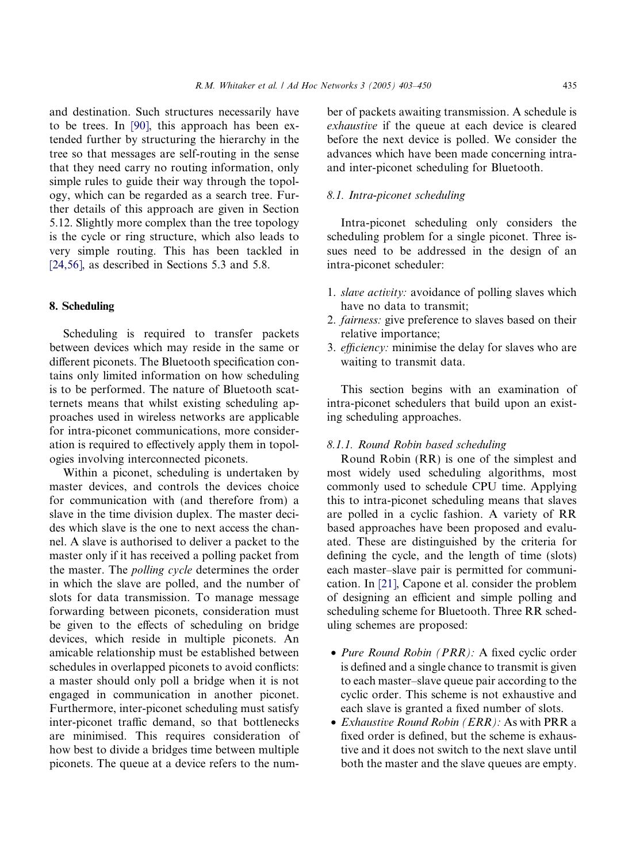and destination. Such structures necessarily have to be trees. In [\[90\]](#page-46-0), this approach has been extended further by structuring the hierarchy in the tree so that messages are self-routing in the sense that they need carry no routing information, only simple rules to guide their way through the topology, which can be regarded as a search tree. Further details of this approach are given in Section 5.12. Slightly more complex than the tree topology is the cycle or ring structure, which also leads to very simple routing. This has been tackled in [\[24,56\],](#page-44-0) as described in Sections 5.3 and 5.8.

## 8. Scheduling

Scheduling is required to transfer packets between devices which may reside in the same or different piconets. The Bluetooth specification contains only limited information on how scheduling is to be performed. The nature of Bluetooth scatternets means that whilst existing scheduling approaches used in wireless networks are applicable for intra-piconet communications, more consideration is required to effectively apply them in topologies involving interconnected piconets.

Within a piconet, scheduling is undertaken by master devices, and controls the devices choice for communication with (and therefore from) a slave in the time division duplex. The master decides which slave is the one to next access the channel. A slave is authorised to deliver a packet to the master only if it has received a polling packet from the master. The polling cycle determines the order in which the slave are polled, and the number of slots for data transmission. To manage message forwarding between piconets, consideration must be given to the effects of scheduling on bridge devices, which reside in multiple piconets. An amicable relationship must be established between schedules in overlapped piconets to avoid conflicts: a master should only poll a bridge when it is not engaged in communication in another piconet. Furthermore, inter-piconet scheduling must satisfy inter-piconet traffic demand, so that bottlenecks are minimised. This requires consideration of how best to divide a bridges time between multiple piconets. The queue at a device refers to the number of packets awaiting transmission. A schedule is exhaustive if the queue at each device is cleared before the next device is polled. We consider the advances which have been made concerning intraand inter-piconet scheduling for Bluetooth.

## 8.1. Intra-piconet scheduling

Intra-piconet scheduling only considers the scheduling problem for a single piconet. Three issues need to be addressed in the design of an intra-piconet scheduler:

- 1. slave activity: avoidance of polling slaves which have no data to transmit;
- 2. fairness: give preference to slaves based on their relative importance;
- 3. efficiency: minimise the delay for slaves who are waiting to transmit data.

This section begins with an examination of intra-piconet schedulers that build upon an existing scheduling approaches.

## 8.1.1. Round Robin based scheduling

Round Robin (RR) is one of the simplest and most widely used scheduling algorithms, most commonly used to schedule CPU time. Applying this to intra-piconet scheduling means that slaves are polled in a cyclic fashion. A variety of RR based approaches have been proposed and evaluated. These are distinguished by the criteria for defining the cycle, and the length of time (slots) each master–slave pair is permitted for communication. In [\[21\]](#page-44-0), Capone et al. consider the problem of designing an efficient and simple polling and scheduling scheme for Bluetooth. Three RR scheduling schemes are proposed:

- Pure Round Robin (PRR): A fixed cyclic order is defined and a single chance to transmit is given to each master–slave queue pair according to the cyclic order. This scheme is not exhaustive and each slave is granted a fixed number of slots.
- Exhaustive Round Robin (ERR): As with PRR a fixed order is defined, but the scheme is exhaustive and it does not switch to the next slave until both the master and the slave queues are empty.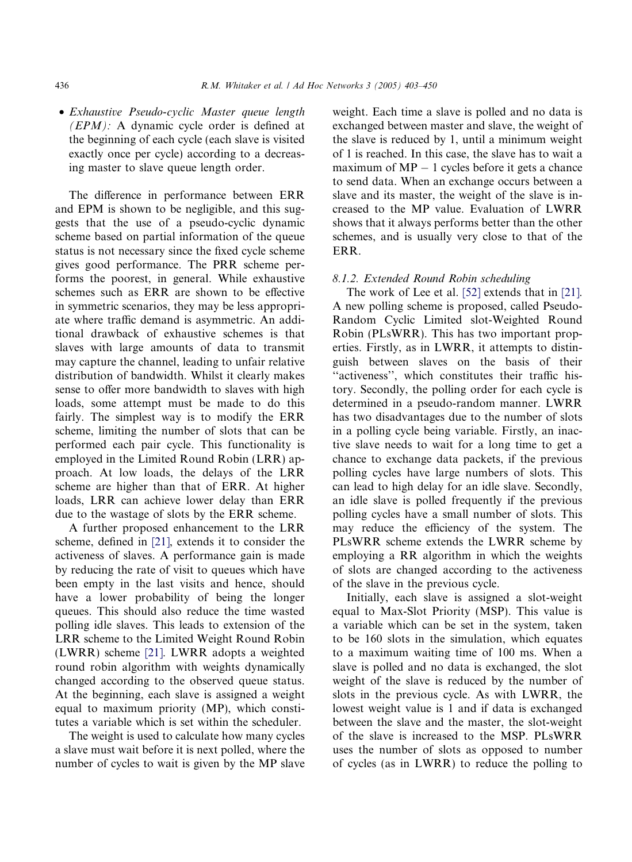• Exhaustive Pseudo-cyclic Master queue length  $(EPM)$ : A dynamic cycle order is defined at the beginning of each cycle (each slave is visited exactly once per cycle) according to a decreasing master to slave queue length order.

The difference in performance between ERR and EPM is shown to be negligible, and this suggests that the use of a pseudo-cyclic dynamic scheme based on partial information of the queue status is not necessary since the fixed cycle scheme gives good performance. The PRR scheme performs the poorest, in general. While exhaustive schemes such as ERR are shown to be effective in symmetric scenarios, they may be less appropriate where traffic demand is asymmetric. An additional drawback of exhaustive schemes is that slaves with large amounts of data to transmit may capture the channel, leading to unfair relative distribution of bandwidth. Whilst it clearly makes sense to offer more bandwidth to slaves with high loads, some attempt must be made to do this fairly. The simplest way is to modify the ERR scheme, limiting the number of slots that can be performed each pair cycle. This functionality is employed in the Limited Round Robin (LRR) approach. At low loads, the delays of the LRR scheme are higher than that of ERR. At higher loads, LRR can achieve lower delay than ERR due to the wastage of slots by the ERR scheme.

A further proposed enhancement to the LRR scheme, defined in [\[21\]](#page-44-0), extends it to consider the activeness of slaves. A performance gain is made by reducing the rate of visit to queues which have been empty in the last visits and hence, should have a lower probability of being the longer queues. This should also reduce the time wasted polling idle slaves. This leads to extension of the LRR scheme to the Limited Weight Round Robin (LWRR) scheme [\[21\]](#page-44-0). LWRR adopts a weighted round robin algorithm with weights dynamically changed according to the observed queue status. At the beginning, each slave is assigned a weight equal to maximum priority (MP), which constitutes a variable which is set within the scheduler.

The weight is used to calculate how many cycles a slave must wait before it is next polled, where the number of cycles to wait is given by the MP slave weight. Each time a slave is polled and no data is exchanged between master and slave, the weight of the slave is reduced by 1, until a minimum weight of 1 is reached. In this case, the slave has to wait a maximum of  $MP - 1$  cycles before it gets a chance to send data. When an exchange occurs between a slave and its master, the weight of the slave is increased to the MP value. Evaluation of LWRR shows that it always performs better than the other schemes, and is usually very close to that of the ERR.

#### 8.1.2. Extended Round Robin scheduling

The work of Lee et al. [\[52\]](#page-45-0) extends that in [\[21\]](#page-44-0). A new polling scheme is proposed, called Pseudo-Random Cyclic Limited slot-Weighted Round Robin (PLsWRR). This has two important properties. Firstly, as in LWRR, it attempts to distinguish between slaves on the basis of their ''activeness'', which constitutes their traffic history. Secondly, the polling order for each cycle is determined in a pseudo-random manner. LWRR has two disadvantages due to the number of slots in a polling cycle being variable. Firstly, an inactive slave needs to wait for a long time to get a chance to exchange data packets, if the previous polling cycles have large numbers of slots. This can lead to high delay for an idle slave. Secondly, an idle slave is polled frequently if the previous polling cycles have a small number of slots. This may reduce the efficiency of the system. The PLsWRR scheme extends the LWRR scheme by employing a RR algorithm in which the weights of slots are changed according to the activeness of the slave in the previous cycle.

Initially, each slave is assigned a slot-weight equal to Max-Slot Priority (MSP). This value is a variable which can be set in the system, taken to be 160 slots in the simulation, which equates to a maximum waiting time of 100 ms. When a slave is polled and no data is exchanged, the slot weight of the slave is reduced by the number of slots in the previous cycle. As with LWRR, the lowest weight value is 1 and if data is exchanged between the slave and the master, the slot-weight of the slave is increased to the MSP. PLsWRR uses the number of slots as opposed to number of cycles (as in LWRR) to reduce the polling to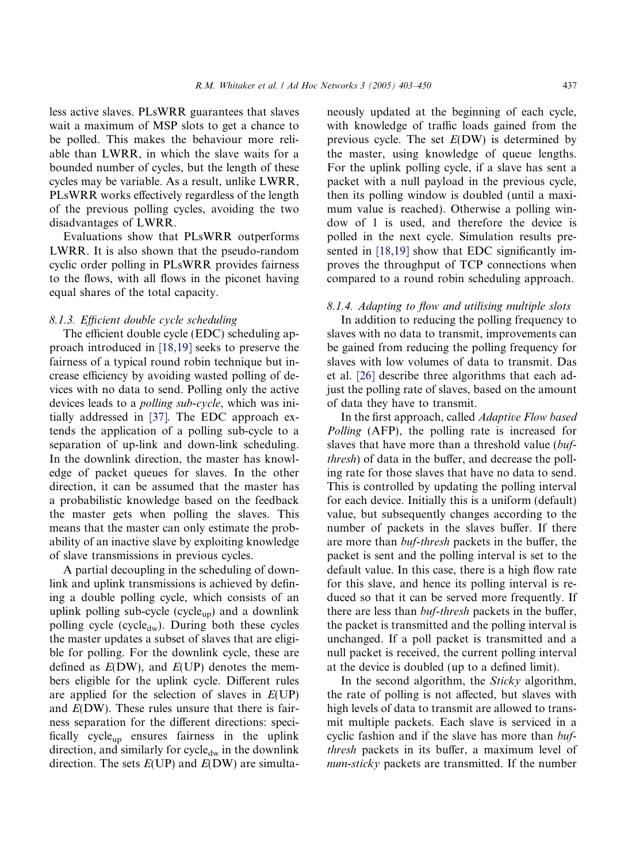less active slaves. PLsWRR guarantees that slaves wait a maximum of MSP slots to get a chance to be polled. This makes the behaviour more reliable than LWRR, in which the slave waits for a bounded number of cycles, but the length of these cycles may be variable. As a result, unlike LWRR, PLsWRR works effectively regardless of the length of the previous polling cycles, avoiding the two disadvantages of LWRR.

Evaluations show that PLsWRR outperforms LWRR. It is also shown that the pseudo-random cyclic order polling in PLsWRR provides fairness to the flows, with all flows in the piconet having equal shares of the total capacity.

#### 8.1.3. Efficient double cycle scheduling

The efficient double cycle (EDC) scheduling approach introduced in [\[18,19\]](#page-44-0) seeks to preserve the fairness of a typical round robin technique but increase efficiency by avoiding wasted polling of devices with no data to send. Polling only the active devices leads to a polling sub-cycle, which was initially addressed in [\[37\]](#page-45-0). The EDC approach extends the application of a polling sub-cycle to a separation of up-link and down-link scheduling. In the downlink direction, the master has knowledge of packet queues for slaves. In the other direction, it can be assumed that the master has a probabilistic knowledge based on the feedback the master gets when polling the slaves. This means that the master can only estimate the probability of an inactive slave by exploiting knowledge of slave transmissions in previous cycles.

A partial decoupling in the scheduling of downlink and uplink transmissions is achieved by defining a double polling cycle, which consists of an uplink polling sub-cycle (cycle<sub>up</sub>) and a downlink polling cycle (cycle<sub>dw</sub>). During both these cycles the master updates a subset of slaves that are eligible for polling. For the downlink cycle, these are defined as  $E(DW)$ , and  $E(UP)$  denotes the members eligible for the uplink cycle. Different rules are applied for the selection of slaves in  $E(\text{UP})$ and  $E(DW)$ . These rules unsure that there is fairness separation for the different directions: specifically cycle<sub>up</sub> ensures fairness in the uplink direction, and similarly for  $cycle_{dw}$  in the downlink direction. The sets  $E(\text{UP})$  and  $E(\text{DW})$  are simultaneously updated at the beginning of each cycle, with knowledge of traffic loads gained from the previous cycle. The set  $E(DW)$  is determined by the master, using knowledge of queue lengths. For the uplink polling cycle, if a slave has sent a packet with a null payload in the previous cycle, then its polling window is doubled (until a maximum value is reached). Otherwise a polling window of 1 is used, and therefore the device is polled in the next cycle. Simulation results pre-sented in [\[18,19\]](#page-44-0) show that EDC significantly improves the throughput of TCP connections when compared to a round robin scheduling approach.

# 8.1.4. Adapting to flow and utilising multiple slots

In addition to reducing the polling frequency to slaves with no data to transmit, improvements can be gained from reducing the polling frequency for slaves with low volumes of data to transmit. Das et al. [\[26\]](#page-44-0) describe three algorithms that each adjust the polling rate of slaves, based on the amount of data they have to transmit.

In the first approach, called Adaptive Flow based Polling (AFP), the polling rate is increased for slaves that have more than a threshold value (bufthresh) of data in the buffer, and decrease the polling rate for those slaves that have no data to send. This is controlled by updating the polling interval for each device. Initially this is a uniform (default) value, but subsequently changes according to the number of packets in the slaves buffer. If there are more than buf-thresh packets in the buffer, the packet is sent and the polling interval is set to the default value. In this case, there is a high flow rate for this slave, and hence its polling interval is reduced so that it can be served more frequently. If there are less than *buf-thresh* packets in the buffer, the packet is transmitted and the polling interval is unchanged. If a poll packet is transmitted and a null packet is received, the current polling interval at the device is doubled (up to a defined limit).

In the second algorithm, the *Sticky* algorithm, the rate of polling is not affected, but slaves with high levels of data to transmit are allowed to transmit multiple packets. Each slave is serviced in a cyclic fashion and if the slave has more than bufthresh packets in its buffer, a maximum level of num-sticky packets are transmitted. If the number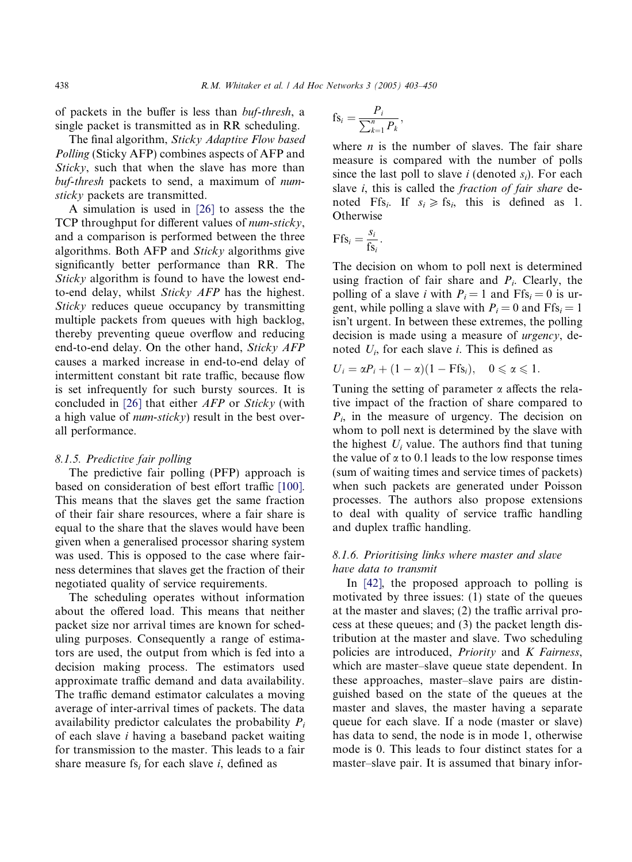of packets in the buffer is less than buf-thresh, a single packet is transmitted as in RR scheduling.

The final algorithm, Sticky Adaptive Flow based Polling (Sticky AFP) combines aspects of AFP and Sticky, such that when the slave has more than buf-thresh packets to send, a maximum of numsticky packets are transmitted.

A simulation is used in [\[26\]](#page-44-0) to assess the the TCP throughput for different values of *num-sticky*, and a comparison is performed between the three algorithms. Both AFP and Sticky algorithms give significantly better performance than RR. The Sticky algorithm is found to have the lowest endto-end delay, whilst Sticky AFP has the highest. Sticky reduces queue occupancy by transmitting multiple packets from queues with high backlog, thereby preventing queue overflow and reducing end-to-end delay. On the other hand, Sticky AFP causes a marked increase in end-to-end delay of intermittent constant bit rate traffic, because flow is set infrequently for such bursty sources. It is concluded in [\[26\]](#page-44-0) that either AFP or Sticky (with a high value of *num-sticky*) result in the best overall performance.

#### 8.1.5. Predictive fair polling

The predictive fair polling (PFP) approach is based on consideration of best effort traffic [\[100\].](#page-47-0) This means that the slaves get the same fraction of their fair share resources, where a fair share is equal to the share that the slaves would have been given when a generalised processor sharing system was used. This is opposed to the case where fairness determines that slaves get the fraction of their negotiated quality of service requirements.

The scheduling operates without information about the offered load. This means that neither packet size nor arrival times are known for scheduling purposes. Consequently a range of estimators are used, the output from which is fed into a decision making process. The estimators used approximate traffic demand and data availability. The traffic demand estimator calculates a moving average of inter-arrival times of packets. The data availability predictor calculates the probability  $P_i$ of each slave i having a baseband packet waiting for transmission to the master. This leads to a fair share measure fs<sub>i</sub> for each slave i, defined as

$$
fs_i = \frac{P_i}{\sum_{k=1}^n P_k},
$$

where *n* is the number of slaves. The fair share measure is compared with the number of polls since the last poll to slave i (denoted  $s_i$ ). For each slave *i*, this is called the *fraction of fair share* denoted Ffs<sub>i</sub>. If  $s_i \geq f s_i$ , this is defined as 1. **Otherwise** 

$$
\mathbf{Ffs}_i = \frac{s_i}{\mathbf{fs}_i}.
$$

The decision on whom to poll next is determined using fraction of fair share and  $P_i$ . Clearly, the polling of a slave *i* with  $P_i = 1$  and  $Ffs_i = 0$  is urgent, while polling a slave with  $P_i = 0$  and  $Ffs_i = 1$ isn't urgent. In between these extremes, the polling decision is made using a measure of urgency, denoted  $U_i$ , for each slave i. This is defined as

$$
U_i = \alpha P_i + (1 - \alpha)(1 - \text{Ffs}_i), \quad 0 \le \alpha \le 1.
$$

Tuning the setting of parameter  $\alpha$  affects the relative impact of the fraction of share compared to  $P_i$ , in the measure of urgency. The decision on whom to poll next is determined by the slave with the highest  $U_i$  value. The authors find that tuning the value of  $\alpha$  to 0.1 leads to the low response times (sum of waiting times and service times of packets) when such packets are generated under Poisson processes. The authors also propose extensions to deal with quality of service traffic handling and duplex traffic handling.

# 8.1.6. Prioritising links where master and slave have data to transmit

In [\[42\],](#page-45-0) the proposed approach to polling is motivated by three issues: (1) state of the queues at the master and slaves; (2) the traffic arrival process at these queues; and (3) the packet length distribution at the master and slave. Two scheduling policies are introduced, Priority and K Fairness, which are master–slave queue state dependent. In these approaches, master–slave pairs are distinguished based on the state of the queues at the master and slaves, the master having a separate queue for each slave. If a node (master or slave) has data to send, the node is in mode 1, otherwise mode is 0. This leads to four distinct states for a master–slave pair. It is assumed that binary infor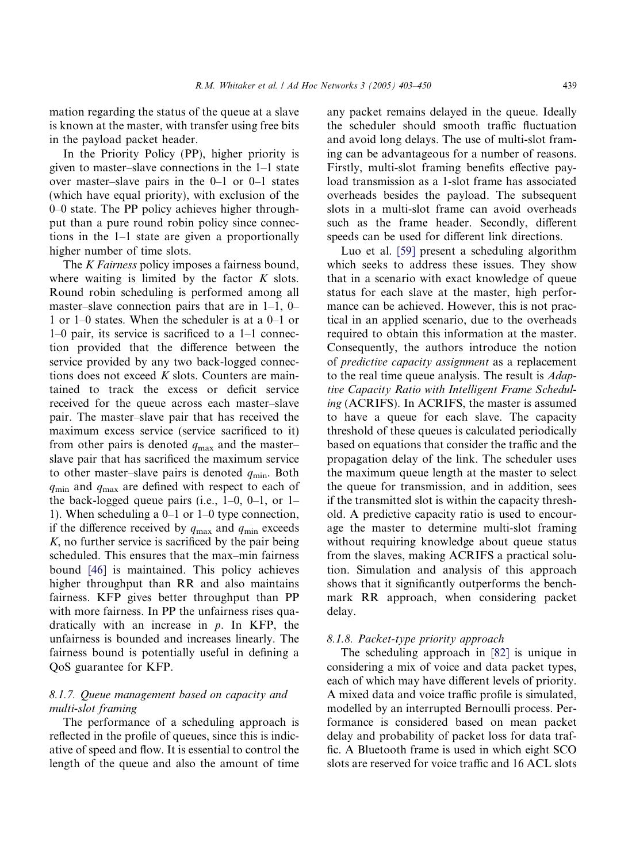mation regarding the status of the queue at a slave is known at the master, with transfer using free bits in the payload packet header.

In the Priority Policy (PP), higher priority is given to master–slave connections in the 1–1 state over master–slave pairs in the 0–1 or 0–1 states (which have equal priority), with exclusion of the 0–0 state. The PP policy achieves higher throughput than a pure round robin policy since connections in the 1–1 state are given a proportionally higher number of time slots.

The *K Fairness* policy imposes a fairness bound, where waiting is limited by the factor  $K$  slots. Round robin scheduling is performed among all master–slave connection pairs that are in 1–1, 0– 1 or 1–0 states. When the scheduler is at a 0–1 or 1–0 pair, its service is sacrificed to a 1–1 connection provided that the difference between the service provided by any two back-logged connections does not exceed  $K$  slots. Counters are maintained to track the excess or deficit service received for the queue across each master–slave pair. The master–slave pair that has received the maximum excess service (service sacrificed to it) from other pairs is denoted  $q_{\text{max}}$  and the master– slave pair that has sacrificed the maximum service to other master–slave pairs is denoted  $q_{\text{min}}$ . Both  $q_{\text{min}}$  and  $q_{\text{max}}$  are defined with respect to each of the back-logged queue pairs (i.e., 1–0, 0–1, or 1– 1). When scheduling a 0–1 or 1–0 type connection, if the difference received by  $q_{\text{max}}$  and  $q_{\text{min}}$  exceeds  $K$ , no further service is sacrificed by the pair being scheduled. This ensures that the max–min fairness bound [\[46\]](#page-45-0) is maintained. This policy achieves higher throughput than RR and also maintains fairness. KFP gives better throughput than PP with more fairness. In PP the unfairness rises quadratically with an increase in  $p$ . In KFP, the unfairness is bounded and increases linearly. The fairness bound is potentially useful in defining a QoS guarantee for KFP.

# 8.1.7. Queue management based on capacity and multi-slot framing

The performance of a scheduling approach is reflected in the profile of queues, since this is indicative of speed and flow. It is essential to control the length of the queue and also the amount of time any packet remains delayed in the queue. Ideally the scheduler should smooth traffic fluctuation and avoid long delays. The use of multi-slot framing can be advantageous for a number of reasons. Firstly, multi-slot framing benefits effective payload transmission as a 1-slot frame has associated overheads besides the payload. The subsequent slots in a multi-slot frame can avoid overheads such as the frame header. Secondly, different speeds can be used for different link directions.

Luo et al. [\[59\]](#page-45-0) present a scheduling algorithm which seeks to address these issues. They show that in a scenario with exact knowledge of queue status for each slave at the master, high performance can be achieved. However, this is not practical in an applied scenario, due to the overheads required to obtain this information at the master. Consequently, the authors introduce the notion of predictive capacity assignment as a replacement to the real time queue analysis. The result is Adaptive Capacity Ratio with Intelligent Frame Scheduling (ACRIFS). In ACRIFS, the master is assumed to have a queue for each slave. The capacity threshold of these queues is calculated periodically based on equations that consider the traffic and the propagation delay of the link. The scheduler uses the maximum queue length at the master to select the queue for transmission, and in addition, sees if the transmitted slot is within the capacity threshold. A predictive capacity ratio is used to encourage the master to determine multi-slot framing without requiring knowledge about queue status from the slaves, making ACRIFS a practical solution. Simulation and analysis of this approach shows that it significantly outperforms the benchmark RR approach, when considering packet delay.

#### 8.1.8. Packet-type priority approach

The scheduling approach in [\[82\]](#page-46-0) is unique in considering a mix of voice and data packet types, each of which may have different levels of priority. A mixed data and voice traffic profile is simulated, modelled by an interrupted Bernoulli process. Performance is considered based on mean packet delay and probability of packet loss for data traffic. A Bluetooth frame is used in which eight SCO slots are reserved for voice traffic and 16 ACL slots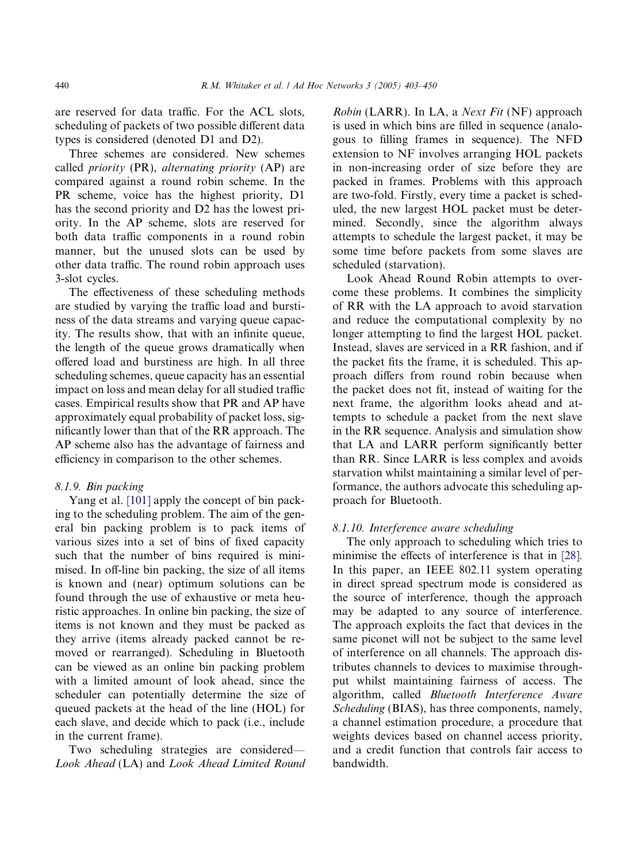are reserved for data traffic. For the ACL slots, scheduling of packets of two possible different data types is considered (denoted D1 and D2).

Three schemes are considered. New schemes called *priority* (PR), *alternating priority* (AP) are compared against a round robin scheme. In the PR scheme, voice has the highest priority, D1 has the second priority and D2 has the lowest priority. In the AP scheme, slots are reserved for both data traffic components in a round robin manner, but the unused slots can be used by other data traffic. The round robin approach uses 3-slot cycles.

The effectiveness of these scheduling methods are studied by varying the traffic load and burstiness of the data streams and varying queue capacity. The results show, that with an infinite queue, the length of the queue grows dramatically when offered load and burstiness are high. In all three scheduling schemes, queue capacity has an essential impact on loss and mean delay for all studied traffic cases. Empirical results show that PR and AP have approximately equal probability of packet loss, significantly lower than that of the RR approach. The AP scheme also has the advantage of fairness and efficiency in comparison to the other schemes.

## 8.1.9. Bin packing

Yang et al. [\[101\]](#page-47-0) apply the concept of bin packing to the scheduling problem. The aim of the general bin packing problem is to pack items of various sizes into a set of bins of fixed capacity such that the number of bins required is minimised. In off-line bin packing, the size of all items is known and (near) optimum solutions can be found through the use of exhaustive or meta heuristic approaches. In online bin packing, the size of items is not known and they must be packed as they arrive (items already packed cannot be removed or rearranged). Scheduling in Bluetooth can be viewed as an online bin packing problem with a limited amount of look ahead, since the scheduler can potentially determine the size of queued packets at the head of the line (HOL) for each slave, and decide which to pack (i.e., include in the current frame).

Two scheduling strategies are considered–– Look Ahead (LA) and Look Ahead Limited Round Robin (LARR). In LA, a Next Fit (NF) approach is used in which bins are filled in sequence (analogous to filling frames in sequence). The NFD extension to NF involves arranging HOL packets in non-increasing order of size before they are packed in frames. Problems with this approach are two-fold. Firstly, every time a packet is scheduled, the new largest HOL packet must be determined. Secondly, since the algorithm always attempts to schedule the largest packet, it may be some time before packets from some slaves are scheduled (starvation).

Look Ahead Round Robin attempts to overcome these problems. It combines the simplicity of RR with the LA approach to avoid starvation and reduce the computational complexity by no longer attempting to find the largest HOL packet. Instead, slaves are serviced in a RR fashion, and if the packet fits the frame, it is scheduled. This approach differs from round robin because when the packet does not fit, instead of waiting for the next frame, the algorithm looks ahead and attempts to schedule a packet from the next slave in the RR sequence. Analysis and simulation show that LA and LARR perform significantly better than RR. Since LARR is less complex and avoids starvation whilst maintaining a similar level of performance, the authors advocate this scheduling approach for Bluetooth.

#### 8.1.10. Interference aware scheduling

The only approach to scheduling which tries to minimise the effects of interference is that in [\[28\]](#page-44-0). In this paper, an IEEE 802.11 system operating in direct spread spectrum mode is considered as the source of interference, though the approach may be adapted to any source of interference. The approach exploits the fact that devices in the same piconet will not be subject to the same level of interference on all channels. The approach distributes channels to devices to maximise throughput whilst maintaining fairness of access. The algorithm, called Bluetooth Interference Aware Scheduling (BIAS), has three components, namely, a channel estimation procedure, a procedure that weights devices based on channel access priority, and a credit function that controls fair access to bandwidth.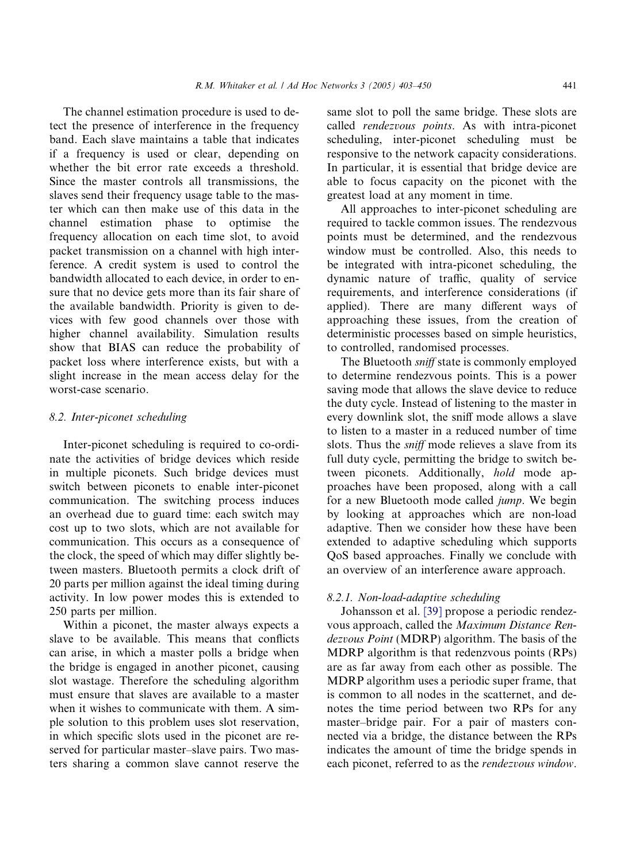The channel estimation procedure is used to detect the presence of interference in the frequency band. Each slave maintains a table that indicates if a frequency is used or clear, depending on whether the bit error rate exceeds a threshold. Since the master controls all transmissions, the slaves send their frequency usage table to the master which can then make use of this data in the channel estimation phase to optimise the frequency allocation on each time slot, to avoid packet transmission on a channel with high interference. A credit system is used to control the bandwidth allocated to each device, in order to ensure that no device gets more than its fair share of the available bandwidth. Priority is given to devices with few good channels over those with higher channel availability. Simulation results show that BIAS can reduce the probability of packet loss where interference exists, but with a slight increase in the mean access delay for the worst-case scenario.

## 8.2. Inter-piconet scheduling

Inter-piconet scheduling is required to co-ordinate the activities of bridge devices which reside in multiple piconets. Such bridge devices must switch between piconets to enable inter-piconet communication. The switching process induces an overhead due to guard time: each switch may cost up to two slots, which are not available for communication. This occurs as a consequence of the clock, the speed of which may differ slightly between masters. Bluetooth permits a clock drift of 20 parts per million against the ideal timing during activity. In low power modes this is extended to 250 parts per million.

Within a piconet, the master always expects a slave to be available. This means that conflicts can arise, in which a master polls a bridge when the bridge is engaged in another piconet, causing slot wastage. Therefore the scheduling algorithm must ensure that slaves are available to a master when it wishes to communicate with them. A simple solution to this problem uses slot reservation, in which specific slots used in the piconet are reserved for particular master–slave pairs. Two masters sharing a common slave cannot reserve the same slot to poll the same bridge. These slots are called rendezvous points. As with intra-piconet scheduling, inter-piconet scheduling must be responsive to the network capacity considerations. In particular, it is essential that bridge device are able to focus capacity on the piconet with the greatest load at any moment in time.

All approaches to inter-piconet scheduling are required to tackle common issues. The rendezvous points must be determined, and the rendezvous window must be controlled. Also, this needs to be integrated with intra-piconet scheduling, the dynamic nature of traffic, quality of service requirements, and interference considerations (if applied). There are many different ways of approaching these issues, from the creation of deterministic processes based on simple heuristics, to controlled, randomised processes.

The Bluetooth *sniff* state is commonly employed to determine rendezvous points. This is a power saving mode that allows the slave device to reduce the duty cycle. Instead of listening to the master in every downlink slot, the sniff mode allows a slave to listen to a master in a reduced number of time slots. Thus the sniff mode relieves a slave from its full duty cycle, permitting the bridge to switch between piconets. Additionally, hold mode approaches have been proposed, along with a call for a new Bluetooth mode called jump. We begin by looking at approaches which are non-load adaptive. Then we consider how these have been extended to adaptive scheduling which supports QoS based approaches. Finally we conclude with an overview of an interference aware approach.

#### 8.2.1. Non-load-adaptive scheduling

Johansson et al. [\[39\]](#page-45-0) propose a periodic rendezvous approach, called the Maximum Distance Rendezvous Point (MDRP) algorithm. The basis of the MDRP algorithm is that redenzvous points (RPs) are as far away from each other as possible. The MDRP algorithm uses a periodic super frame, that is common to all nodes in the scatternet, and denotes the time period between two RPs for any master–bridge pair. For a pair of masters connected via a bridge, the distance between the RPs indicates the amount of time the bridge spends in each piconet, referred to as the rendezvous window.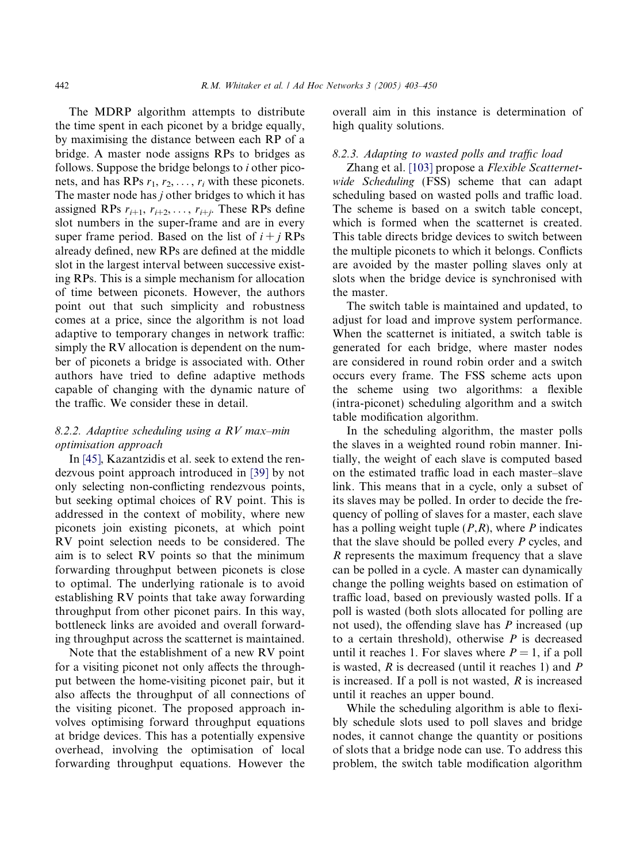The MDRP algorithm attempts to distribute the time spent in each piconet by a bridge equally, by maximising the distance between each RP of a bridge. A master node assigns RPs to bridges as follows. Suppose the bridge belongs to i other piconets, and has RPs  $r_1, r_2, \ldots, r_i$  with these piconets. The master node has  $j$  other bridges to which it has assigned RPs  $r_{i+1}, r_{i+2}, \ldots, r_{i+j}$ . These RPs define slot numbers in the super-frame and are in every super frame period. Based on the list of  $i + j$  RPs already defined, new RPs are defined at the middle slot in the largest interval between successive existing RPs. This is a simple mechanism for allocation of time between piconets. However, the authors point out that such simplicity and robustness comes at a price, since the algorithm is not load adaptive to temporary changes in network traffic: simply the RV allocation is dependent on the number of piconets a bridge is associated with. Other authors have tried to define adaptive methods capable of changing with the dynamic nature of the traffic. We consider these in detail.

# 8.2.2. Adaptive scheduling using a RV max–min optimisation approach

In [\[45\],](#page-45-0) Kazantzidis et al. seek to extend the rendezvous point approach introduced in [\[39\]](#page-45-0) by not only selecting non-conflicting rendezvous points, but seeking optimal choices of RV point. This is addressed in the context of mobility, where new piconets join existing piconets, at which point RV point selection needs to be considered. The aim is to select RV points so that the minimum forwarding throughput between piconets is close to optimal. The underlying rationale is to avoid establishing RV points that take away forwarding throughput from other piconet pairs. In this way, bottleneck links are avoided and overall forwarding throughput across the scatternet is maintained.

Note that the establishment of a new RV point for a visiting piconet not only affects the throughput between the home-visiting piconet pair, but it also affects the throughput of all connections of the visiting piconet. The proposed approach involves optimising forward throughput equations at bridge devices. This has a potentially expensive overhead, involving the optimisation of local forwarding throughput equations. However the overall aim in this instance is determination of high quality solutions.

## 8.2.3. Adapting to wasted polls and traffic load

Zhang et al. [\[103\]](#page-47-0) propose a Flexible Scatternetwide Scheduling (FSS) scheme that can adapt scheduling based on wasted polls and traffic load. The scheme is based on a switch table concept, which is formed when the scatternet is created. This table directs bridge devices to switch between the multiple piconets to which it belongs. Conflicts are avoided by the master polling slaves only at slots when the bridge device is synchronised with the master.

The switch table is maintained and updated, to adjust for load and improve system performance. When the scatternet is initiated, a switch table is generated for each bridge, where master nodes are considered in round robin order and a switch occurs every frame. The FSS scheme acts upon the scheme using two algorithms: a flexible (intra-piconet) scheduling algorithm and a switch table modification algorithm.

In the scheduling algorithm, the master polls the slaves in a weighted round robin manner. Initially, the weight of each slave is computed based on the estimated traffic load in each master–slave link. This means that in a cycle, only a subset of its slaves may be polled. In order to decide the frequency of polling of slaves for a master, each slave has a polling weight tuple  $(P,R)$ , where P indicates that the slave should be polled every  $P$  cycles, and R represents the maximum frequency that a slave can be polled in a cycle. A master can dynamically change the polling weights based on estimation of traffic load, based on previously wasted polls. If a poll is wasted (both slots allocated for polling are not used), the offending slave has  $P$  increased (up to a certain threshold), otherwise  $P$  is decreased until it reaches 1. For slaves where  $P = 1$ , if a poll is wasted,  $R$  is decreased (until it reaches 1) and  $P$ is increased. If a poll is not wasted,  $R$  is increased until it reaches an upper bound.

While the scheduling algorithm is able to flexibly schedule slots used to poll slaves and bridge nodes, it cannot change the quantity or positions of slots that a bridge node can use. To address this problem, the switch table modification algorithm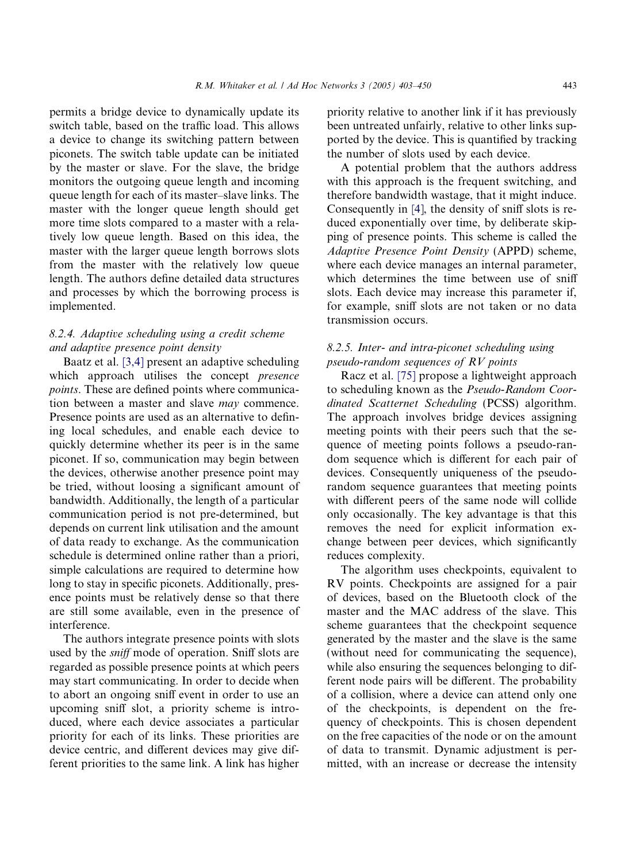permits a bridge device to dynamically update its switch table, based on the traffic load. This allows a device to change its switching pattern between piconets. The switch table update can be initiated by the master or slave. For the slave, the bridge monitors the outgoing queue length and incoming queue length for each of its master–slave links. The master with the longer queue length should get more time slots compared to a master with a relatively low queue length. Based on this idea, the master with the larger queue length borrows slots from the master with the relatively low queue length. The authors define detailed data structures and processes by which the borrowing process is implemented.

# 8.2.4. Adaptive scheduling using a credit scheme and adaptive presence point density

Baatz et al. [\[3,4\]](#page-44-0) present an adaptive scheduling which approach utilises the concept *presence* points. These are defined points where communication between a master and slave may commence. Presence points are used as an alternative to defining local schedules, and enable each device to quickly determine whether its peer is in the same piconet. If so, communication may begin between the devices, otherwise another presence point may be tried, without loosing a significant amount of bandwidth. Additionally, the length of a particular communication period is not pre-determined, but depends on current link utilisation and the amount of data ready to exchange. As the communication schedule is determined online rather than a priori, simple calculations are required to determine how long to stay in specific piconets. Additionally, presence points must be relatively dense so that there are still some available, even in the presence of interference.

The authors integrate presence points with slots used by the *sniff* mode of operation. Sniff slots are regarded as possible presence points at which peers may start communicating. In order to decide when to abort an ongoing sniff event in order to use an upcoming sniff slot, a priority scheme is introduced, where each device associates a particular priority for each of its links. These priorities are device centric, and different devices may give different priorities to the same link. A link has higher priority relative to another link if it has previously been untreated unfairly, relative to other links supported by the device. This is quantified by tracking the number of slots used by each device.

A potential problem that the authors address with this approach is the frequent switching, and therefore bandwidth wastage, that it might induce. Consequently in [\[4\],](#page-44-0) the density of sniff slots is reduced exponentially over time, by deliberate skipping of presence points. This scheme is called the Adaptive Presence Point Density (APPD) scheme, where each device manages an internal parameter, which determines the time between use of sniff slots. Each device may increase this parameter if, for example, sniff slots are not taken or no data transmission occurs.

# 8.2.5. Inter- and intra-piconet scheduling using pseudo-random sequences of RV points

Racz et al. [\[75\]](#page-46-0) propose a lightweight approach to scheduling known as the Pseudo-Random Coordinated Scatternet Scheduling (PCSS) algorithm. The approach involves bridge devices assigning meeting points with their peers such that the sequence of meeting points follows a pseudo-random sequence which is different for each pair of devices. Consequently uniqueness of the pseudorandom sequence guarantees that meeting points with different peers of the same node will collide only occasionally. The key advantage is that this removes the need for explicit information exchange between peer devices, which significantly reduces complexity.

The algorithm uses checkpoints, equivalent to RV points. Checkpoints are assigned for a pair of devices, based on the Bluetooth clock of the master and the MAC address of the slave. This scheme guarantees that the checkpoint sequence generated by the master and the slave is the same (without need for communicating the sequence), while also ensuring the sequences belonging to different node pairs will be different. The probability of a collision, where a device can attend only one of the checkpoints, is dependent on the frequency of checkpoints. This is chosen dependent on the free capacities of the node or on the amount of data to transmit. Dynamic adjustment is permitted, with an increase or decrease the intensity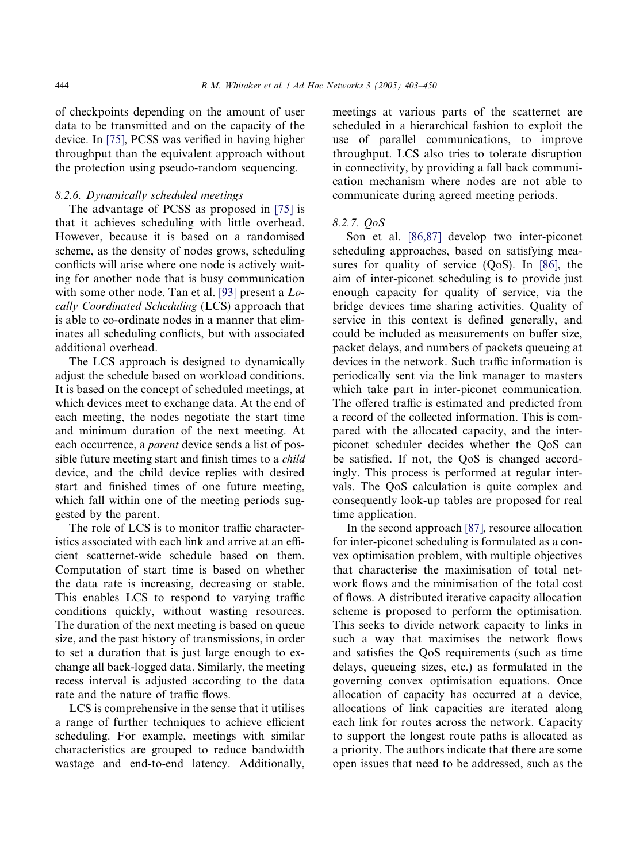of checkpoints depending on the amount of user data to be transmitted and on the capacity of the device. In [\[75\]](#page-46-0), PCSS was verified in having higher throughput than the equivalent approach without the protection using pseudo-random sequencing.

## 8.2.6. Dynamically scheduled meetings

The advantage of PCSS as proposed in [\[75\]](#page-46-0) is that it achieves scheduling with little overhead. However, because it is based on a randomised scheme, as the density of nodes grows, scheduling conflicts will arise where one node is actively waiting for another node that is busy communication with some other node. Tan et al. [\[93\]](#page-46-0) present a Locally Coordinated Scheduling (LCS) approach that is able to co-ordinate nodes in a manner that eliminates all scheduling conflicts, but with associated additional overhead.

The LCS approach is designed to dynamically adjust the schedule based on workload conditions. It is based on the concept of scheduled meetings, at which devices meet to exchange data. At the end of each meeting, the nodes negotiate the start time and minimum duration of the next meeting. At each occurrence, a parent device sends a list of possible future meeting start and finish times to a child device, and the child device replies with desired start and finished times of one future meeting, which fall within one of the meeting periods suggested by the parent.

The role of LCS is to monitor traffic characteristics associated with each link and arrive at an efficient scatternet-wide schedule based on them. Computation of start time is based on whether the data rate is increasing, decreasing or stable. This enables LCS to respond to varying traffic conditions quickly, without wasting resources. The duration of the next meeting is based on queue size, and the past history of transmissions, in order to set a duration that is just large enough to exchange all back-logged data. Similarly, the meeting recess interval is adjusted according to the data rate and the nature of traffic flows.

LCS is comprehensive in the sense that it utilises a range of further techniques to achieve efficient scheduling. For example, meetings with similar characteristics are grouped to reduce bandwidth wastage and end-to-end latency. Additionally, meetings at various parts of the scatternet are scheduled in a hierarchical fashion to exploit the use of parallel communications, to improve throughput. LCS also tries to tolerate disruption in connectivity, by providing a fall back communication mechanism where nodes are not able to communicate during agreed meeting periods.

#### 8.2.7. QoS

Son et al. [\[86,87\]](#page-46-0) develop two inter-piconet scheduling approaches, based on satisfying measures for quality of service (QoS). In [\[86\]](#page-46-0), the aim of inter-piconet scheduling is to provide just enough capacity for quality of service, via the bridge devices time sharing activities. Quality of service in this context is defined generally, and could be included as measurements on buffer size, packet delays, and numbers of packets queueing at devices in the network. Such traffic information is periodically sent via the link manager to masters which take part in inter-piconet communication. The offered traffic is estimated and predicted from a record of the collected information. This is compared with the allocated capacity, and the interpiconet scheduler decides whether the QoS can be satisfied. If not, the QoS is changed accordingly. This process is performed at regular intervals. The QoS calculation is quite complex and consequently look-up tables are proposed for real time application.

In the second approach [\[87\],](#page-46-0) resource allocation for inter-piconet scheduling is formulated as a convex optimisation problem, with multiple objectives that characterise the maximisation of total network flows and the minimisation of the total cost of flows. A distributed iterative capacity allocation scheme is proposed to perform the optimisation. This seeks to divide network capacity to links in such a way that maximises the network flows and satisfies the QoS requirements (such as time delays, queueing sizes, etc.) as formulated in the governing convex optimisation equations. Once allocation of capacity has occurred at a device, allocations of link capacities are iterated along each link for routes across the network. Capacity to support the longest route paths is allocated as a priority. The authors indicate that there are some open issues that need to be addressed, such as the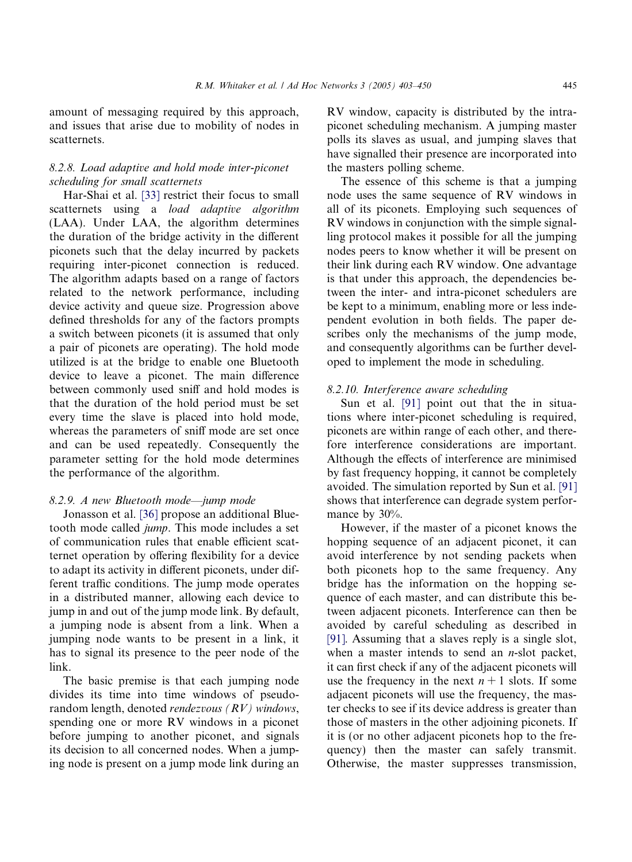amount of messaging required by this approach, and issues that arise due to mobility of nodes in scatternets.

# 8.2.8. Load adaptive and hold mode inter-piconet scheduling for small scatternets

Har-Shai et al. [\[33\]](#page-45-0) restrict their focus to small scatternets using a *load adaptive algorithm* (LAA). Under LAA, the algorithm determines the duration of the bridge activity in the different piconets such that the delay incurred by packets requiring inter-piconet connection is reduced. The algorithm adapts based on a range of factors related to the network performance, including device activity and queue size. Progression above defined thresholds for any of the factors prompts a switch between piconets (it is assumed that only a pair of piconets are operating). The hold mode utilized is at the bridge to enable one Bluetooth device to leave a piconet. The main difference between commonly used sniff and hold modes is that the duration of the hold period must be set every time the slave is placed into hold mode, whereas the parameters of sniff mode are set once and can be used repeatedly. Consequently the parameter setting for the hold mode determines the performance of the algorithm.

## 8.2.9. A new Bluetooth mode—jump mode

Jonasson et al. [\[36\]](#page-45-0) propose an additional Bluetooth mode called jump. This mode includes a set of communication rules that enable efficient scatternet operation by offering flexibility for a device to adapt its activity in different piconets, under different traffic conditions. The jump mode operates in a distributed manner, allowing each device to jump in and out of the jump mode link. By default, a jumping node is absent from a link. When a jumping node wants to be present in a link, it has to signal its presence to the peer node of the link.

The basic premise is that each jumping node divides its time into time windows of pseudorandom length, denoted rendezvous (RV) windows, spending one or more RV windows in a piconet before jumping to another piconet, and signals its decision to all concerned nodes. When a jumping node is present on a jump mode link during an

RV window, capacity is distributed by the intrapiconet scheduling mechanism. A jumping master polls its slaves as usual, and jumping slaves that have signalled their presence are incorporated into the masters polling scheme.

The essence of this scheme is that a jumping node uses the same sequence of RV windows in all of its piconets. Employing such sequences of RV windows in conjunction with the simple signalling protocol makes it possible for all the jumping nodes peers to know whether it will be present on their link during each RV window. One advantage is that under this approach, the dependencies between the inter- and intra-piconet schedulers are be kept to a minimum, enabling more or less independent evolution in both fields. The paper describes only the mechanisms of the jump mode, and consequently algorithms can be further developed to implement the mode in scheduling.

#### 8.2.10. Interference aware scheduling

Sun et al. [\[91\]](#page-46-0) point out that the in situations where inter-piconet scheduling is required, piconets are within range of each other, and therefore interference considerations are important. Although the effects of interference are minimised by fast frequency hopping, it cannot be completely avoided. The simulation reported by Sun et al. [\[91\]](#page-46-0) shows that interference can degrade system performance by  $30\%$ .

However, if the master of a piconet knows the hopping sequence of an adjacent piconet, it can avoid interference by not sending packets when both piconets hop to the same frequency. Any bridge has the information on the hopping sequence of each master, and can distribute this between adjacent piconets. Interference can then be avoided by careful scheduling as described in [\[91\]](#page-46-0). Assuming that a slaves reply is a single slot, when a master intends to send an  $n$ -slot packet, it can first check if any of the adjacent piconets will use the frequency in the next  $n + 1$  slots. If some adjacent piconets will use the frequency, the master checks to see if its device address is greater than those of masters in the other adjoining piconets. If it is (or no other adjacent piconets hop to the frequency) then the master can safely transmit. Otherwise, the master suppresses transmission,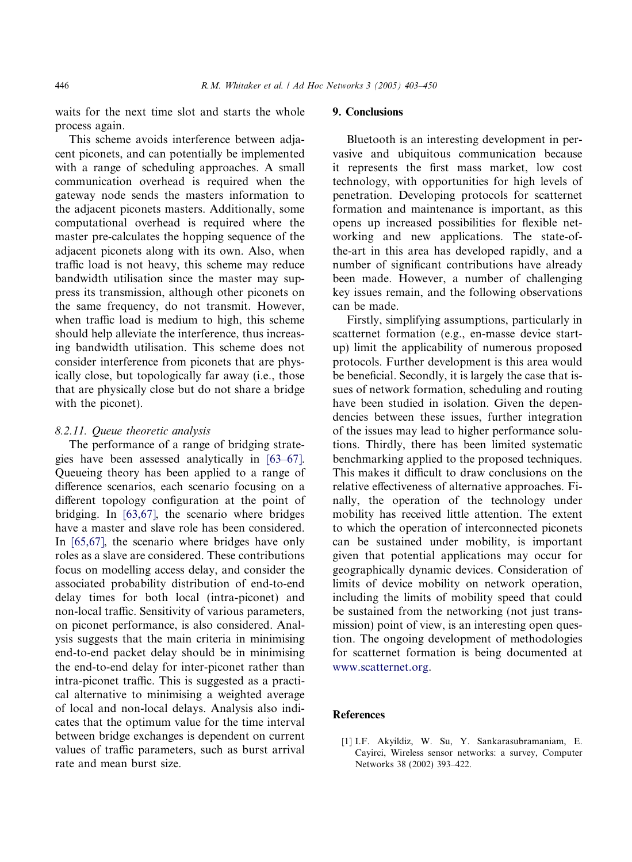<span id="page-43-0"></span>waits for the next time slot and starts the whole process again.

This scheme avoids interference between adjacent piconets, and can potentially be implemented with a range of scheduling approaches. A small communication overhead is required when the gateway node sends the masters information to the adjacent piconets masters. Additionally, some computational overhead is required where the master pre-calculates the hopping sequence of the adjacent piconets along with its own. Also, when traffic load is not heavy, this scheme may reduce bandwidth utilisation since the master may suppress its transmission, although other piconets on the same frequency, do not transmit. However, when traffic load is medium to high, this scheme should help alleviate the interference, thus increasing bandwidth utilisation. This scheme does not consider interference from piconets that are physically close, but topologically far away (i.e., those that are physically close but do not share a bridge with the piconet).

#### 8.2.11. Queue theoretic analysis

The performance of a range of bridging strategies have been assessed analytically in [\[63–67\].](#page-45-0) Queueing theory has been applied to a range of difference scenarios, each scenario focusing on a different topology configuration at the point of bridging. In [\[63,67\]](#page-45-0), the scenario where bridges have a master and slave role has been considered. In [\[65,67\]](#page-46-0), the scenario where bridges have only roles as a slave are considered. These contributions focus on modelling access delay, and consider the associated probability distribution of end-to-end delay times for both local (intra-piconet) and non-local traffic. Sensitivity of various parameters, on piconet performance, is also considered. Analysis suggests that the main criteria in minimising end-to-end packet delay should be in minimising the end-to-end delay for inter-piconet rather than intra-piconet traffic. This is suggested as a practical alternative to minimising a weighted average of local and non-local delays. Analysis also indicates that the optimum value for the time interval between bridge exchanges is dependent on current values of traffic parameters, such as burst arrival rate and mean burst size.

## 9. Conclusions

Bluetooth is an interesting development in pervasive and ubiquitous communication because it represents the first mass market, low cost technology, with opportunities for high levels of penetration. Developing protocols for scatternet formation and maintenance is important, as this opens up increased possibilities for flexible networking and new applications. The state-ofthe-art in this area has developed rapidly, and a number of significant contributions have already been made. However, a number of challenging key issues remain, and the following observations can be made.

Firstly, simplifying assumptions, particularly in scatternet formation (e.g., en-masse device startup) limit the applicability of numerous proposed protocols. Further development is this area would be beneficial. Secondly, it is largely the case that issues of network formation, scheduling and routing have been studied in isolation. Given the dependencies between these issues, further integration of the issues may lead to higher performance solutions. Thirdly, there has been limited systematic benchmarking applied to the proposed techniques. This makes it difficult to draw conclusions on the relative effectiveness of alternative approaches. Finally, the operation of the technology under mobility has received little attention. The extent to which the operation of interconnected piconets can be sustained under mobility, is important given that potential applications may occur for geographically dynamic devices. Consideration of limits of device mobility on network operation, including the limits of mobility speed that could be sustained from the networking (not just transmission) point of view, is an interesting open question. The ongoing development of methodologies for scatternet formation is being documented at [www.scatternet.org](http://www.scatternet.org).

## References

[1] I.F. Akyildiz, W. Su, Y. Sankarasubramaniam, E. Cayirci, Wireless sensor networks: a survey, Computer Networks 38 (2002) 393–422.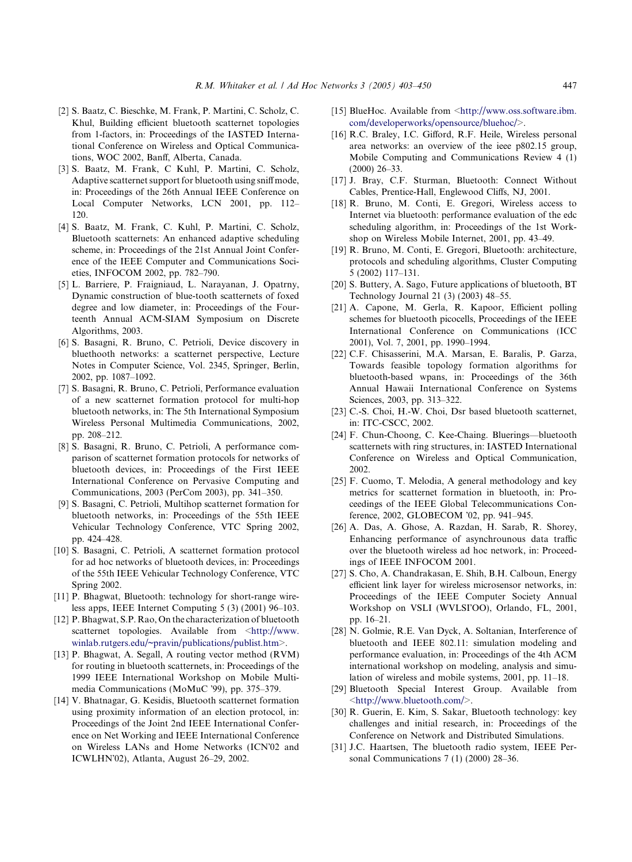- <span id="page-44-0"></span>[2] S. Baatz, C. Bieschke, M. Frank, P. Martini, C. Scholz, C. Khul, Building efficient bluetooth scatternet topologies from 1-factors, in: Proceedings of the IASTED International Conference on Wireless and Optical Communications, WOC 2002, Banff, Alberta, Canada.
- [3] S. Baatz, M. Frank, C Kuhl, P. Martini, C. Scholz, Adaptive scatternet support for bluetooth using sniff mode, in: Proceedings of the 26th Annual IEEE Conference on Local Computer Networks, LCN 2001, pp. 112– 120.
- [4] S. Baatz, M. Frank, C. Kuhl, P. Martini, C. Scholz, Bluetooth scatternets: An enhanced adaptive scheduling scheme, in: Proceedings of the 21st Annual Joint Conference of the IEEE Computer and Communications Societies, INFOCOM 2002, pp. 782–790.
- [5] L. Barriere, P. Fraigniaud, L. Narayanan, J. Opatrny, Dynamic construction of blue-tooth scatternets of foxed degree and low diameter, in: Proceedings of the Fourteenth Annual ACM-SIAM Symposium on Discrete Algorithms, 2003.
- [6] S. Basagni, R. Bruno, C. Petrioli, Device discovery in bluethooth networks: a scatternet perspective, Lecture Notes in Computer Science, Vol. 2345, Springer, Berlin, 2002, pp. 1087–1092.
- [7] S. Basagni, R. Bruno, C. Petrioli, Performance evaluation of a new scatternet formation protocol for multi-hop bluetooth networks, in: The 5th International Symposium Wireless Personal Multimedia Communications, 2002, pp. 208–212.
- [8] S. Basagni, R. Bruno, C. Petrioli, A performance comparison of scatternet formation protocols for networks of bluetooth devices, in: Proceedings of the First IEEE International Conference on Pervasive Computing and Communications, 2003 (PerCom 2003), pp. 341–350.
- [9] S. Basagni, C. Petrioli, Multihop scatternet formation for bluetooth networks, in: Proceedings of the 55th IEEE Vehicular Technology Conference, VTC Spring 2002, pp. 424–428.
- [10] S. Basagni, C. Petrioli, A scatternet formation protocol for ad hoc networks of bluetooth devices, in: Proceedings of the 55th IEEE Vehicular Technology Conference, VTC Spring 2002.
- [11] P. Bhagwat, Bluetooth: technology for short-range wireless apps, IEEE Internet Computing 5 (3) (2001) 96–103.
- [12] P. Bhagwat, S.P. Rao, On the characterization of bluetooth scatternet topologies. Available from [<http://www.](http://www.winlab.rutgers.edu/~pravin/publications/publist.htm) [winlab.rutgers.edu/~pravin/publications/publist.htm](http://www.winlab.rutgers.edu/~pravin/publications/publist.htm)>.
- [13] P. Bhagwat, A. Segall, A routing vector method (RVM) for routing in bluetooth scatternets, in: Proceedings of the 1999 IEEE International Workshop on Mobile Multimedia Communications (MoMuC '99), pp. 375–379.
- [14] V. Bhatnagar, G. Kesidis, Bluetooth scatternet formation using proximity information of an election protocol, in: Proceedings of the Joint 2nd IEEE International Conference on Net Working and IEEE International Conference on Wireless LANs and Home Networks (ICN'02 and ICWLHN02), Atlanta, August 26–29, 2002.
- [15] BlueHoc. Available from <[http://www.oss.software.ibm.](http://www.oss.software.ibm.com/developerworks/opensource/bluehoc/) [com/developerworks/opensource/bluehoc/](http://www.oss.software.ibm.com/developerworks/opensource/bluehoc/)>.
- [16] R.C. Braley, I.C. Gifford, R.F. Heile, Wireless personal area networks: an overview of the ieee p802.15 group, Mobile Computing and Communications Review 4 (1) (2000) 26–33.
- [17] J. Bray, C.F. Sturman, Bluetooth: Connect Without Cables, Prentice-Hall, Englewood Cliffs, NJ, 2001.
- [18] R. Bruno, M. Conti, E. Gregori, Wireless access to Internet via bluetooth: performance evaluation of the edc scheduling algorithm, in: Proceedings of the 1st Workshop on Wireless Mobile Internet, 2001, pp. 43–49.
- [19] R. Bruno, M. Conti, E. Gregori, Bluetooth: architecture, protocols and scheduling algorithms, Cluster Computing 5 (2002) 117–131.
- [20] S. Buttery, A. Sago, Future applications of bluetooth, BT Technology Journal 21 (3) (2003) 48–55.
- [21] A. Capone, M. Gerla, R. Kapoor, Efficient polling schemes for bluetooth picocells, Proceedings of the IEEE International Conference on Communications (ICC 2001), Vol. 7, 2001, pp. 1990–1994.
- [22] C.F. Chisasserini, M.A. Marsan, E. Baralis, P. Garza, Towards feasible topology formation algorithms for bluetooth-based wpans, in: Proceedings of the 36th Annual Hawaii International Conference on Systems Sciences, 2003, pp. 313–322.
- [23] C.-S. Choi, H.-W. Choi, Dsr based bluetooth scatternet, in: ITC-CSCC, 2002.
- [24] F. Chun-Choong, C. Kee-Chaing. Bluerings––bluetooth scatternets with ring structures, in: IASTED International Conference on Wireless and Optical Communication, 2002.
- [25] F. Cuomo, T. Melodia, A general methodology and key metrics for scatternet formation in bluetooth, in: Proceedings of the IEEE Global Telecommunications Conference, 2002, GLOBECOM '02, pp. 941-945.
- [26] A. Das, A. Ghose, A. Razdan, H. Sarab, R. Shorey, Enhancing performance of asynchrounous data traffic over the bluetooth wireless ad hoc network, in: Proceedings of IEEE INFOCOM 2001.
- [27] S. Cho, A. Chandrakasan, E. Shih, B.H. Calboun, Energy efficient link layer for wireless microsensor networks, in: Proceedings of the IEEE Computer Society Annual Workshop on VSLI(WVLSIOO), Orlando, FL, 2001, pp. 16–21.
- [28] N. Golmie, R.E. Van Dyck, A. Soltanian, Interference of bluetooth and IEEE 802.11: simulation modeling and performance evaluation, in: Proceedings of the 4th ACM international workshop on modeling, analysis and simulation of wireless and mobile systems, 2001, pp. 11–18.
- [29] Bluetooth Special Interest Group. Available from [<http://www.bluetooth.com/>](http://www.bluetooth.com/).
- [30] R. Guerin, E. Kim, S. Sakar, Bluetooth technology: key challenges and initial research, in: Proceedings of the Conference on Network and Distributed Simulations.
- [31] J.C. Haartsen, The bluetooth radio system, IEEE Personal Communications 7 (1) (2000) 28–36.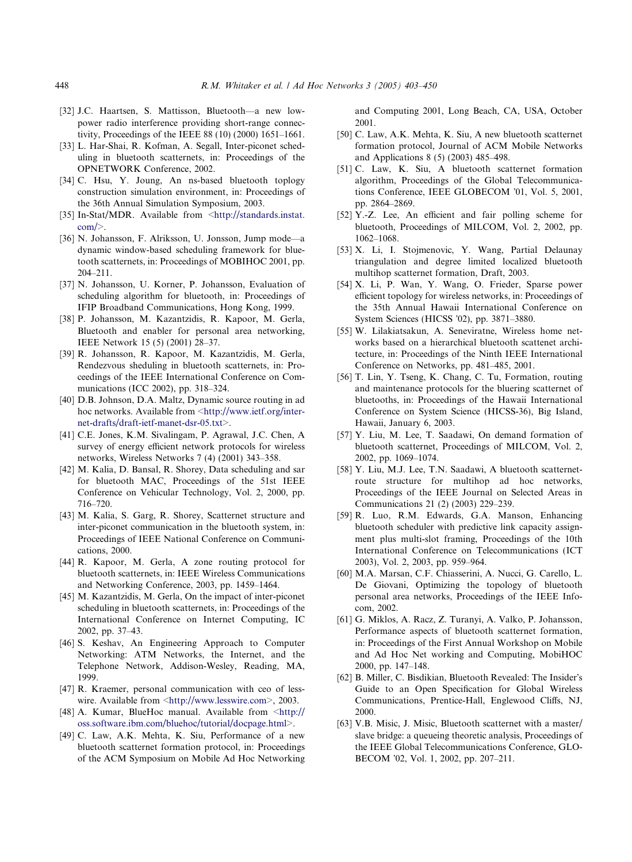- <span id="page-45-0"></span>[32] J.C. Haartsen, S. Mattisson, Bluetooth—a new lowpower radio interference providing short-range connectivity, Proceedings of the IEEE 88 (10) (2000) 1651–1661.
- [33] L. Har-Shai, R. Kofman, A. Segall, Inter-piconet scheduling in bluetooth scatternets, in: Proceedings of the OPNETWORK Conference, 2002.
- [34] C. Hsu, Y. Joung, An ns-based bluetooth toplogy construction simulation environment, in: Proceedings of the 36th Annual Simulation Symposium, 2003.
- [35] In-Stat/MDR. Available from [<http://standards.instat.](http://standards.instat.com/) [com/](http://standards.instat.com/)>.
- [36] N. Johansson, F. Alriksson, U. Jonsson, Jump mode––a dynamic window-based scheduling framework for bluetooth scatternets, in: Proceedings of MOBIHOC 2001, pp. 204–211.
- [37] N. Johansson, U. Korner, P. Johansson, Evaluation of scheduling algorithm for bluetooth, in: Proceedings of IFIP Broadband Communications, Hong Kong, 1999.
- [38] P. Johansson, M. Kazantzidis, R. Kapoor, M. Gerla, Bluetooth and enabler for personal area networking, IEEE Network 15 (5) (2001) 28–37.
- [39] R. Johansson, R. Kapoor, M. Kazantzidis, M. Gerla, Rendezvous sheduling in bluetooth scatternets, in: Proceedings of the IEEE International Conference on Communications (ICC 2002), pp. 318–324.
- [40] D.B. Johnson, D.A. Maltz, Dynamic source routing in ad hoc networks. Available from <[http://www.ietf.org/inter](http://www.ietf.org/internet-drafts/draft-ietf-manet-dsr-05.txt)[net-drafts/draft-ietf-manet-dsr-05.txt>](http://www.ietf.org/internet-drafts/draft-ietf-manet-dsr-05.txt).
- [41] C.E. Jones, K.M. Sivalingam, P. Agrawal, J.C. Chen, A survey of energy efficient network protocols for wireless networks, Wireless Networks 7 (4) (2001) 343–358.
- [42] M. Kalia, D. Bansal, R. Shorey, Data scheduling and sar for bluetooth MAC, Proceedings of the 51st IEEE Conference on Vehicular Technology, Vol. 2, 2000, pp. 716–720.
- [43] M. Kalia, S. Garg, R. Shorey, Scatternet structure and inter-piconet communication in the bluetooth system, in: Proceedings of IEEE National Conference on Communications, 2000.
- [44] R. Kapoor, M. Gerla, A zone routing protocol for bluetooth scatternets, in: IEEE Wireless Communications and Networking Conference, 2003, pp. 1459–1464.
- [45] M. Kazantzidis, M. Gerla, On the impact of inter-piconet scheduling in bluetooth scatternets, in: Proceedings of the International Conference on Internet Computing, IC 2002, pp. 37–43.
- [46] S. Keshav, An Engineering Approach to Computer Networking: ATM Networks, the Internet, and the Telephone Network, Addison-Wesley, Reading, MA, 1999.
- [47] R. Kraemer, personal communication with ceo of lesswire. Available from <[http://www.lesswire.com>](http://www.lesswire.com), 2003.
- [48] A. Kumar, BlueHoc manual. Available from <[http://](http://oss.software.ibm.com/bluehoc/tutorial/docpage.html) [oss.software.ibm.com/bluehoc/tutorial/docpage.html>](http://oss.software.ibm.com/bluehoc/tutorial/docpage.html).
- [49] C. Law, A.K. Mehta, K. Siu, Performance of a new bluetooth scatternet formation protocol, in: Proceedings of the ACM Symposium on Mobile Ad Hoc Networking

and Computing 2001, Long Beach, CA, USA, October 2001.

- [50] C. Law, A.K. Mehta, K. Siu, A new bluetooth scatternet formation protocol, Journal of ACM Mobile Networks and Applications 8 (5) (2003) 485–498.
- [51] C. Law, K. Siu, A bluetooth scatternet formation algorithm, Proceedings of the Global Telecommunications Conference, IEEE GLOBECOM '01, Vol. 5, 2001, pp. 2864–2869.
- [52] Y.-Z. Lee, An efficient and fair polling scheme for bluetooth, Proceedings of MILCOM, Vol. 2, 2002, pp. 1062–1068.
- [53] X. Li, I. Stojmenovic, Y. Wang, Partial Delaunay triangulation and degree limited localized bluetooth multihop scatternet formation, Draft, 2003.
- [54] X. Li, P. Wan, Y. Wang, O. Frieder, Sparse power efficient topology for wireless networks, in: Proceedings of the 35th Annual Hawaii International Conference on System Sciences (HICSS 02), pp. 3871–3880.
- [55] W. Lilakiatsakun, A. Seneviratne, Wireless home networks based on a hierarchical bluetooth scattenet architecture, in: Proceedings of the Ninth IEEE International Conference on Networks, pp. 481–485, 2001.
- [56] T. Lin, Y. Tseng, K. Chang, C. Tu, Formation, routing and maintenance protocols for the bluering scatternet of bluetooths, in: Proceedings of the Hawaii International Conference on System Science (HICSS-36), Big Island, Hawaii, January 6, 2003.
- [57] Y. Liu, M. Lee, T. Saadawi, On demand formation of bluetooth scatternet, Proceedings of MILCOM, Vol. 2, 2002, pp. 1069–1074.
- [58] Y. Liu, M.J. Lee, T.N. Saadawi, A bluetooth scatternetroute structure for multihop ad hoc networks, Proceedings of the IEEE Journal on Selected Areas in Communications 21 (2) (2003) 229–239.
- [59] R. Luo, R.M. Edwards, G.A. Manson, Enhancing bluetooth scheduler with predictive link capacity assignment plus multi-slot framing, Proceedings of the 10th International Conference on Telecommunications (ICT 2003), Vol. 2, 2003, pp. 959–964.
- [60] M.A. Marsan, C.F. Chiasserini, A. Nucci, G. Carello, L. De Giovani, Optimizing the topology of bluetooth personal area networks, Proceedings of the IEEE Infocom, 2002.
- [61] G. Miklos, A. Racz, Z. Turanyi, A. Valko, P. Johansson, Performance aspects of bluetooth scatternet formation, in: Proceedings of the First Annual Workshop on Mobile and Ad Hoc Net working and Computing, MobiHOC 2000, pp. 147–148.
- [62] B. Miller, C. Bisdikian, Bluetooth Revealed: The Insider's Guide to an Open Specification for Global Wireless Communications, Prentice-Hall, Englewood Cliffs, NJ, 2000.
- [63] V.B. Misic, J. Misic, Bluetooth scatternet with a master/ slave bridge: a queueing theoretic analysis, Proceedings of the IEEE Global Telecommunications Conference, GLO-BECOM 02, Vol. 1, 2002, pp. 207–211.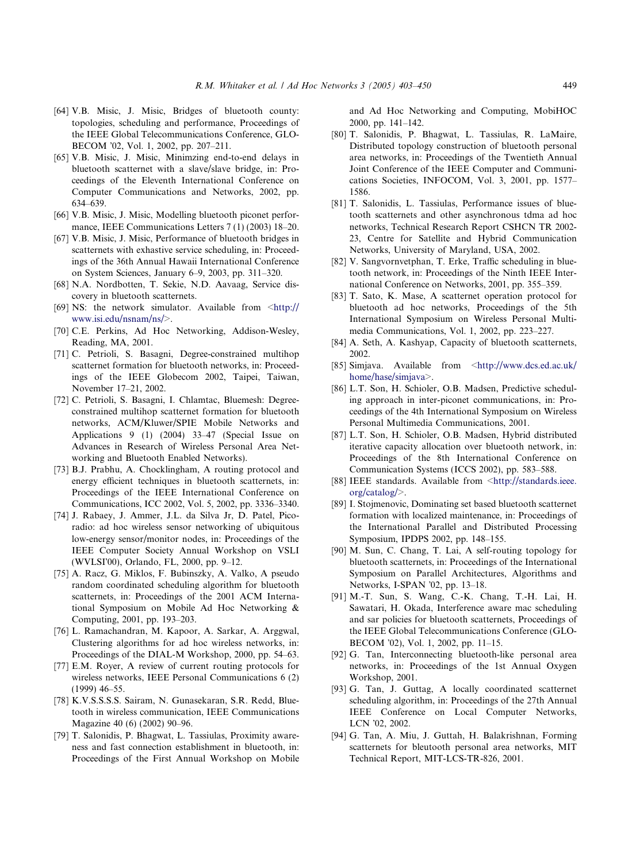- <span id="page-46-0"></span>[64] V.B. Misic, J. Misic, Bridges of bluetooth county: topologies, scheduling and performance, Proceedings of the IEEE Global Telecommunications Conference, GLO-BECOM 02, Vol. 1, 2002, pp. 207–211.
- [65] V.B. Misic, J. Misic, Minimzing end-to-end delays in bluetooth scatternet with a slave/slave bridge, in: Proceedings of the Eleventh International Conference on Computer Communications and Networks, 2002, pp. 634–639.
- [66] V.B. Misic, J. Misic, Modelling bluetooth piconet performance, IEEE Communications Letters 7 (1) (2003) 18–20.
- [67] V.B. Misic, J. Misic, Performance of bluetooth bridges in scatternets with exhastive service scheduling, in: Proceedings of the 36th Annual Hawaii International Conference on System Sciences, January 6–9, 2003, pp. 311–320.
- [68] N.A. Nordbotten, T. Sekie, N.D. Aavaag, Service discovery in bluetooth scatternets.
- [69] NS: the network simulator. Available from  $\langle \text{http://}$  $\langle \text{http://}$  $\langle \text{http://}$ [www.isi.edu/nsnam/ns/](http://www.isi.edu/nsnam/ns/)>.
- [70] C.E. Perkins, Ad Hoc Networking, Addison-Wesley, Reading, MA, 2001.
- [71] C. Petrioli, S. Basagni, Degree-constrained multihop scatternet formation for bluetooth networks, in: Proceedings of the IEEE Globecom 2002, Taipei, Taiwan, November 17–21, 2002.
- [72] C. Petrioli, S. Basagni, I. Chlamtac, Bluemesh: Degreeconstrained multihop scatternet formation for bluetooth networks, ACM/Kluwer/SPIE Mobile Networks and Applications 9 (1) (2004) 33–47 (Special Issue on Advances in Research of Wireless Personal Area Networking and Bluetooth Enabled Networks).
- [73] B.J. Prabhu, A. Chocklingham, A routing protocol and energy efficient techniques in bluetooth scatternets, in: Proceedings of the IEEE International Conference on Communications, ICC 2002, Vol. 5, 2002, pp. 3336–3340.
- [74] J. Rabaey, J. Ammer, J.L. da Silva Jr, D. Patel, Picoradio: ad hoc wireless sensor networking of ubiquitous low-energy sensor/monitor nodes, in: Proceedings of the IEEE Computer Society Annual Workshop on VSLI (WVLSI'00), Orlando, FL, 2000, pp. 9-12.
- [75] A. Racz, G. Miklos, F. Bubinszky, A. Valko, A pseudo random coordinated scheduling algorithm for bluetooth scatternets, in: Proceedings of the 2001 ACM International Symposium on Mobile Ad Hoc Networking & Computing, 2001, pp. 193–203.
- [76] L. Ramachandran, M. Kapoor, A. Sarkar, A. Arggwal, Clustering algorithms for ad hoc wireless networks, in: Proceedings of the DIAL-M Workshop, 2000, pp. 54–63.
- [77] E.M. Royer, A review of current routing protocols for wireless networks, IEEE Personal Communications 6 (2) (1999) 46–55.
- [78] K.V.S.S.S.S. Sairam, N. Gunasekaran, S.R. Redd, Bluetooth in wireless communication, IEEE Communications Magazine 40 (6) (2002) 90–96.
- [79] T. Salonidis, P. Bhagwat, L. Tassiulas, Proximity awareness and fast connection establishment in bluetooth, in: Proceedings of the First Annual Workshop on Mobile

and Ad Hoc Networking and Computing, MobiHOC 2000, pp. 141–142.

- [80] T. Salonidis, P. Bhagwat, L. Tassiulas, R. LaMaire, Distributed topology construction of bluetooth personal area networks, in: Proceedings of the Twentieth Annual Joint Conference of the IEEE Computer and Communications Societies, INFOCOM, Vol. 3, 2001, pp. 1577– 1586.
- [81] T. Salonidis, L. Tassiulas, Performance issues of bluetooth scatternets and other asynchronous tdma ad hoc networks, Technical Research Report CSHCN TR 2002- 23, Centre for Satellite and Hybrid Communication Networks, University of Maryland, USA, 2002.
- [82] V. Sangvornvetphan, T. Erke, Traffic scheduling in bluetooth network, in: Proceedings of the Ninth IEEE International Conference on Networks, 2001, pp. 355–359.
- [83] T. Sato, K. Mase, A scatternet operation protocol for bluetooth ad hoc networks, Proceedings of the 5th International Symposium on Wireless Personal Multimedia Communications, Vol. 1, 2002, pp. 223–227.
- [84] A. Seth, A. Kashyap, Capacity of bluetooth scatternets, 2002.
- [85] Simjava. Available from [<http://www.dcs.ed.ac.uk/](http://www.dcs.ed.ac.uk/home/hase/simjava) [home/hase/simjava](http://www.dcs.ed.ac.uk/home/hase/simjava)>.
- [86] L.T. Son, H. Schioler, O.B. Madsen, Predictive scheduling approach in inter-piconet communications, in: Proceedings of the 4th International Symposium on Wireless Personal Multimedia Communications, 2001.
- [87] L.T. Son, H. Schioler, O.B. Madsen, Hybrid distributed iterative capacity allocation over bluetooth network, in: Proceedings of the 8th International Conference on Communication Systems (ICCS 2002), pp. 583–588.
- [88] IEEE standards. Available from <[http://standards.ieee.](http://standards.ieee.org/catalog/) [org/catalog/>](http://standards.ieee.org/catalog/).
- [89] I. Stojmenovic, Dominating set based bluetooth scatternet formation with localized maintenance, in: Proceedings of the International Parallel and Distributed Processing Symposium, IPDPS 2002, pp. 148–155.
- [90] M. Sun, C. Chang, T. Lai, A self-routing topology for bluetooth scatternets, in: Proceedings of the International Symposium on Parallel Architectures, Algorithms and Networks, I-SPAN '02, pp. 13-18.
- [91] M.-T. Sun, S. Wang, C.-K. Chang, T.-H. Lai, H. Sawatari, H. Okada, Interference aware mac scheduling and sar policies for bluetooth scatternets, Proceedings of the IEEE Global Telecommunications Conference (GLO-BECOM 02), Vol. 1, 2002, pp. 11–15.
- [92] G. Tan, Interconnecting bluetooth-like personal area networks, in: Proceedings of the 1st Annual Oxygen Workshop, 2001.
- [93] G. Tan, J. Guttag, A locally coordinated scatternet scheduling algorithm, in: Proceedings of the 27th Annual IEEE Conference on Local Computer Networks, LCN '02, 2002.
- [94] G. Tan, A. Miu, J. Guttah, H. Balakrishnan, Forming scatternets for bleutooth personal area networks, MIT Technical Report, MIT-LCS-TR-826, 2001.